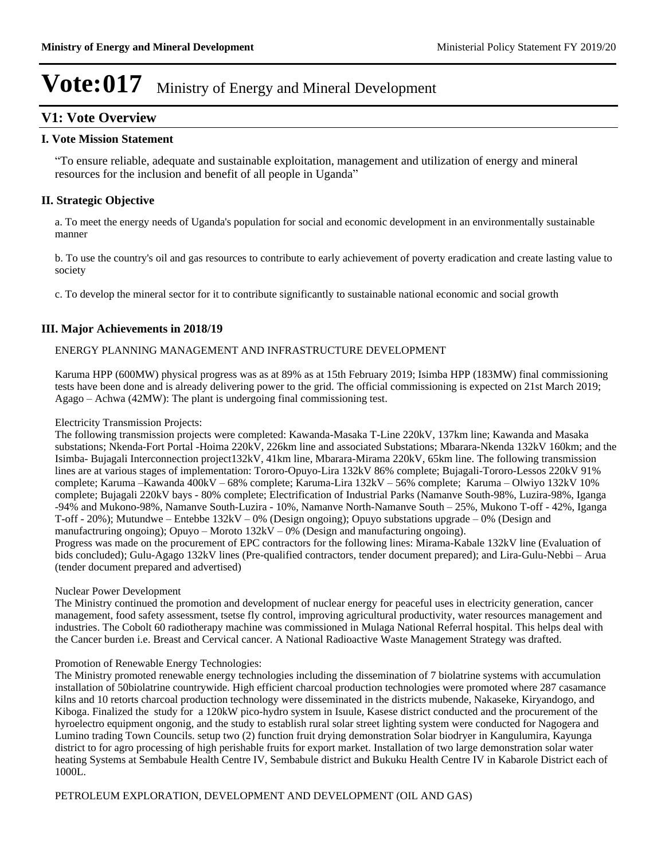### **V1: Vote Overview**

### **I. Vote Mission Statement**

³To ensure reliable, adequate and sustainable exploitation, management and utilization of energy and mineral resources for the inclusion and benefit of all people in Uganda<sup>"</sup>

### **II. Strategic Objective**

a. To meet the energy needs of Uganda's population for social and economic development in an environmentally sustainable manner

b. To use the country's oil and gas resources to contribute to early achievement of poverty eradication and create lasting value to society

c. To develop the mineral sector for it to contribute significantly to sustainable national economic and social growth

### **III. Major Achievements in 2018/19**

### ENERGY PLANNING MANAGEMENT AND INFRASTRUCTURE DEVELOPMENT

Karuma HPP (600MW) physical progress was as at 89% as at 15th February 2019; Isimba HPP (183MW) final commissioning tests have been done and is already delivering power to the grid. The official commissioning is expected on 21st March 2019;  $Agago - Achwa (42MW)$ : The plant is undergoing final commissioning test.

#### Electricity Transmission Projects:

The following transmission projects were completed: Kawanda-Masaka T-Line 220kV, 137km line; Kawanda and Masaka substations; Nkenda-Fort Portal -Hoima 220kV, 226km line and associated Substations; Mbarara-Nkenda 132kV 160km; and the Isimba- Bujagali Interconnection project132kV, 41km line, Mbarara-Mirama 220kV, 65km line. The following transmission lines are at various stages of implementation: Tororo-Opuyo-Lira 132kV 86% complete; Bujagali-Tororo-Lessos 220kV 91% complete; Karuma -Kawanda 400kV - 68% complete; Karuma-Lira 132kV - 56% complete; Karuma - Olwiyo 132kV 10% complete; Bujagali 220kV bays - 80% complete; Electrification of Industrial Parks (Namanve South-98%, Luzira-98%, Iganga -94% and Mukono-98%, Namanve South-Luzira - 10%, Namanve North-Namanve South – 25%, Mukono T-off - 42%, Iganga T-off - 20%); Mutundwe – Entebbe  $132kV - 0%$  (Design ongoing); Opuyo substations upgrade  $-0%$  (Design and manufactruring ongoing); Opuyo  $-$  Moroto 132kV  $-$  0% (Design and manufacturing ongoing). Progress was made on the procurement of EPC contractors for the following lines: Mirama-Kabale 132kV line (Evaluation of

bids concluded); Gulu-Agago 132kV lines (Pre-qualified contractors, tender document prepared); and Lira-Gulu-Nebbi – Arua (tender document prepared and advertised)

### Nuclear Power Development

The Ministry continued the promotion and development of nuclear energy for peaceful uses in electricity generation, cancer management, food safety assessment, tsetse fly control, improving agricultural productivity, water resources management and industries. The Cobolt 60 radiotherapy machine was commissioned in Mulaga National Referral hospital. This helps deal with the Cancer burden i.e. Breast and Cervical cancer. A National Radioactive Waste Management Strategy was drafted.

### Promotion of Renewable Energy Technologies:

The Ministry promoted renewable energy technologies including the dissemination of 7 biolatrine systems with accumulation installation of 50biolatrine countrywide. High efficient charcoal production technologies were promoted where 287 casamance kilns and 10 retorts charcoal production technology were disseminated in the districts mubende, Nakaseke, Kiryandogo, and Kiboga. Finalized the study for a 120kW pico-hydro system in Isuule, Kasese district conducted and the procurement of the hyroelectro equipment ongonig, and the study to establish rural solar street lighting system were conducted for Nagogera and Lumino trading Town Councils. setup two (2) function fruit drying demonstration Solar biodryer in Kangulumira, Kayunga district to for agro processing of high perishable fruits for export market. Installation of two large demonstration solar water heating Systems at Sembabule Health Centre IV, Sembabule district and Bukuku Health Centre IV in Kabarole District each of 1000L.

### PETROLEUM EXPLORATION, DEVELOPMENT AND DEVELOPMENT (OIL AND GAS)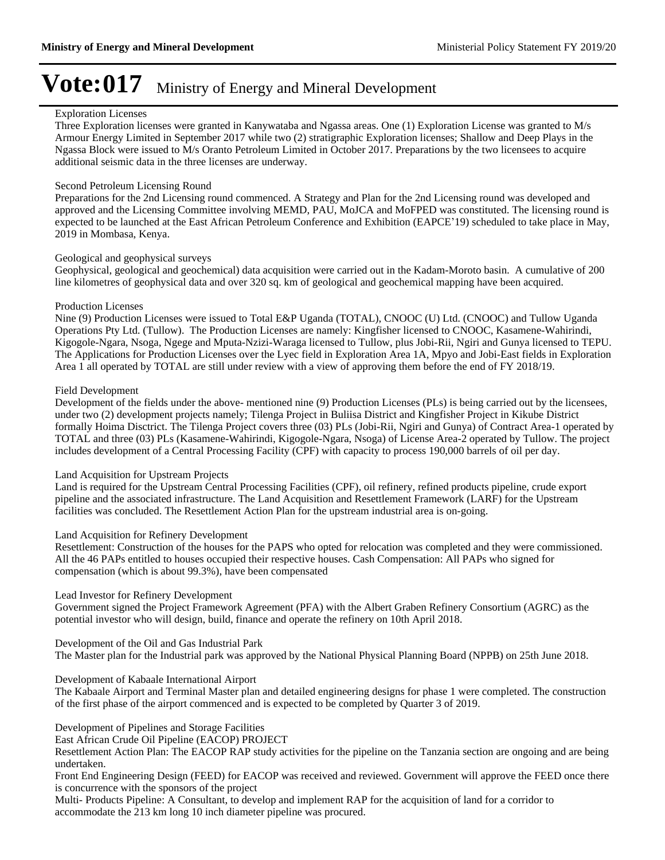#### Exploration Licenses

Three Exploration licenses were granted in Kanywataba and Ngassa areas. One (1) Exploration License was granted to M/s Armour Energy Limited in September 2017 while two (2) stratigraphic Exploration licenses; Shallow and Deep Plays in the Ngassa Block were issued to M/s Oranto Petroleum Limited in October 2017. Preparations by the two licensees to acquire additional seismic data in the three licenses are underway.

#### Second Petroleum Licensing Round

Preparations for the 2nd Licensing round commenced. A Strategy and Plan for the 2nd Licensing round was developed and approved and the Licensing Committee involving MEMD, PAU, MoJCA and MoFPED was constituted. The licensing round is expected to be launched at the East African Petroleum Conference and Exhibition (EAPCE'19) scheduled to take place in May, 2019 in Mombasa, Kenya.

#### Geological and geophysical surveys

Geophysical, geological and geochemical) data acquisition were carried out in the Kadam-Moroto basin. A cumulative of 200 line kilometres of geophysical data and over 320 sq. km of geological and geochemical mapping have been acquired.

#### Production Licenses

Nine (9) Production Licenses were issued to Total E&P Uganda (TOTAL), CNOOC (U) Ltd. (CNOOC) and Tullow Uganda Operations Pty Ltd. (Tullow). The Production Licenses are namely: Kingfisher licensed to CNOOC, Kasamene-Wahirindi, Kigogole-Ngara, Nsoga, Ngege and Mputa-Nzizi-Waraga licensed to Tullow, plus Jobi-Rii, Ngiri and Gunya licensed to TEPU. The Applications for Production Licenses over the Lyec field in Exploration Area 1A, Mpyo and Jobi-East fields in Exploration Area 1 all operated by TOTAL are still under review with a view of approving them before the end of FY 2018/19.

#### Field Development

Development of the fields under the above- mentioned nine (9) Production Licenses (PLs) is being carried out by the licensees, under two (2) development projects namely; Tilenga Project in Buliisa District and Kingfisher Project in Kikube District formally Hoima Disctrict. The Tilenga Project covers three (03) PLs (Jobi-Rii, Ngiri and Gunya) of Contract Area-1 operated by TOTAL and three (03) PLs (Kasamene-Wahirindi, Kigogole-Ngara, Nsoga) of License Area-2 operated by Tullow. The project includes development of a Central Processing Facility (CPF) with capacity to process 190,000 barrels of oil per day.

### Land Acquisition for Upstream Projects

Land is required for the Upstream Central Processing Facilities (CPF), oil refinery, refined products pipeline, crude export pipeline and the associated infrastructure. The Land Acquisition and Resettlement Framework (LARF) for the Upstream facilities was concluded. The Resettlement Action Plan for the upstream industrial area is on-going.

#### Land Acquisition for Refinery Development

Resettlement: Construction of the houses for the PAPS who opted for relocation was completed and they were commissioned. All the 46 PAPs entitled to houses occupied their respective houses. Cash Compensation: All PAPs who signed for compensation (which is about 99.3%), have been compensated

### Lead Investor for Refinery Development

Government signed the Project Framework Agreement (PFA) with the Albert Graben Refinery Consortium (AGRC) as the potential investor who will design, build, finance and operate the refinery on 10th April 2018.

Development of the Oil and Gas Industrial Park The Master plan for the Industrial park was approved by the National Physical Planning Board (NPPB) on 25th June 2018.

Development of Kabaale International Airport

The Kabaale Airport and Terminal Master plan and detailed engineering designs for phase 1 were completed. The construction of the first phase of the airport commenced and is expected to be completed by Quarter 3 of 2019.

Development of Pipelines and Storage Facilities

East African Crude Oil Pipeline (EACOP) PROJECT

Resettlement Action Plan: The EACOP RAP study activities for the pipeline on the Tanzania section are ongoing and are being undertaken.

Front End Engineering Design (FEED) for EACOP was received and reviewed. Government will approve the FEED once there is concurrence with the sponsors of the project

Multi- Products Pipeline: A Consultant, to develop and implement RAP for the acquisition of land for a corridor to accommodate the 213 km long 10 inch diameter pipeline was procured.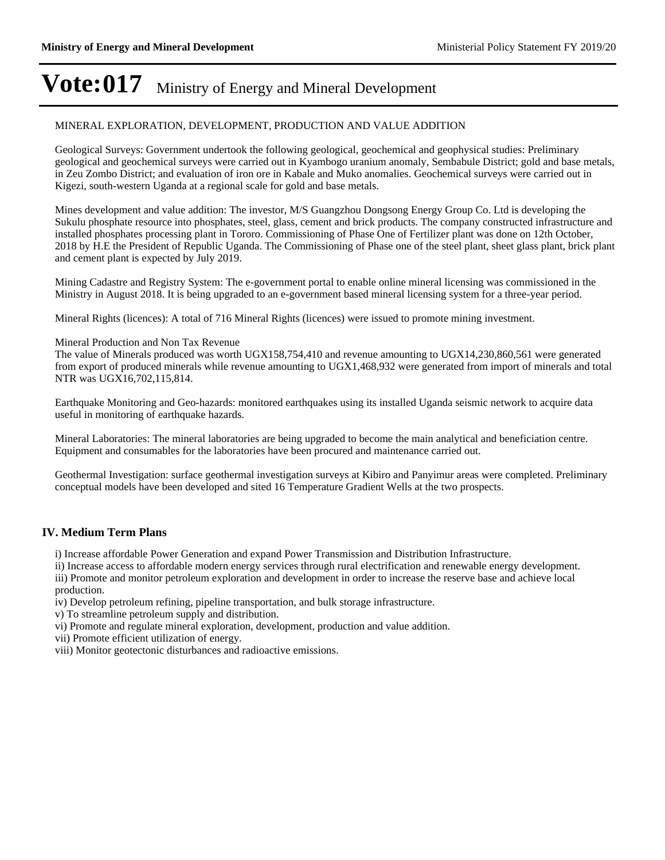### MINERAL EXPLORATION, DEVELOPMENT, PRODUCTION AND VALUE ADDITION

Geological Surveys: Government undertook the following geological, geochemical and geophysical studies: Preliminary geological and geochemical surveys were carried out in Kyambogo uranium anomaly, Sembabule District; gold and base metals, in Zeu Zombo District; and evaluation of iron ore in Kabale and Muko anomalies. Geochemical surveys were carried out in Kigezi, south-western Uganda at a regional scale for gold and base metals.

Mines development and value addition: The investor, M/S Guangzhou Dongsong Energy Group Co. Ltd is developing the Sukulu phosphate resource into phosphates, steel, glass, cement and brick products. The company constructed infrastructure and installed phosphates processing plant in Tororo. Commissioning of Phase One of Fertilizer plant was done on 12th October, 2018 by H.E the President of Republic Uganda. The Commissioning of Phase one of the steel plant, sheet glass plant, brick plant and cement plant is expected by July 2019.

Mining Cadastre and Registry System: The e-government portal to enable online mineral licensing was commissioned in the Ministry in August 2018. It is being upgraded to an e-government based mineral licensing system for a three-year period.

Mineral Rights (licences): A total of 716 Mineral Rights (licences) were issued to promote mining investment.

#### Mineral Production and Non Tax Revenue

The value of Minerals produced was worth UGX158,754,410 and revenue amounting to UGX14,230,860,561 were generated from export of produced minerals while revenue amounting to UGX1,468,932 were generated from import of minerals and total NTR was UGX16,702,115,814.

Earthquake Monitoring and Geo-hazards: monitored earthquakes using its installed Uganda seismic network to acquire data useful in monitoring of earthquake hazards.

Mineral Laboratories: The mineral laboratories are being upgraded to become the main analytical and beneficiation centre. Equipment and consumables for the laboratories have been procured and maintenance carried out.

Geothermal Investigation: surface geothermal investigation surveys at Kibiro and Panyimur areas were completed. Preliminary conceptual models have been developed and sited 16 Temperature Gradient Wells at the two prospects.

### **IV. Medium Term Plans**

i) Increase affordable Power Generation and expand Power Transmission and Distribution Infrastructure.

ii) Increase access to affordable modern energy services through rural electrification and renewable energy development. iii) Promote and monitor petroleum exploration and development in order to increase the reserve base and achieve local production.

iv) Develop petroleum refining, pipeline transportation, and bulk storage infrastructure.

v) To streamline petroleum supply and distribution.

vi) Promote and regulate mineral exploration, development, production and value addition.

vii) Promote efficient utilization of energy.

viii) Monitor geotectonic disturbances and radioactive emissions.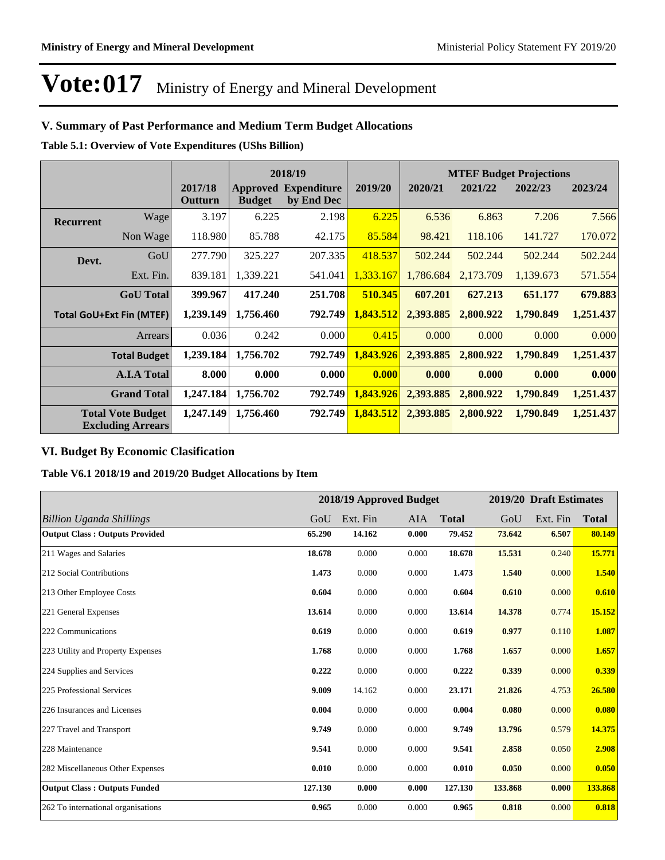### **V. Summary of Past Performance and Medium Term Budget Allocations**

**Table 5.1: Overview of Vote Expenditures (UShs Billion)**

|                  |                                                      |                    |               | 2018/19                                   |           | <b>MTEF Budget Projections</b> |                     |           |           |
|------------------|------------------------------------------------------|--------------------|---------------|-------------------------------------------|-----------|--------------------------------|---------------------|-----------|-----------|
|                  |                                                      | 2017/18<br>Outturn | <b>Budget</b> | <b>Approved Expenditure</b><br>by End Dec | 2019/20   | 2020/21                        | 2021/22             | 2022/23   | 2023/24   |
| <b>Recurrent</b> | Wage                                                 | 3.197              | 6.225         | 2.198                                     | 6.225     | 6.536                          | 6.863               | 7.206     | 7.566     |
|                  | Non Wage                                             | 118.980            | 85.788        | 42.175                                    | 85.584    | 98.421                         | 118.106             | 141.727   | 170.072   |
| Devt.            | GoU                                                  | 277.790            | 325.227       | 207.335                                   | 418.537   | 502.244                        | 502.244             | 502.244   | 502.244   |
|                  | Ext. Fin.                                            | 839.181            | 1,339.221     | 541.041                                   | 1.333.167 | 1,786.684                      | 2,173.709           | 1,139.673 | 571.554   |
|                  | <b>GoU</b> Total                                     | 399.967            | 417.240       | 251.708                                   | 510.345   | 607.201                        | 627.213             | 651.177   | 679.883   |
|                  | <b>Total GoU+Ext Fin (MTEF)</b>                      | 1,239.149          | 1,756.460     | 792.749                                   | 1,843.512 | 2,393.885                      | 2,800.922           | 1,790.849 | 1,251.437 |
|                  | Arrears                                              | 0.036              | 0.242         | 0.000                                     | 0.415     | 0.000                          | 0.000               | 0.000     | 0.000     |
|                  | <b>Total Budget</b>                                  | 1,239.184          | 1,756.702     | 792.749                                   | 1,843.926 |                                | 2,393.885 2,800.922 | 1,790.849 | 1,251.437 |
|                  | <b>A.I.A Total</b>                                   | 8.000              | 0.000         | 0.000                                     | 0.000     | 0.000                          | 0.000               | 0.000     | 0.000     |
|                  | <b>Grand Total</b>                                   | 1,247.184          | 1,756.702     | 792.749                                   | 1,843.926 | 2,393.885                      | 2,800.922           | 1,790.849 | 1,251.437 |
|                  | <b>Total Vote Budget</b><br><b>Excluding Arrears</b> | 1,247.149          | 1,756.460     | 792.749                                   | 1,843.512 | 2,393.885                      | 2,800.922           | 1,790.849 | 1,251.437 |

### **VI. Budget By Economic Clasification**

**Table V6.1 2018/19 and 2019/20 Budget Allocations by Item**

|                                       |         |          | 2018/19 Approved Budget |              |         | 2019/20 Draft Estimates |              |
|---------------------------------------|---------|----------|-------------------------|--------------|---------|-------------------------|--------------|
| <b>Billion Uganda Shillings</b>       | GoU     | Ext. Fin | AIA                     | <b>Total</b> | GoU     | Ext. Fin                | <b>Total</b> |
| <b>Output Class: Outputs Provided</b> | 65.290  | 14.162   | 0.000                   | 79.452       | 73.642  | 6.507                   | 80.149       |
| 211 Wages and Salaries                | 18.678  | 0.000    | 0.000                   | 18.678       | 15.531  | 0.240                   | 15.771       |
| 212 Social Contributions              | 1.473   | 0.000    | 0.000                   | 1.473        | 1.540   | 0.000                   | 1.540        |
| 213 Other Employee Costs              | 0.604   | 0.000    | 0.000                   | 0.604        | 0.610   | 0.000                   | 0.610        |
| 221 General Expenses                  | 13.614  | 0.000    | 0.000                   | 13.614       | 14.378  | 0.774                   | 15.152       |
| 222 Communications                    | 0.619   | 0.000    | 0.000                   | 0.619        | 0.977   | 0.110                   | 1.087        |
| 223 Utility and Property Expenses     | 1.768   | 0.000    | 0.000                   | 1.768        | 1.657   | 0.000                   | 1.657        |
| 224 Supplies and Services             | 0.222   | 0.000    | 0.000                   | 0.222        | 0.339   | 0.000                   | 0.339        |
| 225 Professional Services             | 9.009   | 14.162   | 0.000                   | 23.171       | 21.826  | 4.753                   | 26.580       |
| 226 Insurances and Licenses           | 0.004   | 0.000    | 0.000                   | 0.004        | 0.080   | 0.000                   | 0.080        |
| 227 Travel and Transport              | 9.749   | 0.000    | 0.000                   | 9.749        | 13.796  | 0.579                   | 14.375       |
| 228 Maintenance                       | 9.541   | 0.000    | 0.000                   | 9.541        | 2.858   | 0.050                   | 2.908        |
| 282 Miscellaneous Other Expenses      | 0.010   | 0.000    | 0.000                   | 0.010        | 0.050   | 0.000                   | 0.050        |
| <b>Output Class: Outputs Funded</b>   | 127.130 | 0.000    | 0.000                   | 127.130      | 133.868 | 0.000                   | 133.868      |
| 262 To international organisations    | 0.965   | 0.000    | 0.000                   | 0.965        | 0.818   | 0.000                   | 0.818        |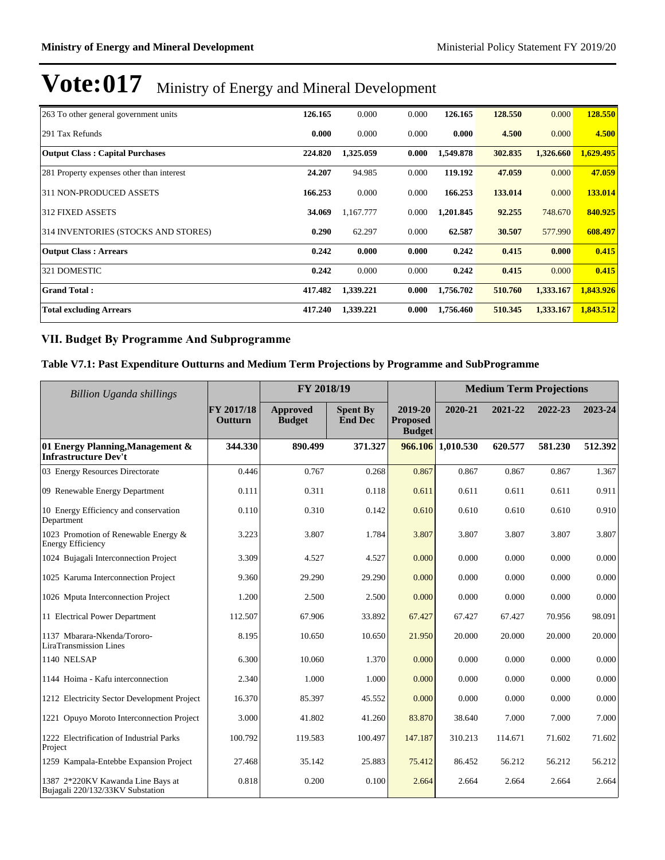| 263 To other general government units     | 126.165 | 0.000     | 0.000 | 126.165   | 128.550 | 0.000     | 128.550   |
|-------------------------------------------|---------|-----------|-------|-----------|---------|-----------|-----------|
| 291 Tax Refunds                           | 0.000   | 0.000     | 0.000 | 0.000     | 4.500   | 0.000     | 4.500     |
| <b>Output Class: Capital Purchases</b>    | 224.820 | 1,325.059 | 0.000 | 1,549.878 | 302.835 | 1,326.660 | 1,629.495 |
| 281 Property expenses other than interest | 24.207  | 94.985    | 0.000 | 119.192   | 47.059  | 0.000     | 47.059    |
| 311 NON-PRODUCED ASSETS                   | 166.253 | 0.000     | 0.000 | 166.253   | 133.014 | 0.000     | 133.014   |
| <b>312 FIXED ASSETS</b>                   | 34.069  | 1,167.777 | 0.000 | 1,201.845 | 92.255  | 748.670   | 840.925   |
| 314 INVENTORIES (STOCKS AND STORES)       | 0.290   | 62.297    | 0.000 | 62.587    | 30.507  | 577.990   | 608.497   |
| <b>Output Class: Arrears</b>              | 0.242   | 0.000     | 0.000 | 0.242     | 0.415   | 0.000     | 0.415     |
| 321 DOMESTIC                              | 0.242   | 0.000     | 0.000 | 0.242     | 0.415   | 0.000     | 0.415     |
| <b>Grand Total:</b>                       | 417.482 | 1,339.221 | 0.000 | 1,756.702 | 510.760 | 1,333.167 | 1,843.926 |
| <b>Total excluding Arrears</b>            | 417.240 | 1,339.221 | 0.000 | 1,756.460 | 510.345 | 1,333.167 | 1,843.512 |

### **VII. Budget By Programme And Subprogramme**

## **Table V7.1: Past Expenditure Outturns and Medium Term Projections by Programme and SubProgramme**

| Billion Uganda shillings                                              |                       | FY 2018/19                |                                   |                                             | <b>Medium Term Projections</b> |         |         |         |
|-----------------------------------------------------------------------|-----------------------|---------------------------|-----------------------------------|---------------------------------------------|--------------------------------|---------|---------|---------|
|                                                                       | FY 2017/18<br>Outturn | Approved<br><b>Budget</b> | <b>Spent By</b><br><b>End Dec</b> | 2019-20<br><b>Proposed</b><br><b>Budget</b> | 2020-21                        | 2021-22 | 2022-23 | 2023-24 |
| 01 Energy Planning, Management &<br><b>Infrastructure Dev't</b>       | 344.330               | 890.499                   | 371.327                           |                                             | 966.106 1,010.530              | 620.577 | 581.230 | 512.392 |
| 03 Energy Resources Directorate                                       | 0.446                 | 0.767                     | 0.268                             | 0.867                                       | 0.867                          | 0.867   | 0.867   | 1.367   |
| 09 Renewable Energy Department                                        | 0.111                 | 0.311                     | 0.118                             | 0.611                                       | 0.611                          | 0.611   | 0.611   | 0.911   |
| 10 Energy Efficiency and conservation<br>Department                   | 0.110                 | 0.310                     | 0.142                             | 0.610                                       | 0.610                          | 0.610   | 0.610   | 0.910   |
| 1023 Promotion of Renewable Energy &<br><b>Energy Efficiency</b>      | 3.223                 | 3.807                     | 1.784                             | 3.807                                       | 3.807                          | 3.807   | 3.807   | 3.807   |
| 1024 Bujagali Interconnection Project                                 | 3.309                 | 4.527                     | 4.527                             | 0.000                                       | 0.000                          | 0.000   | 0.000   | 0.000   |
| 1025 Karuma Interconnection Project                                   | 9.360                 | 29.290                    | 29.290                            | 0.000                                       | 0.000                          | 0.000   | 0.000   | 0.000   |
| 1026 Mputa Interconnection Project                                    | 1.200                 | 2.500                     | 2.500                             | 0.000                                       | 0.000                          | 0.000   | 0.000   | 0.000   |
| 11 Electrical Power Department                                        | 112.507               | 67.906                    | 33.892                            | 67.427                                      | 67.427                         | 67.427  | 70.956  | 98.091  |
| 1137 Mbarara-Nkenda/Tororo-<br>LiraTransmission Lines                 | 8.195                 | 10.650                    | 10.650                            | 21.950                                      | 20.000                         | 20.000  | 20.000  | 20.000  |
| 1140 NELSAP                                                           | 6.300                 | 10.060                    | 1.370                             | 0.000                                       | 0.000                          | 0.000   | 0.000   | 0.000   |
| 1144 Hoima - Kafu interconnection                                     | 2.340                 | 1.000                     | 1.000                             | 0.000                                       | 0.000                          | 0.000   | 0.000   | 0.000   |
| 1212 Electricity Sector Development Project                           | 16.370                | 85.397                    | 45.552                            | 0.000                                       | 0.000                          | 0.000   | 0.000   | 0.000   |
| 1221 Opuyo Moroto Interconnection Project                             | 3.000                 | 41.802                    | 41.260                            | 83.870                                      | 38.640                         | 7.000   | 7.000   | 7.000   |
| 1222 Electrification of Industrial Parks<br>Project                   | 100.792               | 119.583                   | 100.497                           | 147.187                                     | 310.213                        | 114.671 | 71.602  | 71.602  |
| 1259 Kampala-Entebbe Expansion Project                                | 27.468                | 35.142                    | 25.883                            | 75.412                                      | 86.452                         | 56.212  | 56.212  | 56.212  |
| 1387 2*220KV Kawanda Line Bays at<br>Bujagali 220/132/33KV Substation | 0.818                 | 0.200                     | 0.100                             | 2.664                                       | 2.664                          | 2.664   | 2.664   | 2.664   |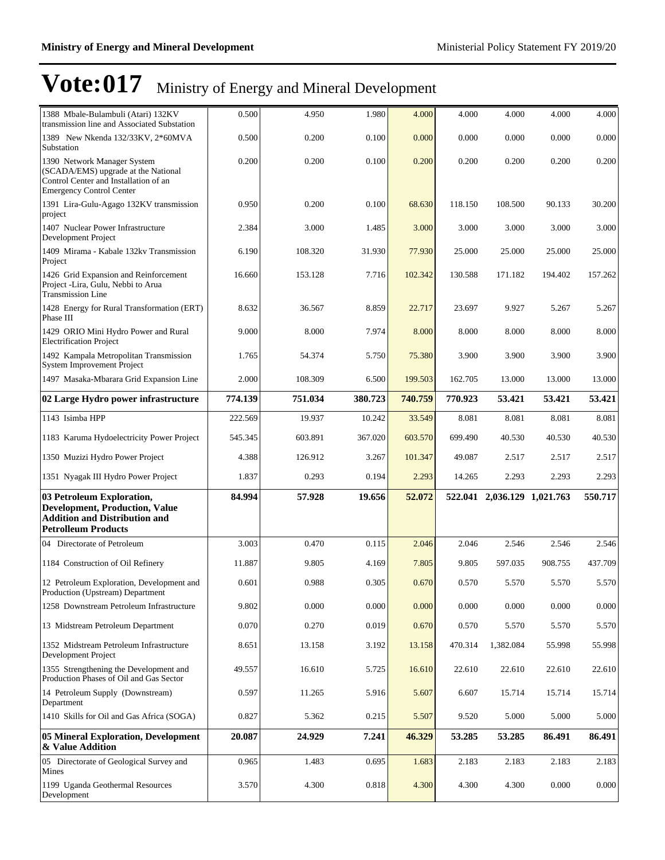| 1388 Mbale-Bulambuli (Atari) 132KV<br>transmission line and Associated Substation                                                              | 0.500   | 4.950   | 1.980   | 4.000   | 4.000   | 4.000                       | 4.000   | 4.000   |
|------------------------------------------------------------------------------------------------------------------------------------------------|---------|---------|---------|---------|---------|-----------------------------|---------|---------|
| 1389 New Nkenda 132/33KV, 2*60MVA<br>Substation                                                                                                | 0.500   | 0.200   | 0.100   | 0.000   | 0.000   | 0.000                       | 0.000   | 0.000   |
| 1390 Network Manager System<br>(SCADA/EMS) upgrade at the National<br>Control Center and Installation of an<br><b>Emergency Control Center</b> | 0.200   | 0.200   | 0.100   | 0.200   | 0.200   | 0.200                       | 0.200   | 0.200   |
| 1391 Lira-Gulu-Agago 132KV transmission<br>project                                                                                             | 0.950   | 0.200   | 0.100   | 68.630  | 118.150 | 108.500                     | 90.133  | 30.200  |
| 1407 Nuclear Power Infrastructure<br>Development Project                                                                                       | 2.384   | 3.000   | 1.485   | 3.000   | 3.000   | 3.000                       | 3.000   | 3.000   |
| 1409 Mirama - Kabale 132kv Transmission<br>Project                                                                                             | 6.190   | 108.320 | 31.930  | 77.930  | 25.000  | 25.000                      | 25.000  | 25.000  |
| 1426 Grid Expansion and Reinforcement<br>Project -Lira, Gulu, Nebbi to Arua<br><b>Transmission Line</b>                                        | 16.660  | 153.128 | 7.716   | 102.342 | 130.588 | 171.182                     | 194.402 | 157.262 |
| 1428 Energy for Rural Transformation (ERT)<br>Phase III                                                                                        | 8.632   | 36.567  | 8.859   | 22.717  | 23.697  | 9.927                       | 5.267   | 5.267   |
| 1429 ORIO Mini Hydro Power and Rural<br><b>Electrification Project</b>                                                                         | 9.000   | 8.000   | 7.974   | 8.000   | 8.000   | 8.000                       | 8.000   | 8.000   |
| 1492 Kampala Metropolitan Transmission<br><b>System Improvement Project</b>                                                                    | 1.765   | 54.374  | 5.750   | 75.380  | 3.900   | 3.900                       | 3.900   | 3.900   |
| 1497 Masaka-Mbarara Grid Expansion Line                                                                                                        | 2.000   | 108.309 | 6.500   | 199.503 | 162.705 | 13.000                      | 13.000  | 13.000  |
| 02 Large Hydro power infrastructure                                                                                                            | 774.139 | 751.034 | 380.723 | 740.759 | 770.923 | 53.421                      | 53.421  | 53.421  |
| 1143 Isimba HPP                                                                                                                                | 222.569 | 19.937  | 10.242  | 33.549  | 8.081   | 8.081                       | 8.081   | 8.081   |
| 1183 Karuma Hydoelectricity Power Project                                                                                                      | 545.345 | 603.891 | 367.020 | 603.570 | 699.490 | 40.530                      | 40.530  | 40.530  |
| 1350 Muzizi Hydro Power Project                                                                                                                | 4.388   | 126.912 | 3.267   | 101.347 | 49.087  | 2.517                       | 2.517   | 2.517   |
| 1351 Nyagak III Hydro Power Project                                                                                                            | 1.837   | 0.293   | 0.194   | 2.293   | 14.265  | 2.293                       | 2.293   | 2.293   |
| 03 Petroleum Exploration,<br><b>Development, Production, Value</b><br><b>Addition and Distribution and</b><br><b>Petrolleum Products</b>       | 84.994  | 57.928  | 19.656  | 52.072  |         | 522.041 2,036.129 1,021.763 |         | 550.717 |
| 04 Directorate of Petroleum                                                                                                                    | 3.003   | 0.470   | 0.115   | 2.046   | 2.046   | 2.546                       | 2.546   | 2.546   |
| 1184 Construction of Oil Refinery                                                                                                              | 11.887  | 9.805   | 4.169   | 7.805   | 9.805   | 597.035                     | 908.755 | 437.709 |
| 12 Petroleum Exploration, Development and<br>Production (Upstream) Department                                                                  | 0.601   | 0.988   | 0.305   | 0.670   | 0.570   | 5.570                       | 5.570   | 5.570   |
| 1258 Downstream Petroleum Infrastructure                                                                                                       | 9.802   | 0.000   | 0.000   | 0.000   | 0.000   | 0.000                       | 0.000   | 0.000   |
| 13 Midstream Petroleum Department                                                                                                              | 0.070   | 0.270   | 0.019   | 0.670   | 0.570   | 5.570                       | 5.570   | 5.570   |
| 1352 Midstream Petroleum Infrastructure<br>Development Project                                                                                 | 8.651   | 13.158  | 3.192   | 13.158  | 470.314 | 1,382.084                   | 55.998  | 55.998  |
| 1355 Strengthening the Development and<br>Production Phases of Oil and Gas Sector                                                              | 49.557  | 16.610  | 5.725   | 16.610  | 22.610  | 22.610                      | 22.610  | 22.610  |
| 14 Petroleum Supply (Downstream)<br>Department                                                                                                 | 0.597   | 11.265  | 5.916   | 5.607   | 6.607   | 15.714                      | 15.714  | 15.714  |
| 1410 Skills for Oil and Gas Africa (SOGA)                                                                                                      | 0.827   | 5.362   | 0.215   | 5.507   | 9.520   | 5.000                       | 5.000   | 5.000   |
| 05 Mineral Exploration, Development<br>& Value Addition                                                                                        | 20.087  | 24.929  | 7.241   | 46.329  | 53.285  | 53.285                      | 86.491  | 86.491  |
| 05 Directorate of Geological Survey and                                                                                                        | 0.965   | 1.483   | 0.695   | 1.683   | 2.183   | 2.183                       | 2.183   | 2.183   |
| Mines                                                                                                                                          |         |         |         |         |         |                             |         |         |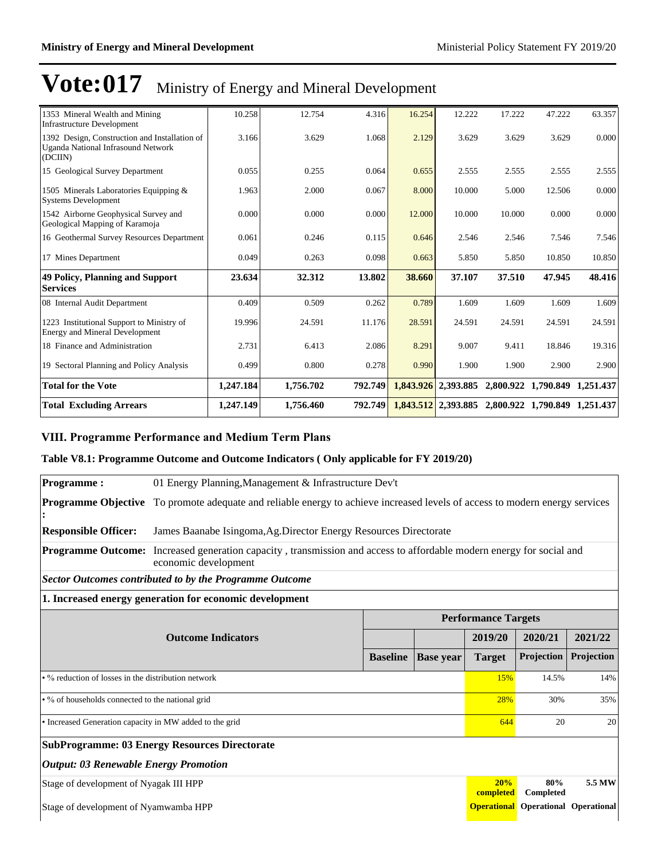| 1353 Mineral Wealth and Mining<br><b>Infrastructure Development</b>                                   | 10.258    | 12.754    | 4.316   | 16.254    | 12.222    | 17.222                                              | 47.222                        | 63.357 |
|-------------------------------------------------------------------------------------------------------|-----------|-----------|---------|-----------|-----------|-----------------------------------------------------|-------------------------------|--------|
| 1392 Design, Construction and Installation of<br><b>Uganda National Infrasound Network</b><br>(DCIIN) | 3.166     | 3.629     | 1.068   | 2.129     | 3.629     | 3.629                                               | 3.629                         | 0.000  |
| 15 Geological Survey Department                                                                       | 0.055     | 0.255     | 0.064   | 0.655     | 2.555     | 2.555                                               | 2.555                         | 2.555  |
| 1505 Minerals Laboratories Equipping &<br><b>Systems Development</b>                                  | 1.963     | 2.000     | 0.067   | 8.000     | 10.000    | 5.000                                               | 12.506                        | 0.000  |
| 1542 Airborne Geophysical Survey and<br>Geological Mapping of Karamoja                                | 0.000     | 0.000     | 0.000   | 12.000    | 10.000    | 10.000                                              | 0.000                         | 0.000  |
| 16 Geothermal Survey Resources Department                                                             | 0.061     | 0.246     | 0.115   | 0.646     | 2.546     | 2.546                                               | 7.546                         | 7.546  |
| 17 Mines Department                                                                                   | 0.049     | 0.263     | 0.098   | 0.663     | 5.850     | 5.850                                               | 10.850                        | 10.850 |
| <b>49 Policy, Planning and Support</b><br><b>Services</b>                                             | 23.634    | 32.312    | 13.802  | 38.660    | 37.107    | 37.510                                              | 47.945                        | 48.416 |
| 08 Internal Audit Department                                                                          | 0.409     | 0.509     | 0.262   | 0.789     | 1.609     | 1.609                                               | 1.609                         | 1.609  |
| 1223 Institutional Support to Ministry of<br><b>Energy and Mineral Development</b>                    | 19.996    | 24.591    | 11.176  | 28.591    | 24.591    | 24.591                                              | 24.591                        | 24.591 |
| 18 Finance and Administration                                                                         | 2.731     | 6.413     | 2.086   | 8.291     | 9.007     | 9.411                                               | 18.846                        | 19.316 |
| 19 Sectoral Planning and Policy Analysis                                                              | 0.499     | 0.800     | 0.278   | 0.990     | 1.900     | 1.900                                               | 2.900                         | 2.900  |
| <b>Total for the Vote</b>                                                                             | 1,247.184 | 1,756.702 | 792.749 |           |           | $1,843.926$ 2,393.885 2,800.922 1,790.849 1,251.437 |                               |        |
| <b>Total Excluding Arrears</b>                                                                        | 1,247.149 | 1,756.460 | 792.749 | 1,843.512 | 2,393.885 |                                                     | 2,800.922 1,790.849 1,251.437 |        |

### **VIII. Programme Performance and Medium Term Plans**

### **Table V8.1: Programme Outcome and Outcome Indicators ( Only applicable for FY 2019/20)**

| <b>Programme:</b>                                       | 01 Energy Planning, Management & Infrastructure Dev't                                                                       |                 |                  |                            |                                            |            |
|---------------------------------------------------------|-----------------------------------------------------------------------------------------------------------------------------|-----------------|------------------|----------------------------|--------------------------------------------|------------|
|                                                         | Programme Objective To promote adequate and reliable energy to achieve increased levels of access to modern energy services |                 |                  |                            |                                            |            |
| <b>Responsible Officer:</b>                             | James Baanabe Isingoma, Ag. Director Energy Resources Directorate                                                           |                 |                  |                            |                                            |            |
| <b>Programme Outcome:</b>                               | Increased generation capacity, transmission and access to affordable modern energy for social and<br>economic development   |                 |                  |                            |                                            |            |
|                                                         | <b>Sector Outcomes contributed to by the Programme Outcome</b>                                                              |                 |                  |                            |                                            |            |
|                                                         | 1. Increased energy generation for economic development                                                                     |                 |                  |                            |                                            |            |
|                                                         |                                                                                                                             |                 |                  | <b>Performance Targets</b> |                                            |            |
|                                                         | <b>Outcome Indicators</b>                                                                                                   |                 |                  | 2019/20                    | 2020/21                                    | 2021/22    |
|                                                         |                                                                                                                             | <b>Baseline</b> | <b>Base</b> year | <b>Target</b>              | Projection                                 | Projection |
| • % reduction of losses in the distribution network     |                                                                                                                             |                 |                  | <b>15%</b>                 | 14.5%                                      | 14%        |
| • % of households connected to the national grid        |                                                                                                                             |                 |                  | 28%                        | 30%                                        | 35%        |
| • Increased Generation capacity in MW added to the grid |                                                                                                                             |                 |                  | 644                        | 20                                         | 20         |
|                                                         | <b>SubProgramme: 03 Energy Resources Directorate</b>                                                                        |                 |                  |                            |                                            |            |
| <b>Output: 03 Renewable Energy Promotion</b>            |                                                                                                                             |                 |                  |                            |                                            |            |
| Stage of development of Nyagak III HPP                  |                                                                                                                             |                 |                  | 20%<br>completed           | 80%<br>Completed                           | 5.5 MW     |
| Stage of development of Nyamwamba HPP                   |                                                                                                                             |                 |                  |                            | <b>Operational</b> Operational Operational |            |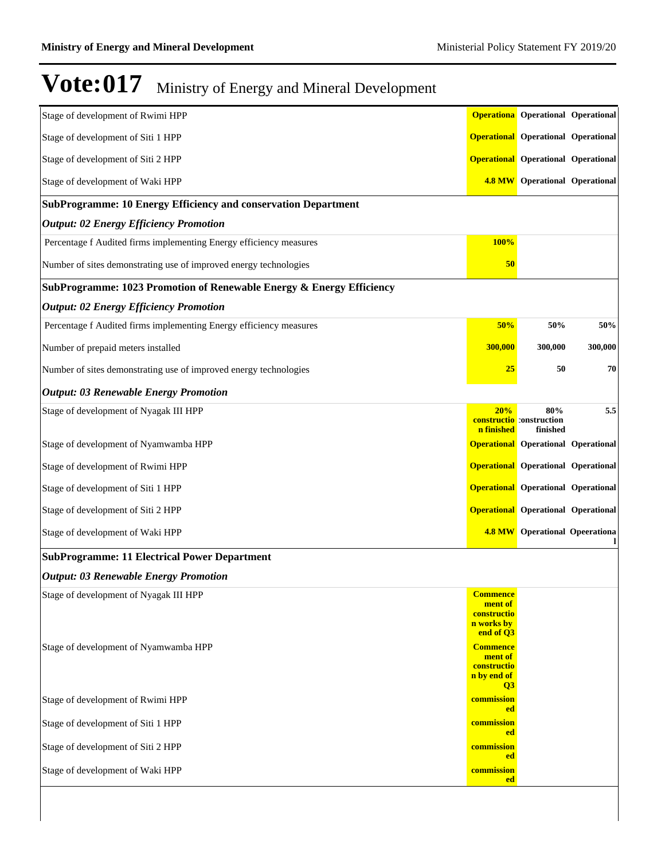## $\textbf{Vote:}\textbf{017}$  Ministry of Energy and Mineral Development

| Stage of development of Rwimi HPP                                               |                                                                                         | <b>Operationa</b> Operational Operational          |         |
|---------------------------------------------------------------------------------|-----------------------------------------------------------------------------------------|----------------------------------------------------|---------|
| Stage of development of Siti 1 HPP                                              |                                                                                         | <b>Operational</b> Operational Operational         |         |
| Stage of development of Siti 2 HPP                                              |                                                                                         | <b>Operational</b> Operational Operational         |         |
| Stage of development of Waki HPP                                                | <b>4.8 MW</b>                                                                           | <b>Operational Operational</b>                     |         |
| <b>SubProgramme: 10 Energy Efficiency and conservation Department</b>           |                                                                                         |                                                    |         |
| <b>Output: 02 Energy Efficiency Promotion</b>                                   |                                                                                         |                                                    |         |
| Percentage f Audited firms implementing Energy efficiency measures              | 100%                                                                                    |                                                    |         |
| Number of sites demonstrating use of improved energy technologies               | 50                                                                                      |                                                    |         |
| SubProgramme: 1023 Promotion of Renewable Energy & Energy Efficiency            |                                                                                         |                                                    |         |
| <b>Output: 02 Energy Efficiency Promotion</b>                                   |                                                                                         |                                                    |         |
| Percentage f Audited firms implementing Energy efficiency measures              | 50%                                                                                     | 50%                                                | 50%     |
| Number of prepaid meters installed                                              | 300,000                                                                                 | 300,000                                            | 300,000 |
| Number of sites demonstrating use of improved energy technologies               | <b>25</b>                                                                               | 50                                                 | 70      |
| <b>Output: 03 Renewable Energy Promotion</b>                                    |                                                                                         |                                                    |         |
| Stage of development of Nyagak III HPP                                          | 20%<br>n finished                                                                       | 80%<br><b>constructio</b> construction<br>finished | 5.5     |
| Stage of development of Nyamwamba HPP                                           |                                                                                         | <b>Operational</b> Operational Operational         |         |
| Stage of development of Rwimi HPP                                               |                                                                                         | <b>Operational</b> Operational Operational         |         |
| Stage of development of Siti 1 HPP                                              |                                                                                         | <b>Operational</b> Operational Operational         |         |
| Stage of development of Siti 2 HPP                                              |                                                                                         | <b>Operational</b> Operational Operational         |         |
| Stage of development of Waki HPP                                                |                                                                                         | <b>4.8 MW</b> Operational Opeerationa              |         |
| <b>SubProgramme: 11 Electrical Power Department</b>                             |                                                                                         |                                                    |         |
| <b>Output: 03 Renewable Energy Promotion</b>                                    |                                                                                         |                                                    |         |
| Stage of development of Nyagak III HPP<br>Stage of development of Nyamwamba HPP | <b>Commence</b><br>ment of<br>constructio<br>n works by<br>end of Q3<br><b>Commence</b> |                                                    |         |
|                                                                                 | ment of<br>constructio<br>n by end of<br>$\overline{O3}$                                |                                                    |         |
| Stage of development of Rwimi HPP                                               | commission<br><b>ed</b>                                                                 |                                                    |         |
| Stage of development of Siti 1 HPP                                              | commission<br><b>ed</b>                                                                 |                                                    |         |
| Stage of development of Siti 2 HPP                                              | commission<br>ed                                                                        |                                                    |         |
| Stage of development of Waki HPP                                                | commission<br><b>ed</b>                                                                 |                                                    |         |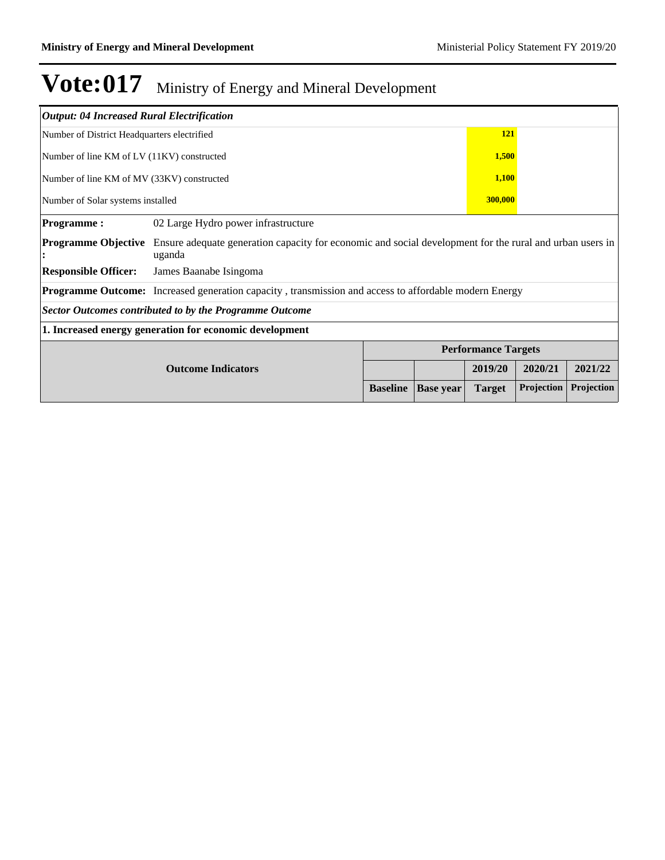| <b>Output: 04 Increased Rural Electrification</b> |                                                                                                                    |                 |                  |                            |            |            |  |  |
|---------------------------------------------------|--------------------------------------------------------------------------------------------------------------------|-----------------|------------------|----------------------------|------------|------------|--|--|
| Number of District Headquarters electrified       |                                                                                                                    |                 |                  | 121                        |            |            |  |  |
| Number of line KM of LV (11KV) constructed        |                                                                                                                    |                 |                  | 1,500                      |            |            |  |  |
| Number of line KM of MV (33KV) constructed        |                                                                                                                    |                 |                  | 1,100                      |            |            |  |  |
| 300,000<br>Number of Solar systems installed      |                                                                                                                    |                 |                  |                            |            |            |  |  |
| <b>Programme:</b>                                 | 02 Large Hydro power infrastructure                                                                                |                 |                  |                            |            |            |  |  |
| <b>Programme Objective</b>                        | Ensure adequate generation capacity for economic and social development for the rural and urban users in<br>uganda |                 |                  |                            |            |            |  |  |
| <b>Responsible Officer:</b>                       | James Baanabe Isingoma                                                                                             |                 |                  |                            |            |            |  |  |
|                                                   | <b>Programme Outcome:</b> Increased generation capacity, transmission and access to affordable modern Energy       |                 |                  |                            |            |            |  |  |
|                                                   | Sector Outcomes contributed to by the Programme Outcome                                                            |                 |                  |                            |            |            |  |  |
|                                                   | 1. Increased energy generation for economic development                                                            |                 |                  |                            |            |            |  |  |
|                                                   |                                                                                                                    |                 |                  | <b>Performance Targets</b> |            |            |  |  |
|                                                   | <b>Outcome Indicators</b>                                                                                          |                 |                  | 2019/20                    | 2020/21    | 2021/22    |  |  |
|                                                   |                                                                                                                    | <b>Baseline</b> | <b>Base year</b> | <b>Target</b>              | Projection | Projection |  |  |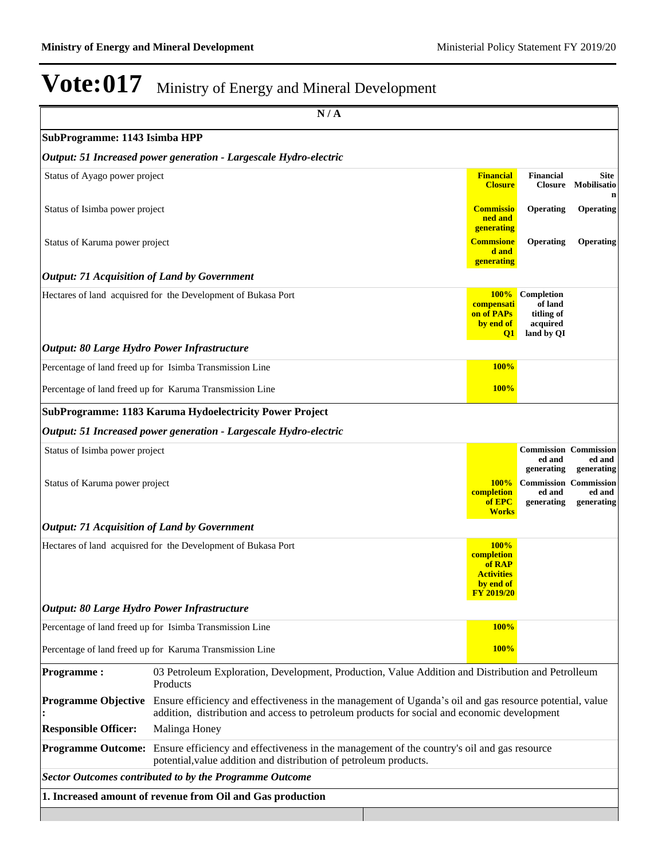|                                                     | N/A                                                                                                                                                                                                    |                                                                                            |                                                               |                                           |
|-----------------------------------------------------|--------------------------------------------------------------------------------------------------------------------------------------------------------------------------------------------------------|--------------------------------------------------------------------------------------------|---------------------------------------------------------------|-------------------------------------------|
| SubProgramme: 1143 Isimba HPP                       |                                                                                                                                                                                                        |                                                                                            |                                                               |                                           |
|                                                     | Output: 51 Increased power generation - Largescale Hydro-electric                                                                                                                                      |                                                                                            |                                                               |                                           |
| Status of Ayago power project                       |                                                                                                                                                                                                        | <b>Financial</b><br><b>Closure</b>                                                         | <b>Financial</b><br><b>Closure</b>                            | Site<br>Mobilisatio<br>n                  |
| Status of Isimba power project                      |                                                                                                                                                                                                        | <b>Commissio</b><br>ned and<br>generating                                                  | Operating                                                     | Operating                                 |
| Status of Karuma power project                      |                                                                                                                                                                                                        | <b>Commsione</b><br>d and<br>generating                                                    | Operating                                                     | Operating                                 |
| <b>Output: 71 Acquisition of Land by Government</b> |                                                                                                                                                                                                        |                                                                                            |                                                               |                                           |
|                                                     | Hectares of land acquisred for the Development of Bukasa Port                                                                                                                                          | <b>100%</b><br>compensati<br>on of PAPs<br>by end of<br>$\mathbf{Q1}$                      | Completion<br>of land<br>titling of<br>acquired<br>land by QI |                                           |
| Output: 80 Large Hydro Power Infrastructure         |                                                                                                                                                                                                        |                                                                                            |                                                               |                                           |
|                                                     | Percentage of land freed up for Isimba Transmission Line                                                                                                                                               | <b>100%</b>                                                                                |                                                               |                                           |
|                                                     | Percentage of land freed up for Karuma Transmission Line                                                                                                                                               | <b>100%</b>                                                                                |                                                               |                                           |
|                                                     | SubProgramme: 1183 Karuma Hydoelectricity Power Project                                                                                                                                                |                                                                                            |                                                               |                                           |
|                                                     | Output: 51 Increased power generation - Largescale Hydro-electric                                                                                                                                      |                                                                                            |                                                               |                                           |
| Status of Isimba power project                      |                                                                                                                                                                                                        |                                                                                            | <b>Commission Commission</b><br>ed and<br>generating          | ed and<br>generating                      |
| Status of Karuma power project                      |                                                                                                                                                                                                        | 100%<br>completion<br>of EPC<br><b>Works</b>                                               | <b>Commission</b><br>ed and<br>generating                     | <b>Commission</b><br>ed and<br>generating |
| <b>Output: 71 Acquisition of Land by Government</b> |                                                                                                                                                                                                        |                                                                                            |                                                               |                                           |
|                                                     | Hectares of land acquisred for the Development of Bukasa Port                                                                                                                                          | <b>100%</b><br>completion<br>of RAP<br><b>Activities</b><br>by end of<br><b>FY 2019/20</b> |                                                               |                                           |
| Output: 80 Large Hydro Power Infrastructure         |                                                                                                                                                                                                        |                                                                                            |                                                               |                                           |
|                                                     | Percentage of land freed up for Isimba Transmission Line                                                                                                                                               | <b>100%</b>                                                                                |                                                               |                                           |
|                                                     | Percentage of land freed up for Karuma Transmission Line                                                                                                                                               | 100%                                                                                       |                                                               |                                           |
| <b>Programme:</b>                                   | 03 Petroleum Exploration, Development, Production, Value Addition and Distribution and Petrolleum<br>Products                                                                                          |                                                                                            |                                                               |                                           |
| <b>Programme Objective</b>                          | Ensure efficiency and effectiveness in the management of Uganda's oil and gas resource potential, value<br>addition, distribution and access to petroleum products for social and economic development |                                                                                            |                                                               |                                           |
| <b>Responsible Officer:</b>                         | Malinga Honey                                                                                                                                                                                          |                                                                                            |                                                               |                                           |
| <b>Programme Outcome:</b>                           | Ensure efficiency and effectiveness in the management of the country's oil and gas resource<br>potential, value addition and distribution of petroleum products.                                       |                                                                                            |                                                               |                                           |
|                                                     | <b>Sector Outcomes contributed to by the Programme Outcome</b>                                                                                                                                         |                                                                                            |                                                               |                                           |
|                                                     | 1. Increased amount of revenue from Oil and Gas production                                                                                                                                             |                                                                                            |                                                               |                                           |
|                                                     |                                                                                                                                                                                                        |                                                                                            |                                                               |                                           |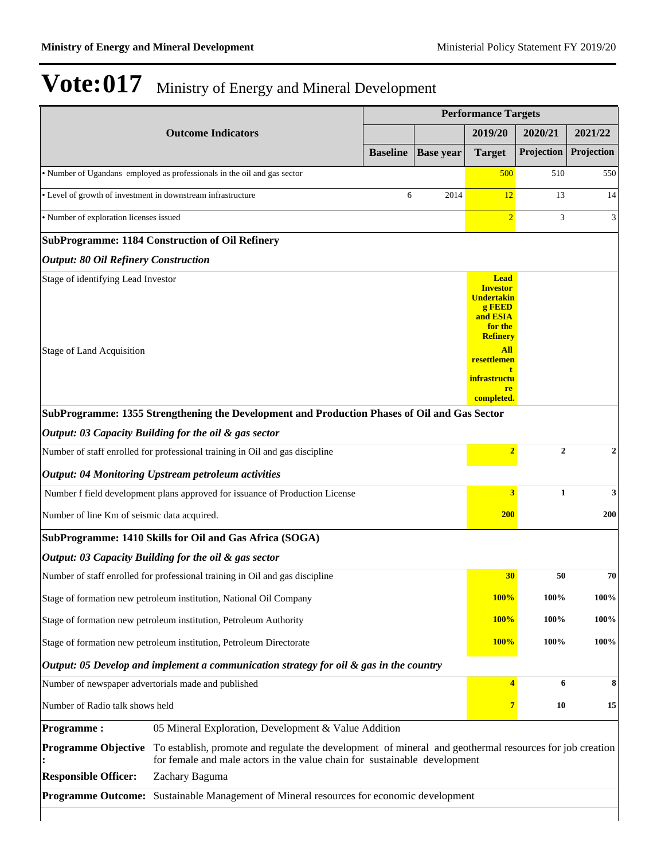|                                             |                                                                                                                                                                                      |                 |                  | <b>Performance Targets</b>                                                                              |              |                  |  |
|---------------------------------------------|--------------------------------------------------------------------------------------------------------------------------------------------------------------------------------------|-----------------|------------------|---------------------------------------------------------------------------------------------------------|--------------|------------------|--|
|                                             | <b>Outcome Indicators</b>                                                                                                                                                            |                 |                  | 2019/20                                                                                                 | 2020/21      | 2021/22          |  |
|                                             |                                                                                                                                                                                      | <b>Baseline</b> | <b>Base</b> year | <b>Target</b>                                                                                           | Projection   | Projection       |  |
|                                             | • Number of Ugandans employed as professionals in the oil and gas sector                                                                                                             |                 |                  | 500                                                                                                     | 510          | 550              |  |
|                                             | • Level of growth of investment in downstream infrastructure                                                                                                                         | 6               | 2014             | 12                                                                                                      | 13           | 14               |  |
| • Number of exploration licenses issued     |                                                                                                                                                                                      |                 |                  | $\overline{2}$                                                                                          | 3            | 3                |  |
|                                             | <b>SubProgramme: 1184 Construction of Oil Refinery</b>                                                                                                                               |                 |                  |                                                                                                         |              |                  |  |
| <b>Output: 80 Oil Refinery Construction</b> |                                                                                                                                                                                      |                 |                  |                                                                                                         |              |                  |  |
| Stage of identifying Lead Investor          |                                                                                                                                                                                      |                 |                  | <b>Lead</b><br><b>Investor</b><br><b>Undertakin</b><br>g FEED<br>and ESIA<br>for the<br><b>Refinery</b> |              |                  |  |
| <b>Stage of Land Acquisition</b>            |                                                                                                                                                                                      |                 |                  | All<br>resettlemen<br>t<br><i>infrastructu</i><br>re<br>completed.                                      |              |                  |  |
|                                             | SubProgramme: 1355 Strengthening the Development and Production Phases of Oil and Gas Sector                                                                                         |                 |                  |                                                                                                         |              |                  |  |
|                                             | Output: 03 Capacity Building for the oil & gas sector                                                                                                                                |                 |                  |                                                                                                         |              |                  |  |
|                                             | Number of staff enrolled for professional training in Oil and gas discipline                                                                                                         |                 |                  | $\overline{2}$                                                                                          | $\mathbf{2}$ | $\boldsymbol{2}$ |  |
|                                             | <b>Output: 04 Monitoring Upstream petroleum activities</b>                                                                                                                           |                 |                  |                                                                                                         |              |                  |  |
|                                             | Number f field development plans approved for issuance of Production License                                                                                                         |                 |                  | 3                                                                                                       | $\mathbf{1}$ | 3                |  |
| Number of line Km of seismic data acquired. |                                                                                                                                                                                      |                 |                  | <b>200</b>                                                                                              |              | 200              |  |
|                                             | SubProgramme: 1410 Skills for Oil and Gas Africa (SOGA)                                                                                                                              |                 |                  |                                                                                                         |              |                  |  |
|                                             | Output: 03 Capacity Building for the oil & gas sector                                                                                                                                |                 |                  |                                                                                                         |              |                  |  |
|                                             | Number of staff enrolled for professional training in Oil and gas discipline                                                                                                         |                 |                  | 30                                                                                                      | 50           | 70               |  |
|                                             | Stage of formation new petroleum institution, National Oil Company                                                                                                                   |                 |                  | <b>100%</b>                                                                                             | 100%         | 100%             |  |
|                                             | Stage of formation new petroleum institution, Petroleum Authority                                                                                                                    |                 |                  | <b>100%</b>                                                                                             | 100%         | 100%             |  |
|                                             | Stage of formation new petroleum institution, Petroleum Directorate                                                                                                                  |                 |                  | <b>100%</b>                                                                                             | 100%         | 100%             |  |
|                                             | Output: 05 Develop and implement a communication strategy for oil & gas in the country                                                                                               |                 |                  |                                                                                                         |              |                  |  |
|                                             | Number of newspaper advertorials made and published                                                                                                                                  |                 |                  | $\overline{\mathbf{4}}$                                                                                 | 6            | 8                |  |
| Number of Radio talk shows held             |                                                                                                                                                                                      |                 |                  | $\overline{7}$                                                                                          | 10           | 15               |  |
| <b>Programme:</b>                           | 05 Mineral Exploration, Development & Value Addition                                                                                                                                 |                 |                  |                                                                                                         |              |                  |  |
| <b>Programme Objective</b>                  | To establish, promote and regulate the development of mineral and geothermal resources for job creation<br>for female and male actors in the value chain for sustainable development |                 |                  |                                                                                                         |              |                  |  |
| <b>Responsible Officer:</b>                 | Zachary Baguma                                                                                                                                                                       |                 |                  |                                                                                                         |              |                  |  |
| <b>Programme Outcome:</b>                   | Sustainable Management of Mineral resources for economic development                                                                                                                 |                 |                  |                                                                                                         |              |                  |  |
|                                             |                                                                                                                                                                                      |                 |                  |                                                                                                         |              |                  |  |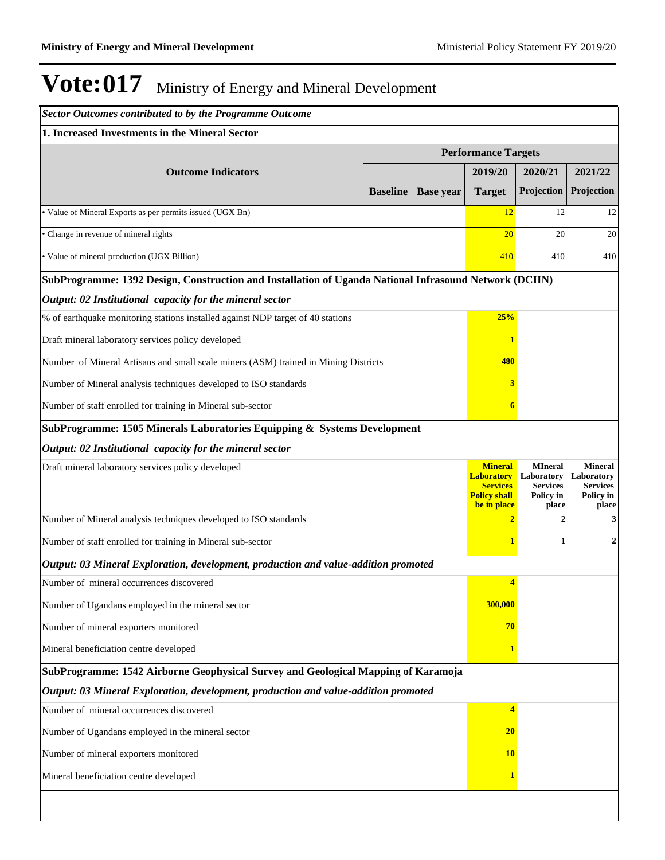| <b>Sector Outcomes contributed to by the Programme Outcome</b>                                         |                 |                  |                                                                                              |                                                                       |                                                                       |
|--------------------------------------------------------------------------------------------------------|-----------------|------------------|----------------------------------------------------------------------------------------------|-----------------------------------------------------------------------|-----------------------------------------------------------------------|
| 1. Increased Investments in the Mineral Sector                                                         |                 |                  |                                                                                              |                                                                       |                                                                       |
|                                                                                                        |                 |                  | <b>Performance Targets</b>                                                                   |                                                                       |                                                                       |
| <b>Outcome Indicators</b>                                                                              |                 |                  | 2019/20                                                                                      | 2020/21                                                               | 2021/22                                                               |
|                                                                                                        | <b>Baseline</b> | <b>Base year</b> | <b>Target</b>                                                                                | Projection                                                            | Projection                                                            |
| • Value of Mineral Exports as per permits issued (UGX Bn)                                              |                 |                  | 12                                                                                           | 12                                                                    | 12                                                                    |
| • Change in revenue of mineral rights                                                                  |                 |                  | 20                                                                                           | 20                                                                    | 20                                                                    |
| • Value of mineral production (UGX Billion)                                                            |                 |                  | 410                                                                                          | 410                                                                   | 410                                                                   |
| SubProgramme: 1392 Design, Construction and Installation of Uganda National Infrasound Network (DCIIN) |                 |                  |                                                                                              |                                                                       |                                                                       |
| Output: 02 Institutional capacity for the mineral sector                                               |                 |                  |                                                                                              |                                                                       |                                                                       |
| % of earthquake monitoring stations installed against NDP target of 40 stations                        |                 |                  | 25%                                                                                          |                                                                       |                                                                       |
| Draft mineral laboratory services policy developed                                                     |                 |                  |                                                                                              |                                                                       |                                                                       |
| Number of Mineral Artisans and small scale miners (ASM) trained in Mining Districts                    |                 |                  | 480                                                                                          |                                                                       |                                                                       |
| Number of Mineral analysis techniques developed to ISO standards                                       |                 |                  | 3                                                                                            |                                                                       |                                                                       |
| Number of staff enrolled for training in Mineral sub-sector                                            |                 |                  | 6                                                                                            |                                                                       |                                                                       |
| SubProgramme: 1505 Minerals Laboratories Equipping & Systems Development                               |                 |                  |                                                                                              |                                                                       |                                                                       |
| Output: 02 Institutional capacity for the mineral sector                                               |                 |                  |                                                                                              |                                                                       |                                                                       |
| Draft mineral laboratory services policy developed                                                     |                 |                  | <b>Mineral</b><br><b>Laboratory</b><br><b>Services</b><br><b>Policy shall</b><br>be in place | <b>MIneral</b><br>Laboratory<br><b>Services</b><br>Policy in<br>place | <b>Mineral</b><br>Laboratory<br><b>Services</b><br>Policy in<br>place |
| Number of Mineral analysis techniques developed to ISO standards                                       |                 |                  | $\overline{2}$                                                                               | $\mathbf{2}$                                                          | 3                                                                     |
| Number of staff enrolled for training in Mineral sub-sector                                            |                 |                  |                                                                                              | 1                                                                     | 2                                                                     |
| Output: 03 Mineral Exploration, development, production and value-addition promoted                    |                 |                  |                                                                                              |                                                                       |                                                                       |
| Number of mineral occurrences discovered                                                               |                 |                  | 4                                                                                            |                                                                       |                                                                       |
| Number of Ugandans employed in the mineral sector                                                      |                 |                  | 300,000                                                                                      |                                                                       |                                                                       |
| Number of mineral exporters monitored                                                                  |                 |                  | 70                                                                                           |                                                                       |                                                                       |
| Mineral beneficiation centre developed                                                                 |                 |                  |                                                                                              |                                                                       |                                                                       |
| SubProgramme: 1542 Airborne Geophysical Survey and Geological Mapping of Karamoja                      |                 |                  |                                                                                              |                                                                       |                                                                       |
| Output: 03 Mineral Exploration, development, production and value-addition promoted                    |                 |                  |                                                                                              |                                                                       |                                                                       |
| Number of mineral occurrences discovered                                                               |                 |                  | 4                                                                                            |                                                                       |                                                                       |
| Number of Ugandans employed in the mineral sector                                                      |                 |                  | <b>20</b>                                                                                    |                                                                       |                                                                       |
| Number of mineral exporters monitored                                                                  |                 |                  | <b>10</b>                                                                                    |                                                                       |                                                                       |
| Mineral beneficiation centre developed                                                                 |                 |                  |                                                                                              |                                                                       |                                                                       |
|                                                                                                        |                 |                  |                                                                                              |                                                                       |                                                                       |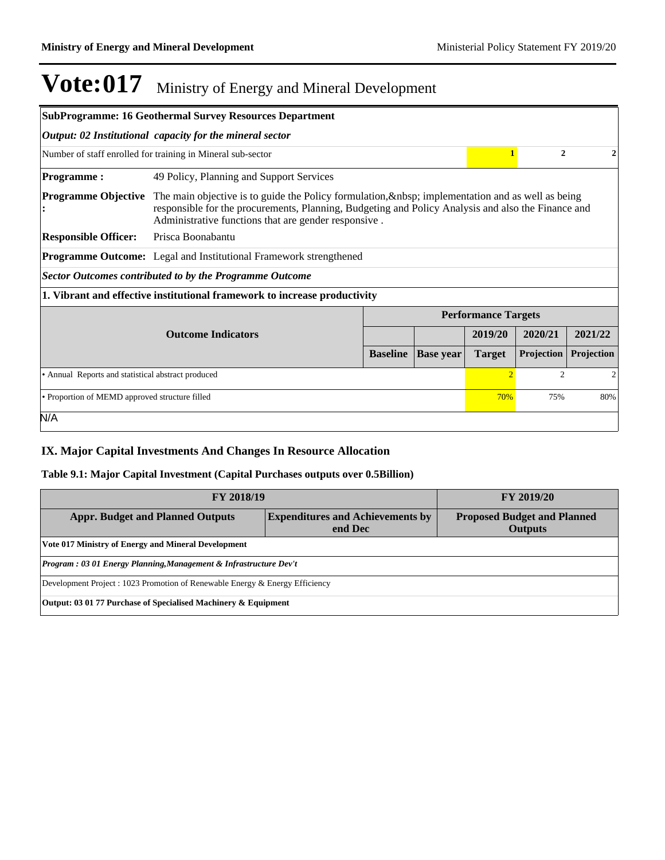|                                                                                        | <b>SubProgramme: 16 Geothermal Survey Resources Department</b>                                                                                                                                                                                                     |  |  |                            |                |         |  |
|----------------------------------------------------------------------------------------|--------------------------------------------------------------------------------------------------------------------------------------------------------------------------------------------------------------------------------------------------------------------|--|--|----------------------------|----------------|---------|--|
|                                                                                        | Output: 02 Institutional capacity for the mineral sector                                                                                                                                                                                                           |  |  |                            |                |         |  |
|                                                                                        | Number of staff enrolled for training in Mineral sub-sector                                                                                                                                                                                                        |  |  |                            | $\overline{2}$ | 2       |  |
| <b>Programme:</b>                                                                      | 49 Policy, Planning and Support Services                                                                                                                                                                                                                           |  |  |                            |                |         |  |
| <b>Programme Objective</b>                                                             | The main objective is to guide the Policy formulation, & the spiritual physical and as well as being<br>responsible for the procurements, Planning, Budgeting and Policy Analysis and also the Finance and<br>Administrative functions that are gender responsive. |  |  |                            |                |         |  |
| <b>Responsible Officer:</b>                                                            | Prisca Boonabantu                                                                                                                                                                                                                                                  |  |  |                            |                |         |  |
|                                                                                        | <b>Programme Outcome:</b> Legal and Institutional Framework strengthened                                                                                                                                                                                           |  |  |                            |                |         |  |
|                                                                                        | <b>Sector Outcomes contributed to by the Programme Outcome</b>                                                                                                                                                                                                     |  |  |                            |                |         |  |
|                                                                                        | 1. Vibrant and effective institutional framework to increase productivity                                                                                                                                                                                          |  |  |                            |                |         |  |
|                                                                                        |                                                                                                                                                                                                                                                                    |  |  | <b>Performance Targets</b> |                |         |  |
|                                                                                        | <b>Outcome Indicators</b>                                                                                                                                                                                                                                          |  |  | 2019/20                    | 2020/21        | 2021/22 |  |
|                                                                                        | <b>Projection</b><br>Projection<br><b>Baseline</b><br><b>Base year</b><br><b>Target</b>                                                                                                                                                                            |  |  |                            |                |         |  |
| $\overline{c}$<br>• Annual Reports and statistical abstract produced<br>$\overline{2}$ |                                                                                                                                                                                                                                                                    |  |  |                            | 2              |         |  |
| • Proportion of MEMD approved structure filled<br>70%<br>75%                           |                                                                                                                                                                                                                                                                    |  |  | 80%                        |                |         |  |
| N/A                                                                                    |                                                                                                                                                                                                                                                                    |  |  |                            |                |         |  |

### **IX. Major Capital Investments And Changes In Resource Allocation**

### **Table 9.1: Major Capital Investment (Capital Purchases outputs over 0.5Billion)**

| FY 2018/19                                                                   | <b>FY 2019/20</b>                                              |  |  |  |  |
|------------------------------------------------------------------------------|----------------------------------------------------------------|--|--|--|--|
| <b>Appr. Budget and Planned Outputs</b>                                      | <b>Proposed Budget and Planned</b><br><b>Outputs</b>           |  |  |  |  |
| Vote 017 Ministry of Energy and Mineral Development                          |                                                                |  |  |  |  |
| Program : 03 01 Energy Planning, Management & Infrastructure Dev't           |                                                                |  |  |  |  |
| Development Project : 1023 Promotion of Renewable Energy & Energy Efficiency |                                                                |  |  |  |  |
|                                                                              | Output: 03 01 77 Purchase of Specialised Machinery & Equipment |  |  |  |  |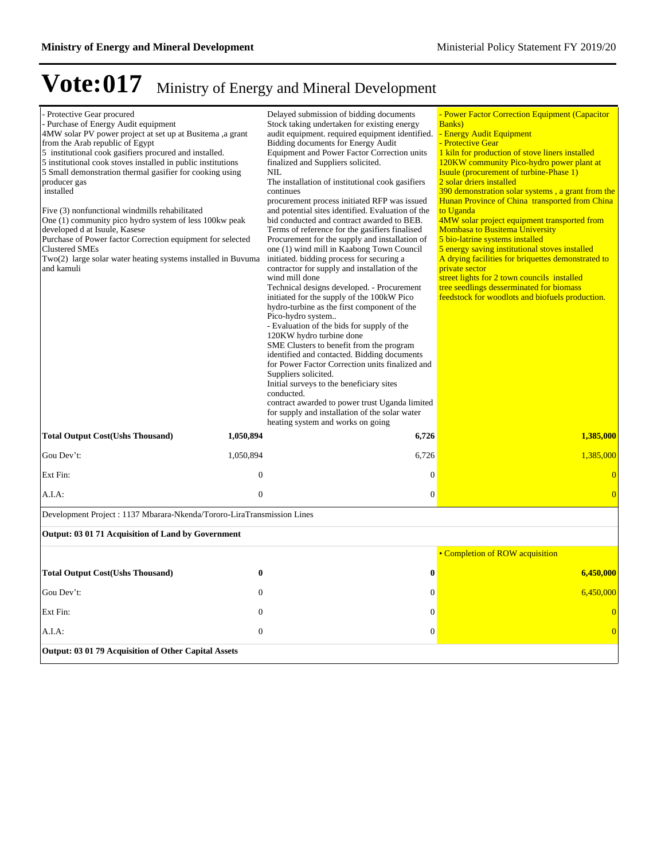| - Protective Gear procured<br>- Purchase of Energy Audit equipment<br>4MW solar PV power project at set up at Busitema ,a grant<br>from the Arab republic of Egypt<br>5 institutional cook gasifiers procured and installed.<br>5 institutional cook stoves installed in public institutions<br>5 Small demonstration thermal gasifier for cooking using<br>producer gas<br>installed<br>Five (3) nonfunctional windmills rehabilitated<br>One (1) community pico hydro system of less 100kw peak<br>developed d at Isuule, Kasese<br>Purchase of Power factor Correction equipment for selected<br><b>Clustered SMEs</b><br>Two(2) large solar water heating systems installed in Buvuma<br>and kamuli |                  | Delayed submission of bidding documents<br>Stock taking undertaken for existing energy<br>audit equipment. required equipment identified.<br>Bidding documents for Energy Audit<br>Equipment and Power Factor Correction units<br>finalized and Suppliers solicited.<br>NIL<br>The installation of institutional cook gasifiers<br>continues<br>procurement process initiated RFP was issued<br>and potential sites identified. Evaluation of the<br>bid conducted and contract awarded to BEB.<br>Terms of reference for the gasifiers finalised<br>Procurement for the supply and installation of<br>one (1) wind mill in Kaabong Town Council<br>initiated. bidding process for securing a<br>contractor for supply and installation of the<br>wind mill done<br>Technical designs developed. - Procurement<br>initiated for the supply of the 100kW Pico<br>hydro-turbine as the first component of the<br>Pico-hydro system<br>- Evaluation of the bids for supply of the<br>120KW hydro turbine done<br>SME Clusters to benefit from the program<br>identified and contacted. Bidding documents | - Power Factor Correction Equipment (Capacitor<br>Banks)<br>- Energy Audit Equipment<br>- Protective Gear<br>1 kiln for production of stove liners installed<br>120KW community Pico-hydro power plant at<br><b>Isuule (procurement of turbine-Phase 1)</b><br>2 solar driers installed<br>390 demonstration solar systems, a grant from the<br>Hunan Province of China transported from China<br>to Uganda<br>4MW solar project equipment transported from<br><b>Mombasa to Busitema University</b><br>5 bio-latrine systems installed<br>5 energy saving institutional stoves installed<br>A drying facilities for briquettes demonstrated to<br>private sector<br>street lights for 2 town councils installed<br>tree seedlings desserminated for biomass<br>feedstock for woodlots and biofuels production. |  |  |
|---------------------------------------------------------------------------------------------------------------------------------------------------------------------------------------------------------------------------------------------------------------------------------------------------------------------------------------------------------------------------------------------------------------------------------------------------------------------------------------------------------------------------------------------------------------------------------------------------------------------------------------------------------------------------------------------------------|------------------|-------------------------------------------------------------------------------------------------------------------------------------------------------------------------------------------------------------------------------------------------------------------------------------------------------------------------------------------------------------------------------------------------------------------------------------------------------------------------------------------------------------------------------------------------------------------------------------------------------------------------------------------------------------------------------------------------------------------------------------------------------------------------------------------------------------------------------------------------------------------------------------------------------------------------------------------------------------------------------------------------------------------------------------------------------------------------------------------------------|-----------------------------------------------------------------------------------------------------------------------------------------------------------------------------------------------------------------------------------------------------------------------------------------------------------------------------------------------------------------------------------------------------------------------------------------------------------------------------------------------------------------------------------------------------------------------------------------------------------------------------------------------------------------------------------------------------------------------------------------------------------------------------------------------------------------|--|--|
|                                                                                                                                                                                                                                                                                                                                                                                                                                                                                                                                                                                                                                                                                                         |                  | for Power Factor Correction units finalized and<br>Suppliers solicited.<br>Initial surveys to the beneficiary sites<br>conducted.<br>contract awarded to power trust Uganda limited<br>for supply and installation of the solar water<br>heating system and works on going                                                                                                                                                                                                                                                                                                                                                                                                                                                                                                                                                                                                                                                                                                                                                                                                                            |                                                                                                                                                                                                                                                                                                                                                                                                                                                                                                                                                                                                                                                                                                                                                                                                                 |  |  |
| <b>Total Output Cost(Ushs Thousand)</b>                                                                                                                                                                                                                                                                                                                                                                                                                                                                                                                                                                                                                                                                 | 1,050,894        | 6,726                                                                                                                                                                                                                                                                                                                                                                                                                                                                                                                                                                                                                                                                                                                                                                                                                                                                                                                                                                                                                                                                                                 | 1,385,000                                                                                                                                                                                                                                                                                                                                                                                                                                                                                                                                                                                                                                                                                                                                                                                                       |  |  |
| Gou Dev't:                                                                                                                                                                                                                                                                                                                                                                                                                                                                                                                                                                                                                                                                                              | 1,050,894        | 6,726                                                                                                                                                                                                                                                                                                                                                                                                                                                                                                                                                                                                                                                                                                                                                                                                                                                                                                                                                                                                                                                                                                 | 1,385,000                                                                                                                                                                                                                                                                                                                                                                                                                                                                                                                                                                                                                                                                                                                                                                                                       |  |  |
| Ext Fin:                                                                                                                                                                                                                                                                                                                                                                                                                                                                                                                                                                                                                                                                                                | $\overline{0}$   | $\overline{0}$                                                                                                                                                                                                                                                                                                                                                                                                                                                                                                                                                                                                                                                                                                                                                                                                                                                                                                                                                                                                                                                                                        | $\overline{0}$                                                                                                                                                                                                                                                                                                                                                                                                                                                                                                                                                                                                                                                                                                                                                                                                  |  |  |
| A.I.A:                                                                                                                                                                                                                                                                                                                                                                                                                                                                                                                                                                                                                                                                                                  | $\boldsymbol{0}$ | $\boldsymbol{0}$                                                                                                                                                                                                                                                                                                                                                                                                                                                                                                                                                                                                                                                                                                                                                                                                                                                                                                                                                                                                                                                                                      | $\overline{0}$                                                                                                                                                                                                                                                                                                                                                                                                                                                                                                                                                                                                                                                                                                                                                                                                  |  |  |
| Development Project: 1137 Mbarara-Nkenda/Tororo-LiraTransmission Lines                                                                                                                                                                                                                                                                                                                                                                                                                                                                                                                                                                                                                                  |                  |                                                                                                                                                                                                                                                                                                                                                                                                                                                                                                                                                                                                                                                                                                                                                                                                                                                                                                                                                                                                                                                                                                       |                                                                                                                                                                                                                                                                                                                                                                                                                                                                                                                                                                                                                                                                                                                                                                                                                 |  |  |
| Output: 03 01 71 Acquisition of Land by Government                                                                                                                                                                                                                                                                                                                                                                                                                                                                                                                                                                                                                                                      |                  |                                                                                                                                                                                                                                                                                                                                                                                                                                                                                                                                                                                                                                                                                                                                                                                                                                                                                                                                                                                                                                                                                                       |                                                                                                                                                                                                                                                                                                                                                                                                                                                                                                                                                                                                                                                                                                                                                                                                                 |  |  |
|                                                                                                                                                                                                                                                                                                                                                                                                                                                                                                                                                                                                                                                                                                         |                  |                                                                                                                                                                                                                                                                                                                                                                                                                                                                                                                                                                                                                                                                                                                                                                                                                                                                                                                                                                                                                                                                                                       | • Completion of ROW acquisition                                                                                                                                                                                                                                                                                                                                                                                                                                                                                                                                                                                                                                                                                                                                                                                 |  |  |
| <b>Total Output Cost(Ushs Thousand)</b>                                                                                                                                                                                                                                                                                                                                                                                                                                                                                                                                                                                                                                                                 | $\bf{0}$         | $\bf{0}$                                                                                                                                                                                                                                                                                                                                                                                                                                                                                                                                                                                                                                                                                                                                                                                                                                                                                                                                                                                                                                                                                              | 6,450,000                                                                                                                                                                                                                                                                                                                                                                                                                                                                                                                                                                                                                                                                                                                                                                                                       |  |  |
| Gou Dev't:                                                                                                                                                                                                                                                                                                                                                                                                                                                                                                                                                                                                                                                                                              | $\mathbf{0}$     | $\boldsymbol{0}$                                                                                                                                                                                                                                                                                                                                                                                                                                                                                                                                                                                                                                                                                                                                                                                                                                                                                                                                                                                                                                                                                      | 6,450,000                                                                                                                                                                                                                                                                                                                                                                                                                                                                                                                                                                                                                                                                                                                                                                                                       |  |  |
| Ext Fin:                                                                                                                                                                                                                                                                                                                                                                                                                                                                                                                                                                                                                                                                                                | $\mathbf{0}$     | $\boldsymbol{0}$                                                                                                                                                                                                                                                                                                                                                                                                                                                                                                                                                                                                                                                                                                                                                                                                                                                                                                                                                                                                                                                                                      | $\overline{0}$                                                                                                                                                                                                                                                                                                                                                                                                                                                                                                                                                                                                                                                                                                                                                                                                  |  |  |
| A.I.A:                                                                                                                                                                                                                                                                                                                                                                                                                                                                                                                                                                                                                                                                                                  | $\boldsymbol{0}$ | $\boldsymbol{0}$                                                                                                                                                                                                                                                                                                                                                                                                                                                                                                                                                                                                                                                                                                                                                                                                                                                                                                                                                                                                                                                                                      | $\overline{0}$                                                                                                                                                                                                                                                                                                                                                                                                                                                                                                                                                                                                                                                                                                                                                                                                  |  |  |
| <b>Output: 03 01 79 Acquisition of Other Capital Assets</b>                                                                                                                                                                                                                                                                                                                                                                                                                                                                                                                                                                                                                                             |                  |                                                                                                                                                                                                                                                                                                                                                                                                                                                                                                                                                                                                                                                                                                                                                                                                                                                                                                                                                                                                                                                                                                       |                                                                                                                                                                                                                                                                                                                                                                                                                                                                                                                                                                                                                                                                                                                                                                                                                 |  |  |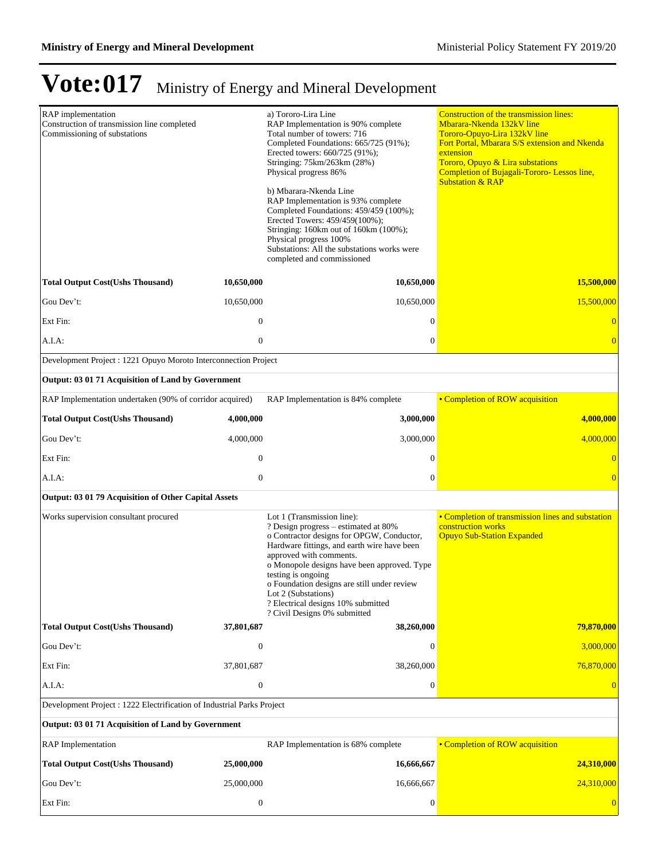| RAP implementation<br>Construction of transmission line completed<br>Commissioning of substations |                  | a) Tororo-Lira Line<br>RAP Implementation is 90% complete<br>Total number of towers: 716<br>Completed Foundations: 665/725 (91%);<br>Erected towers: 660/725 (91%);<br>Stringing: 75km/263km (28%)<br>Physical progress 86%<br>b) Mbarara-Nkenda Line<br>RAP Implementation is 93% complete<br>Completed Foundations: 459/459 (100%);<br>Erected Towers: 459/459(100%);<br>Stringing: 160km out of 160km (100%);<br>Physical progress 100%<br>Substations: All the substations works were<br>completed and commissioned | <b>Construction of the transmission lines:</b><br>Mbarara-Nkenda 132kV line<br>Tororo-Opuyo-Lira 132kV line<br>Fort Portal, Mbarara S/S extension and Nkenda<br>extension<br>Tororo, Opuyo & Lira substations<br>Completion of Bujagali-Tororo- Lessos line,<br><b>Substation &amp; RAP</b> |
|---------------------------------------------------------------------------------------------------|------------------|-------------------------------------------------------------------------------------------------------------------------------------------------------------------------------------------------------------------------------------------------------------------------------------------------------------------------------------------------------------------------------------------------------------------------------------------------------------------------------------------------------------------------|---------------------------------------------------------------------------------------------------------------------------------------------------------------------------------------------------------------------------------------------------------------------------------------------|
| <b>Total Output Cost(Ushs Thousand)</b>                                                           | 10,650,000       | 10,650,000                                                                                                                                                                                                                                                                                                                                                                                                                                                                                                              | 15,500,000                                                                                                                                                                                                                                                                                  |
| Gou Dev't:                                                                                        | 10,650,000       | 10,650,000                                                                                                                                                                                                                                                                                                                                                                                                                                                                                                              | 15,500,000                                                                                                                                                                                                                                                                                  |
| Ext Fin:                                                                                          | $\mathbf{0}$     | $\boldsymbol{0}$                                                                                                                                                                                                                                                                                                                                                                                                                                                                                                        | $\overline{0}$                                                                                                                                                                                                                                                                              |
| A.I.A:                                                                                            | $\mathbf{0}$     | $\boldsymbol{0}$                                                                                                                                                                                                                                                                                                                                                                                                                                                                                                        | $\overline{0}$                                                                                                                                                                                                                                                                              |
| Development Project : 1221 Opuyo Moroto Interconnection Project                                   |                  |                                                                                                                                                                                                                                                                                                                                                                                                                                                                                                                         |                                                                                                                                                                                                                                                                                             |
| Output: 03 01 71 Acquisition of Land by Government                                                |                  |                                                                                                                                                                                                                                                                                                                                                                                                                                                                                                                         |                                                                                                                                                                                                                                                                                             |
| RAP Implementation undertaken (90% of corridor acquired)                                          |                  | RAP Implementation is 84% complete                                                                                                                                                                                                                                                                                                                                                                                                                                                                                      | • Completion of ROW acquisition                                                                                                                                                                                                                                                             |
| <b>Total Output Cost(Ushs Thousand)</b>                                                           | 4,000,000        | 3,000,000                                                                                                                                                                                                                                                                                                                                                                                                                                                                                                               | 4,000,000                                                                                                                                                                                                                                                                                   |
| Gou Dev't:                                                                                        | 4,000,000        | 3,000,000                                                                                                                                                                                                                                                                                                                                                                                                                                                                                                               | 4,000,000                                                                                                                                                                                                                                                                                   |
| Ext Fin:                                                                                          | $\mathbf{0}$     | $\boldsymbol{0}$                                                                                                                                                                                                                                                                                                                                                                                                                                                                                                        | $\overline{0}$                                                                                                                                                                                                                                                                              |
| A.I.A:                                                                                            | $\mathbf{0}$     | $\boldsymbol{0}$                                                                                                                                                                                                                                                                                                                                                                                                                                                                                                        | $\overline{0}$                                                                                                                                                                                                                                                                              |
| Output: 03 01 79 Acquisition of Other Capital Assets                                              |                  |                                                                                                                                                                                                                                                                                                                                                                                                                                                                                                                         |                                                                                                                                                                                                                                                                                             |
| Works supervision consultant procured                                                             |                  | Lot 1 (Transmission line):<br>? Design progress – estimated at 80%<br>o Contractor designs for OPGW, Conductor,<br>Hardware fittings, and earth wire have been<br>approved with comments.<br>o Monopole designs have been approved. Type<br>testing is ongoing<br>o Foundation designs are still under review<br>Lot 2 (Substations)<br>? Electrical designs 10% submitted<br>? Civil Designs 0% submitted                                                                                                              | • Completion of transmission lines and substation<br>construction works<br><b>Opuyo Sub-Station Expanded</b>                                                                                                                                                                                |
| <b>Total Output Cost(Ushs Thousand)</b>                                                           | 37,801,687       | 38,260,000                                                                                                                                                                                                                                                                                                                                                                                                                                                                                                              | 79,870,000                                                                                                                                                                                                                                                                                  |
| Gou Dev't:                                                                                        | $\mathbf{0}$     | $\mathbf{0}$                                                                                                                                                                                                                                                                                                                                                                                                                                                                                                            | 3,000,000                                                                                                                                                                                                                                                                                   |
| Ext Fin:                                                                                          | 37,801,687       | 38,260,000                                                                                                                                                                                                                                                                                                                                                                                                                                                                                                              | 76,870,000                                                                                                                                                                                                                                                                                  |
| A.I.A:                                                                                            | $\mathbf{0}$     | $\mathbf{0}$                                                                                                                                                                                                                                                                                                                                                                                                                                                                                                            | $\overline{0}$                                                                                                                                                                                                                                                                              |
| Development Project : 1222 Electrification of Industrial Parks Project                            |                  |                                                                                                                                                                                                                                                                                                                                                                                                                                                                                                                         |                                                                                                                                                                                                                                                                                             |
| Output: 03 01 71 Acquisition of Land by Government                                                |                  |                                                                                                                                                                                                                                                                                                                                                                                                                                                                                                                         |                                                                                                                                                                                                                                                                                             |
| <b>RAP</b> Implementation                                                                         |                  | RAP Implementation is 68% complete                                                                                                                                                                                                                                                                                                                                                                                                                                                                                      | • Completion of ROW acquisition                                                                                                                                                                                                                                                             |
| <b>Total Output Cost(Ushs Thousand)</b>                                                           | 25,000,000       | 16,666,667                                                                                                                                                                                                                                                                                                                                                                                                                                                                                                              | 24,310,000                                                                                                                                                                                                                                                                                  |
| Gou Dev't:                                                                                        | 25,000,000       | 16,666,667                                                                                                                                                                                                                                                                                                                                                                                                                                                                                                              | 24,310,000                                                                                                                                                                                                                                                                                  |
| Ext Fin:                                                                                          | $\boldsymbol{0}$ | $\boldsymbol{0}$                                                                                                                                                                                                                                                                                                                                                                                                                                                                                                        | $\overline{0}$                                                                                                                                                                                                                                                                              |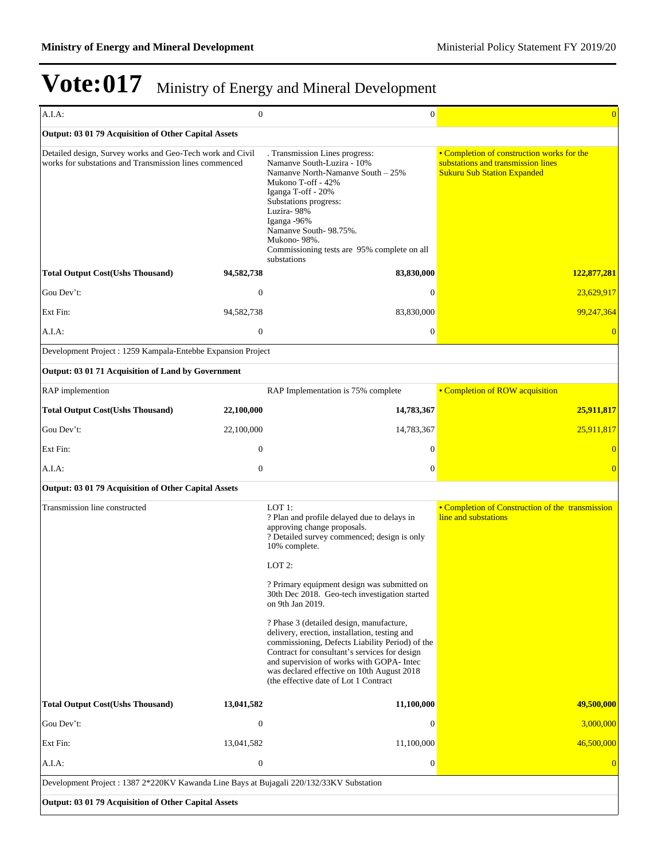| A.I.A:                                                                                                              | $\mathbf{0}$     | $\mathbf{0}$                                                                                                                                                                                                                                                                                                                                                                                                                                                                                                                                                                                                             | $\overline{0}$                                                                                                         |
|---------------------------------------------------------------------------------------------------------------------|------------------|--------------------------------------------------------------------------------------------------------------------------------------------------------------------------------------------------------------------------------------------------------------------------------------------------------------------------------------------------------------------------------------------------------------------------------------------------------------------------------------------------------------------------------------------------------------------------------------------------------------------------|------------------------------------------------------------------------------------------------------------------------|
| Output: 03 01 79 Acquisition of Other Capital Assets                                                                |                  |                                                                                                                                                                                                                                                                                                                                                                                                                                                                                                                                                                                                                          |                                                                                                                        |
| Detailed design, Survey works and Geo-Tech work and Civil<br>works for substations and Transmission lines commenced |                  | . Transmission Lines progress:<br>Namanve South-Luzira - 10%<br>Namanye North-Namanye South – 25%<br>Mukono T-off - 42%<br>Iganga T-off - 20%<br>Substations progress:<br>Luzira-98%<br>Iganga -96%<br>Namanve South-98.75%.<br>Mukono-98%.<br>Commissioning tests are 95% complete on all<br>substations                                                                                                                                                                                                                                                                                                                | • Completion of construction works for the<br>substations and transmission lines<br><b>Sukuru Sub Station Expanded</b> |
| <b>Total Output Cost(Ushs Thousand)</b>                                                                             | 94,582,738       | 83,830,000                                                                                                                                                                                                                                                                                                                                                                                                                                                                                                                                                                                                               | 122,877,281                                                                                                            |
| Gou Dev't:                                                                                                          | $\boldsymbol{0}$ | $\theta$                                                                                                                                                                                                                                                                                                                                                                                                                                                                                                                                                                                                                 | 23,629,917                                                                                                             |
| Ext Fin:                                                                                                            | 94,582,738       | 83,830,000                                                                                                                                                                                                                                                                                                                                                                                                                                                                                                                                                                                                               | 99,247,364                                                                                                             |
| A.I.A:                                                                                                              | $\boldsymbol{0}$ | $\boldsymbol{0}$                                                                                                                                                                                                                                                                                                                                                                                                                                                                                                                                                                                                         | $\Omega$                                                                                                               |
| Development Project : 1259 Kampala-Entebbe Expansion Project                                                        |                  |                                                                                                                                                                                                                                                                                                                                                                                                                                                                                                                                                                                                                          |                                                                                                                        |
| Output: 03 01 71 Acquisition of Land by Government                                                                  |                  |                                                                                                                                                                                                                                                                                                                                                                                                                                                                                                                                                                                                                          |                                                                                                                        |
| RAP implemention                                                                                                    |                  | RAP Implementation is 75% complete                                                                                                                                                                                                                                                                                                                                                                                                                                                                                                                                                                                       | • Completion of ROW acquisition                                                                                        |
| <b>Total Output Cost(Ushs Thousand)</b>                                                                             | 22,100,000       | 14,783,367                                                                                                                                                                                                                                                                                                                                                                                                                                                                                                                                                                                                               | 25,911,817                                                                                                             |
| Gou Dev't:                                                                                                          | 22,100,000       | 14,783,367                                                                                                                                                                                                                                                                                                                                                                                                                                                                                                                                                                                                               | 25,911,817                                                                                                             |
| Ext Fin:                                                                                                            | $\mathbf{0}$     | $\mathbf{0}$                                                                                                                                                                                                                                                                                                                                                                                                                                                                                                                                                                                                             |                                                                                                                        |
| A.I.A:                                                                                                              | $\mathbf{0}$     | $\mathbf{0}$                                                                                                                                                                                                                                                                                                                                                                                                                                                                                                                                                                                                             | $\overline{0}$                                                                                                         |
| Output: 03 01 79 Acquisition of Other Capital Assets                                                                |                  |                                                                                                                                                                                                                                                                                                                                                                                                                                                                                                                                                                                                                          |                                                                                                                        |
| Transmission line constructed                                                                                       |                  | LOT 1:<br>? Plan and profile delayed due to delays in<br>approving change proposals.<br>? Detailed survey commenced; design is only<br>10% complete.<br>LOT 2:<br>? Primary equipment design was submitted on<br>30th Dec 2018. Geo-tech investigation started<br>on 9th Jan 2019.<br>? Phase 3 (detailed design, manufacture,<br>delivery, erection, installation, testing and<br>commissioning, Defects Liability Period) of the<br>Contract for consultant's services for design<br>and supervision of works with GOPA- Intec<br>was declared effective on 10th August 2018<br>(the effective date of Lot 1 Contract) | • Completion of Construction of the transmission<br>line and substations                                               |
| <b>Total Output Cost(Ushs Thousand)</b>                                                                             | 13,041,582       | 11,100,000                                                                                                                                                                                                                                                                                                                                                                                                                                                                                                                                                                                                               | 49,500,000                                                                                                             |
| Gou Dev't:                                                                                                          | $\boldsymbol{0}$ | $\mathbf{0}$                                                                                                                                                                                                                                                                                                                                                                                                                                                                                                                                                                                                             | 3,000,000                                                                                                              |
| Ext Fin:                                                                                                            | 13,041,582       | 11,100,000                                                                                                                                                                                                                                                                                                                                                                                                                                                                                                                                                                                                               | 46,500,000                                                                                                             |
| A.I.A:                                                                                                              | $\boldsymbol{0}$ | $\boldsymbol{0}$                                                                                                                                                                                                                                                                                                                                                                                                                                                                                                                                                                                                         | $\Omega$                                                                                                               |
| Development Project : 1387 2*220KV Kawanda Line Bays at Bujagali 220/132/33KV Substation                            |                  |                                                                                                                                                                                                                                                                                                                                                                                                                                                                                                                                                                                                                          |                                                                                                                        |
| Output: 03 01 79 Acquisition of Other Capital Assets                                                                |                  |                                                                                                                                                                                                                                                                                                                                                                                                                                                                                                                                                                                                                          |                                                                                                                        |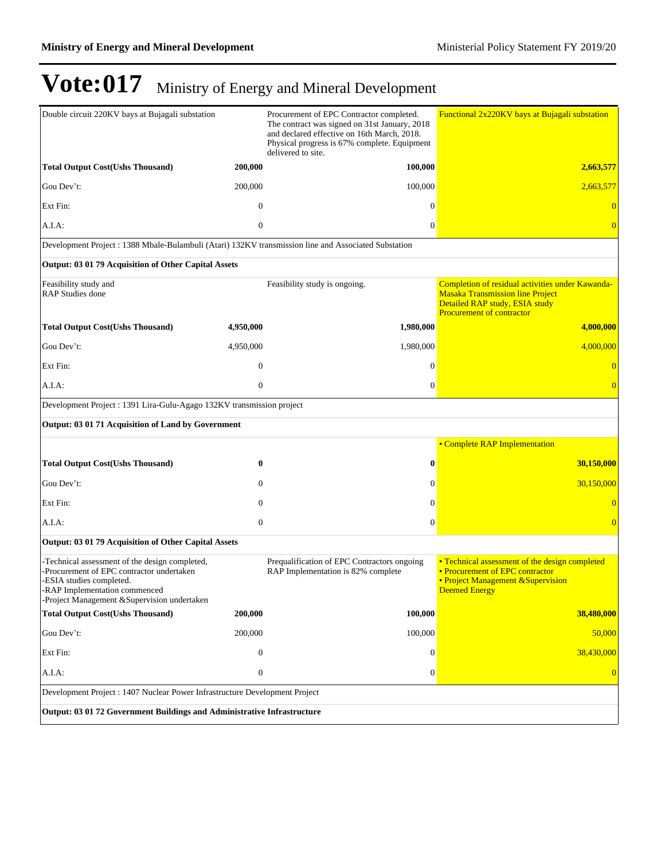| Double circuit 220KV bays at Bujagali substation                                                                                                                                                       |                  | Procurement of EPC Contractor completed.<br>The contract was signed on 31st January, 2018<br>and declared effective on 16th March, 2018.<br>Physical progress is 67% complete. Equipment<br>delivered to site. | Functional 2x220KV bays at Bujagali substation                                                                                                                    |  |  |
|--------------------------------------------------------------------------------------------------------------------------------------------------------------------------------------------------------|------------------|----------------------------------------------------------------------------------------------------------------------------------------------------------------------------------------------------------------|-------------------------------------------------------------------------------------------------------------------------------------------------------------------|--|--|
| <b>Total Output Cost(Ushs Thousand)</b>                                                                                                                                                                | 200,000          | 100,000                                                                                                                                                                                                        | 2,663,577                                                                                                                                                         |  |  |
| Gou Dev't:                                                                                                                                                                                             | 200,000          | 100,000                                                                                                                                                                                                        | 2,663,577                                                                                                                                                         |  |  |
| Ext Fin:                                                                                                                                                                                               | $\overline{0}$   | $\Omega$                                                                                                                                                                                                       |                                                                                                                                                                   |  |  |
| A.I.A.                                                                                                                                                                                                 | $\mathbf{0}$     | $\mathbf{0}$                                                                                                                                                                                                   | $\Omega$                                                                                                                                                          |  |  |
| Development Project : 1388 Mbale-Bulambuli (Atari) 132KV transmission line and Associated Substation                                                                                                   |                  |                                                                                                                                                                                                                |                                                                                                                                                                   |  |  |
| Output: 03 01 79 Acquisition of Other Capital Assets                                                                                                                                                   |                  |                                                                                                                                                                                                                |                                                                                                                                                                   |  |  |
| Feasibility study and<br><b>RAP Studies done</b>                                                                                                                                                       |                  | Feasibility study is ongoing.                                                                                                                                                                                  | Completion of residual activities under Kawanda-<br><b>Masaka Transmission line Project</b><br>Detailed RAP study, ESIA study<br><b>Procurement of contractor</b> |  |  |
| <b>Total Output Cost(Ushs Thousand)</b>                                                                                                                                                                | 4,950,000        | 1,980,000                                                                                                                                                                                                      | 4,000,000                                                                                                                                                         |  |  |
| Gou Dev't:                                                                                                                                                                                             | 4,950,000        | 1,980,000                                                                                                                                                                                                      | 4,000,000                                                                                                                                                         |  |  |
| Ext Fin:                                                                                                                                                                                               | $\overline{0}$   | $\Omega$                                                                                                                                                                                                       | $\Omega$                                                                                                                                                          |  |  |
| A.I.A:                                                                                                                                                                                                 | $\overline{0}$   | $\theta$                                                                                                                                                                                                       | $\overline{0}$                                                                                                                                                    |  |  |
| Development Project : 1391 Lira-Gulu-Agago 132KV transmission project                                                                                                                                  |                  |                                                                                                                                                                                                                |                                                                                                                                                                   |  |  |
| Output: 03 01 71 Acquisition of Land by Government                                                                                                                                                     |                  |                                                                                                                                                                                                                |                                                                                                                                                                   |  |  |
|                                                                                                                                                                                                        |                  |                                                                                                                                                                                                                | • Complete RAP Implementation                                                                                                                                     |  |  |
| <b>Total Output Cost(Ushs Thousand)</b>                                                                                                                                                                | 0                | $\bf{0}$                                                                                                                                                                                                       | 30,150,000                                                                                                                                                        |  |  |
| Gou Dev't:                                                                                                                                                                                             | $\mathbf{0}$     | $\Omega$                                                                                                                                                                                                       | 30,150,000                                                                                                                                                        |  |  |
| Ext Fin:                                                                                                                                                                                               | $\mathbf{0}$     | $\Omega$                                                                                                                                                                                                       |                                                                                                                                                                   |  |  |
| A.I.A:                                                                                                                                                                                                 | $\boldsymbol{0}$ | $\theta$                                                                                                                                                                                                       |                                                                                                                                                                   |  |  |
| Output: 03 01 79 Acquisition of Other Capital Assets                                                                                                                                                   |                  |                                                                                                                                                                                                                |                                                                                                                                                                   |  |  |
| -Technical assessment of the design completed,<br>-Procurement of EPC contractor undertaken<br>ESIA studies completed.<br>RAP Implementation commenced<br>-Project Management & Supervision undertaken |                  | Prequalification of EPC Contractors ongoing<br>RAP Implementation is 82% complete                                                                                                                              | • Technical assessment of the design completed<br>• Procurement of EPC contractor<br>• Project Management & Supervision<br>Deemed Energy                          |  |  |
| <b>Total Output Cost(Ushs Thousand)</b>                                                                                                                                                                | 200,000          | 100,000                                                                                                                                                                                                        | 38,480,000                                                                                                                                                        |  |  |
| Gou Dev't:                                                                                                                                                                                             | 200,000          | 100,000                                                                                                                                                                                                        | 50,000                                                                                                                                                            |  |  |
| Ext Fin:                                                                                                                                                                                               | $\mathbf{0}$     | $\theta$                                                                                                                                                                                                       | 38,430,000                                                                                                                                                        |  |  |
| A.I.A.                                                                                                                                                                                                 | $\boldsymbol{0}$ | $\mathbf{0}$                                                                                                                                                                                                   | $\overline{0}$                                                                                                                                                    |  |  |
| Development Project : 1407 Nuclear Power Infrastructure Development Project                                                                                                                            |                  |                                                                                                                                                                                                                |                                                                                                                                                                   |  |  |
| Output: 03 01 72 Government Buildings and Administrative Infrastructure                                                                                                                                |                  |                                                                                                                                                                                                                |                                                                                                                                                                   |  |  |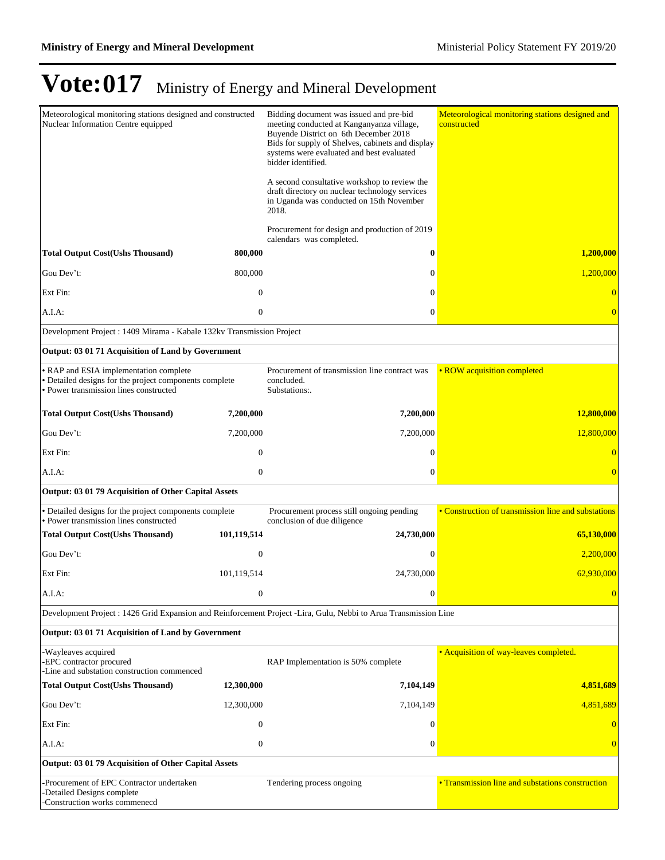| Meteorological monitoring stations designed and constructed<br>Nuclear Information Centre equipped                                         |                  | Bidding document was issued and pre-bid<br>meeting conducted at Kanganyanza village,<br>Buyende District on 6th December 2018<br>Bids for supply of Shelves, cabinets and display<br>systems were evaluated and best evaluated<br>bidder identified.<br>A second consultative workshop to review the<br>draft directory on nuclear technology services<br>in Uganda was conducted on 15th November<br>2018. | Meteorological monitoring stations designed and<br>constructed |
|--------------------------------------------------------------------------------------------------------------------------------------------|------------------|-------------------------------------------------------------------------------------------------------------------------------------------------------------------------------------------------------------------------------------------------------------------------------------------------------------------------------------------------------------------------------------------------------------|----------------------------------------------------------------|
|                                                                                                                                            |                  | Procurement for design and production of 2019<br>calendars was completed.                                                                                                                                                                                                                                                                                                                                   |                                                                |
| <b>Total Output Cost(Ushs Thousand)</b>                                                                                                    | 800,000          | 0                                                                                                                                                                                                                                                                                                                                                                                                           | 1,200,000                                                      |
| Gou Dev't:                                                                                                                                 | 800,000          | $\mathbf{0}$                                                                                                                                                                                                                                                                                                                                                                                                | 1,200,000                                                      |
| Ext Fin:                                                                                                                                   | $\mathbf{0}$     | $\mathbf{0}$                                                                                                                                                                                                                                                                                                                                                                                                |                                                                |
| A.I.A:                                                                                                                                     | $\mathbf{0}$     | $\overline{0}$                                                                                                                                                                                                                                                                                                                                                                                              |                                                                |
| Development Project : 1409 Mirama - Kabale 132kv Transmission Project                                                                      |                  |                                                                                                                                                                                                                                                                                                                                                                                                             |                                                                |
| Output: 03 01 71 Acquisition of Land by Government                                                                                         |                  |                                                                                                                                                                                                                                                                                                                                                                                                             |                                                                |
| • RAP and ESIA implementation complete<br>• Detailed designs for the project components complete<br>• Power transmission lines constructed |                  | Procurement of transmission line contract was<br>concluded.<br>Substations:.                                                                                                                                                                                                                                                                                                                                | • ROW acquisition completed                                    |
| <b>Total Output Cost(Ushs Thousand)</b>                                                                                                    | 7,200,000        | 7,200,000                                                                                                                                                                                                                                                                                                                                                                                                   | 12,800,000                                                     |
| Gou Dev't:                                                                                                                                 | 7,200,000        | 7,200,000                                                                                                                                                                                                                                                                                                                                                                                                   | 12,800,000                                                     |
| Ext Fin:                                                                                                                                   | $\mathbf{0}$     | $\mathbf{0}$                                                                                                                                                                                                                                                                                                                                                                                                |                                                                |
| A.I.A:                                                                                                                                     | $\mathbf{0}$     | $\mathbf{0}$                                                                                                                                                                                                                                                                                                                                                                                                |                                                                |
| Output: 03 01 79 Acquisition of Other Capital Assets                                                                                       |                  |                                                                                                                                                                                                                                                                                                                                                                                                             |                                                                |
| · Detailed designs for the project components complete                                                                                     |                  | Procurement process still ongoing pending                                                                                                                                                                                                                                                                                                                                                                   | • Construction of transmission line and substations            |
| · Power transmission lines constructed<br><b>Total Output Cost(Ushs Thousand)</b>                                                          | 101,119,514      | conclusion of due diligence<br>24,730,000                                                                                                                                                                                                                                                                                                                                                                   | 65,130,000                                                     |
| Gou Dev't:                                                                                                                                 | $\boldsymbol{0}$ | $\mathbf{0}$                                                                                                                                                                                                                                                                                                                                                                                                | 2,200,000                                                      |
| Ext Fin:                                                                                                                                   | 101,119,514      | 24,730,000                                                                                                                                                                                                                                                                                                                                                                                                  | 62,930,000                                                     |
|                                                                                                                                            | $\boldsymbol{0}$ | $\boldsymbol{0}$                                                                                                                                                                                                                                                                                                                                                                                            |                                                                |
| A.I.A:                                                                                                                                     |                  |                                                                                                                                                                                                                                                                                                                                                                                                             | $\overline{0}$                                                 |
| Development Project : 1426 Grid Expansion and Reinforcement Project -Lira, Gulu, Nebbi to Arua Transmission Line                           |                  |                                                                                                                                                                                                                                                                                                                                                                                                             |                                                                |
| Output: 03 01 71 Acquisition of Land by Government                                                                                         |                  |                                                                                                                                                                                                                                                                                                                                                                                                             |                                                                |
| -Wayleaves acquired<br>-EPC contractor procured<br>-Line and substation construction commenced                                             |                  | RAP Implementation is 50% complete                                                                                                                                                                                                                                                                                                                                                                          | • Acquisition of way-leaves completed.                         |
| <b>Total Output Cost(Ushs Thousand)</b>                                                                                                    | 12,300,000       | 7,104,149                                                                                                                                                                                                                                                                                                                                                                                                   | 4,851,689                                                      |
| Gou Dev't:                                                                                                                                 | 12,300,000       | 7,104,149                                                                                                                                                                                                                                                                                                                                                                                                   | 4,851,689                                                      |
| Ext Fin:                                                                                                                                   | $\boldsymbol{0}$ | $\overline{0}$                                                                                                                                                                                                                                                                                                                                                                                              |                                                                |
| A.I.A:                                                                                                                                     | $\boldsymbol{0}$ | $\boldsymbol{0}$                                                                                                                                                                                                                                                                                                                                                                                            |                                                                |
| Output: 03 01 79 Acquisition of Other Capital Assets                                                                                       |                  |                                                                                                                                                                                                                                                                                                                                                                                                             |                                                                |
| Procurement of EPC Contractor undertaken<br>-Detailed Designs complete<br>Construction works commeneed                                     |                  | Tendering process ongoing                                                                                                                                                                                                                                                                                                                                                                                   | • Transmission line and substations construction               |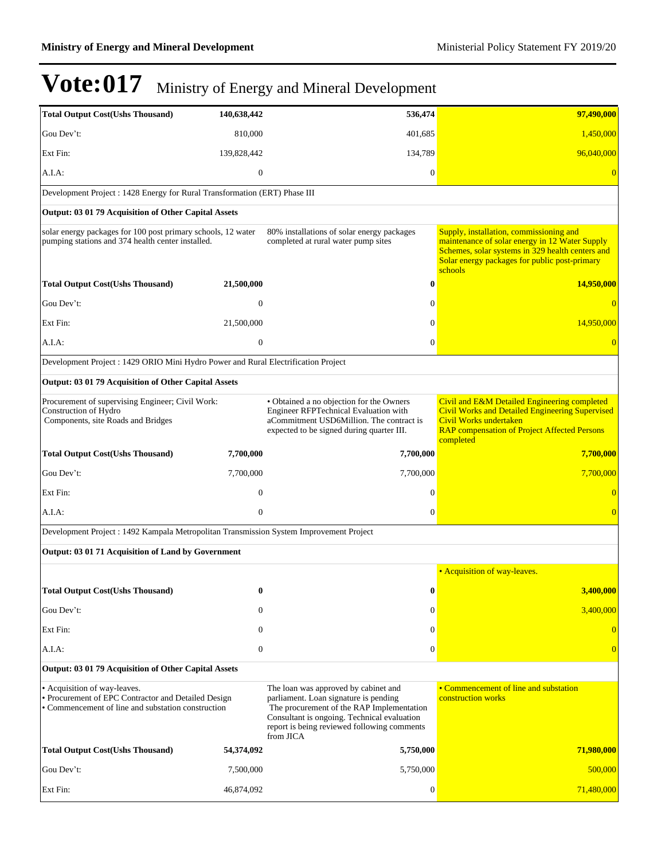| <b>Total Output Cost(Ushs Thousand)</b>                                                                                                   | 140,638,442      | 536,474                                                                                                                                                                                                                               | 97,490,000                                                                                                                                                                                                |  |  |  |
|-------------------------------------------------------------------------------------------------------------------------------------------|------------------|---------------------------------------------------------------------------------------------------------------------------------------------------------------------------------------------------------------------------------------|-----------------------------------------------------------------------------------------------------------------------------------------------------------------------------------------------------------|--|--|--|
| Gou Dev't:                                                                                                                                | 810,000          | 401,685                                                                                                                                                                                                                               | 1,450,000                                                                                                                                                                                                 |  |  |  |
| Ext Fin:                                                                                                                                  | 139,828,442      | 134,789                                                                                                                                                                                                                               | 96,040,000                                                                                                                                                                                                |  |  |  |
| A.I.A:                                                                                                                                    | $\mathbf{0}$     | $\theta$                                                                                                                                                                                                                              |                                                                                                                                                                                                           |  |  |  |
| Development Project: 1428 Energy for Rural Transformation (ERT) Phase III                                                                 |                  |                                                                                                                                                                                                                                       |                                                                                                                                                                                                           |  |  |  |
| Output: 03 01 79 Acquisition of Other Capital Assets                                                                                      |                  |                                                                                                                                                                                                                                       |                                                                                                                                                                                                           |  |  |  |
| solar energy packages for 100 post primary schools, 12 water<br>pumping stations and 374 health center installed.                         |                  | 80% installations of solar energy packages<br>completed at rural water pump sites                                                                                                                                                     | Supply, installation, commissioning and<br>maintenance of solar energy in 12 Water Supply<br>Schemes, solar systems in 329 health centers and<br>Solar energy packages for public post-primary<br>schools |  |  |  |
| <b>Total Output Cost(Ushs Thousand)</b>                                                                                                   | 21,500,000       | $\bf{0}$                                                                                                                                                                                                                              | 14,950,000                                                                                                                                                                                                |  |  |  |
| Gou Dev't:                                                                                                                                | $\overline{0}$   | $\Omega$                                                                                                                                                                                                                              |                                                                                                                                                                                                           |  |  |  |
| Ext Fin:                                                                                                                                  | 21,500,000       | $\Omega$                                                                                                                                                                                                                              | 14,950,000                                                                                                                                                                                                |  |  |  |
| A.I.A.                                                                                                                                    | $\mathbf{0}$     | $\mathbf{0}$                                                                                                                                                                                                                          |                                                                                                                                                                                                           |  |  |  |
| Development Project : 1429 ORIO Mini Hydro Power and Rural Electrification Project                                                        |                  |                                                                                                                                                                                                                                       |                                                                                                                                                                                                           |  |  |  |
| Output: 03 01 79 Acquisition of Other Capital Assets                                                                                      |                  |                                                                                                                                                                                                                                       |                                                                                                                                                                                                           |  |  |  |
| Procurement of supervising Engineer; Civil Work:<br>Construction of Hydro<br>Components, site Roads and Bridges                           |                  | • Obtained a no objection for the Owners<br>Engineer RFPTechnical Evaluation with<br>aCommitment USD6Million. The contract is<br>expected to be signed during quarter III.                                                            | Civil and E&M Detailed Engineering completed<br><b>Civil Works and Detailed Engineering Supervised</b><br>Civil Works undertaken<br><b>RAP</b> compensation of Project Affected Persons<br>completed      |  |  |  |
| <b>Total Output Cost(Ushs Thousand)</b>                                                                                                   | 7,700,000        | 7,700,000                                                                                                                                                                                                                             | 7,700,000                                                                                                                                                                                                 |  |  |  |
| Gou Dev't:                                                                                                                                | 7,700,000        | 7,700,000                                                                                                                                                                                                                             | 7,700,000                                                                                                                                                                                                 |  |  |  |
| Ext Fin:                                                                                                                                  | $\overline{0}$   | $\Omega$                                                                                                                                                                                                                              | $\Omega$                                                                                                                                                                                                  |  |  |  |
| A.I.A:                                                                                                                                    | $\mathbf{0}$     | $\mathbf{0}$                                                                                                                                                                                                                          | $\Omega$                                                                                                                                                                                                  |  |  |  |
| Development Project : 1492 Kampala Metropolitan Transmission System Improvement Project                                                   |                  |                                                                                                                                                                                                                                       |                                                                                                                                                                                                           |  |  |  |
| Output: 03 01 71 Acquisition of Land by Government                                                                                        |                  |                                                                                                                                                                                                                                       |                                                                                                                                                                                                           |  |  |  |
|                                                                                                                                           |                  |                                                                                                                                                                                                                                       | • Acquisition of way-leaves.                                                                                                                                                                              |  |  |  |
| <b>Total Output Cost(Ushs Thousand)</b>                                                                                                   | $\bf{0}$         | 0                                                                                                                                                                                                                                     | 3,400,000                                                                                                                                                                                                 |  |  |  |
| Gou Dev't:                                                                                                                                | $\Omega$         | $\mathbf{0}$                                                                                                                                                                                                                          | 3,400,000                                                                                                                                                                                                 |  |  |  |
| Ext Fin:                                                                                                                                  | $\mathbf{0}$     | $\mathbf{0}$                                                                                                                                                                                                                          |                                                                                                                                                                                                           |  |  |  |
| A.I.A:                                                                                                                                    | $\boldsymbol{0}$ | $\boldsymbol{0}$                                                                                                                                                                                                                      |                                                                                                                                                                                                           |  |  |  |
| Output: 03 01 79 Acquisition of Other Capital Assets                                                                                      |                  |                                                                                                                                                                                                                                       |                                                                                                                                                                                                           |  |  |  |
| • Acquisition of way-leaves.<br>· Procurement of EPC Contractor and Detailed Design<br>• Commencement of line and substation construction |                  | The loan was approved by cabinet and<br>parliament. Loan signature is pending<br>The procurement of the RAP Implementation<br>Consultant is ongoing. Technical evaluation<br>report is being reviewed following comments<br>from JICA | • Commencement of line and substation<br>construction works                                                                                                                                               |  |  |  |
| <b>Total Output Cost(Ushs Thousand)</b>                                                                                                   | 54,374,092       | 5,750,000                                                                                                                                                                                                                             | 71,980,000                                                                                                                                                                                                |  |  |  |
| Gou Dev't:                                                                                                                                | 7,500,000        | 5,750,000                                                                                                                                                                                                                             | 500,000                                                                                                                                                                                                   |  |  |  |
| Ext Fin:                                                                                                                                  | 46,874,092       | $\mathbf{0}$                                                                                                                                                                                                                          | 71,480,000                                                                                                                                                                                                |  |  |  |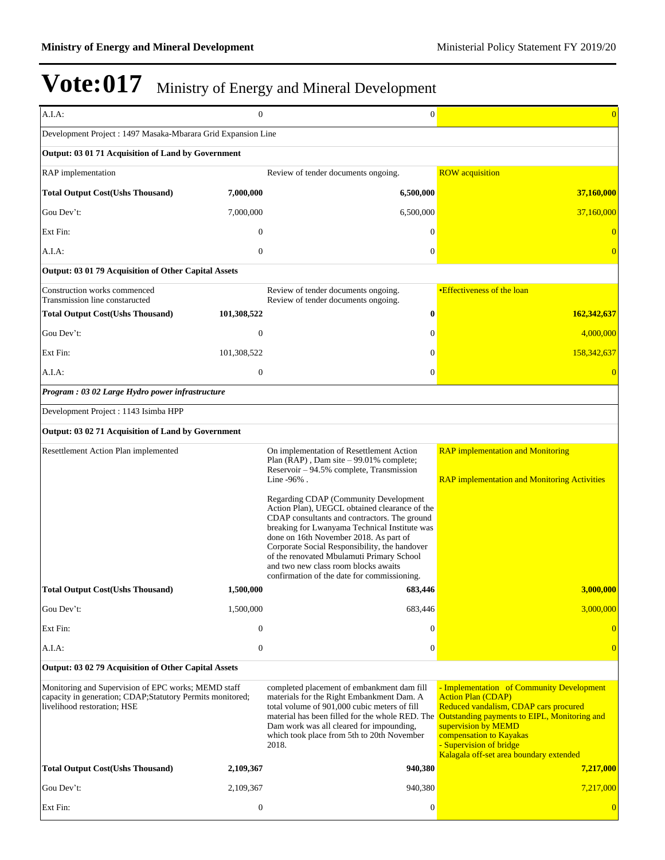| A.I.A:                                                                                                                                          | $\mathbf{0}$     | $\mathbf{0}$                                                                                                                                                                                                                                                                                                                                                                                                           | $\Omega$                                                                                                                                                                                                                                                                                |
|-------------------------------------------------------------------------------------------------------------------------------------------------|------------------|------------------------------------------------------------------------------------------------------------------------------------------------------------------------------------------------------------------------------------------------------------------------------------------------------------------------------------------------------------------------------------------------------------------------|-----------------------------------------------------------------------------------------------------------------------------------------------------------------------------------------------------------------------------------------------------------------------------------------|
| Development Project: 1497 Masaka-Mbarara Grid Expansion Line                                                                                    |                  |                                                                                                                                                                                                                                                                                                                                                                                                                        |                                                                                                                                                                                                                                                                                         |
| Output: 03 01 71 Acquisition of Land by Government                                                                                              |                  |                                                                                                                                                                                                                                                                                                                                                                                                                        |                                                                                                                                                                                                                                                                                         |
| <b>RAP</b> implementation                                                                                                                       |                  | Review of tender documents ongoing.                                                                                                                                                                                                                                                                                                                                                                                    | <b>ROW</b> acquisition                                                                                                                                                                                                                                                                  |
| <b>Total Output Cost(Ushs Thousand)</b>                                                                                                         | 7,000,000        | 6,500,000                                                                                                                                                                                                                                                                                                                                                                                                              | 37,160,000                                                                                                                                                                                                                                                                              |
| Gou Dev't:                                                                                                                                      | 7,000,000        | 6,500,000                                                                                                                                                                                                                                                                                                                                                                                                              | 37,160,000                                                                                                                                                                                                                                                                              |
| Ext Fin:                                                                                                                                        | $\mathbf{0}$     | $\Omega$                                                                                                                                                                                                                                                                                                                                                                                                               |                                                                                                                                                                                                                                                                                         |
| A.I.A:                                                                                                                                          | $\overline{0}$   | $\mathbf{0}$                                                                                                                                                                                                                                                                                                                                                                                                           |                                                                                                                                                                                                                                                                                         |
| Output: 03 01 79 Acquisition of Other Capital Assets                                                                                            |                  |                                                                                                                                                                                                                                                                                                                                                                                                                        |                                                                                                                                                                                                                                                                                         |
| Construction works commenced                                                                                                                    |                  | Review of tender documents ongoing.                                                                                                                                                                                                                                                                                                                                                                                    | •Effectiveness of the loan                                                                                                                                                                                                                                                              |
| Transmission line constaructed<br><b>Total Output Cost(Ushs Thousand)</b>                                                                       | 101,308,522      | Review of tender documents ongoing.<br>$\bf{0}$                                                                                                                                                                                                                                                                                                                                                                        | 162,342,637                                                                                                                                                                                                                                                                             |
| Gou Dev't:                                                                                                                                      | $\overline{0}$   | 0                                                                                                                                                                                                                                                                                                                                                                                                                      | 4,000,000                                                                                                                                                                                                                                                                               |
| Ext Fin:                                                                                                                                        | 101,308,522      | $\mathbf{0}$                                                                                                                                                                                                                                                                                                                                                                                                           | 158,342,637                                                                                                                                                                                                                                                                             |
| A.I.A:                                                                                                                                          | $\boldsymbol{0}$ | $\mathbf{0}$                                                                                                                                                                                                                                                                                                                                                                                                           |                                                                                                                                                                                                                                                                                         |
| Program : 03 02 Large Hydro power infrastructure                                                                                                |                  |                                                                                                                                                                                                                                                                                                                                                                                                                        |                                                                                                                                                                                                                                                                                         |
| Development Project : 1143 Isimba HPP                                                                                                           |                  |                                                                                                                                                                                                                                                                                                                                                                                                                        |                                                                                                                                                                                                                                                                                         |
| Output: 03 02 71 Acquisition of Land by Government                                                                                              |                  |                                                                                                                                                                                                                                                                                                                                                                                                                        |                                                                                                                                                                                                                                                                                         |
| Resettlement Action Plan implemented                                                                                                            |                  | On implementation of Resettlement Action                                                                                                                                                                                                                                                                                                                                                                               | <b>RAP</b> implementation and Monitoring                                                                                                                                                                                                                                                |
|                                                                                                                                                 |                  | Plan $(RAP)$ , Dam site $-99.01\%$ complete;<br>Reservoir – 94.5% complete, Transmission<br>Line -96%.                                                                                                                                                                                                                                                                                                                 | <b>RAP</b> implementation and Monitoring Activities                                                                                                                                                                                                                                     |
|                                                                                                                                                 |                  | Regarding CDAP (Community Development<br>Action Plan), UEGCL obtained clearance of the<br>CDAP consultants and contractors. The ground<br>breaking for Lwanyama Technical Institute was<br>done on 16th November 2018. As part of<br>Corporate Social Responsibility, the handover<br>of the renovated Mbulamuti Primary School<br>and two new class room blocks awaits<br>confirmation of the date for commissioning. |                                                                                                                                                                                                                                                                                         |
| Total Output Cost(Ushs Thousand)                                                                                                                | 1,500,000        | 683,446                                                                                                                                                                                                                                                                                                                                                                                                                | <u>3,000,000 </u>                                                                                                                                                                                                                                                                       |
| Gou Dev't:                                                                                                                                      | 1,500,000        | 683,446                                                                                                                                                                                                                                                                                                                                                                                                                | 3,000,000                                                                                                                                                                                                                                                                               |
| Ext Fin:                                                                                                                                        | $\boldsymbol{0}$ | $\mathbf{0}$                                                                                                                                                                                                                                                                                                                                                                                                           |                                                                                                                                                                                                                                                                                         |
| A.I.A:                                                                                                                                          | $\boldsymbol{0}$ | $\mathbf{0}$                                                                                                                                                                                                                                                                                                                                                                                                           |                                                                                                                                                                                                                                                                                         |
| Output: 03 02 79 Acquisition of Other Capital Assets                                                                                            |                  |                                                                                                                                                                                                                                                                                                                                                                                                                        |                                                                                                                                                                                                                                                                                         |
| Monitoring and Supervision of EPC works; MEMD staff<br>capacity in generation; CDAP;Statutory Permits monitored;<br>livelihood restoration; HSE |                  | completed placement of embankment dam fill<br>materials for the Right Embankment Dam. A<br>total volume of 901,000 cubic meters of fill<br>material has been filled for the whole RED. The<br>Dam work was all cleared for impounding,<br>which took place from 5th to 20th November<br>2018.                                                                                                                          | - Implementation of Community Development<br><b>Action Plan (CDAP)</b><br>Reduced vandalism, CDAP cars procured<br>Outstanding payments to EIPL, Monitoring and<br>supervision by MEMD<br>compensation to Kayakas<br>- Supervision of bridge<br>Kalagala off-set area boundary extended |
| <b>Total Output Cost(Ushs Thousand)</b>                                                                                                         | 2,109,367        | 940,380                                                                                                                                                                                                                                                                                                                                                                                                                | 7,217,000                                                                                                                                                                                                                                                                               |
| Gou Dev't:                                                                                                                                      | 2,109,367        | 940,380                                                                                                                                                                                                                                                                                                                                                                                                                | 7,217,000                                                                                                                                                                                                                                                                               |
| Ext Fin:                                                                                                                                        | $\boldsymbol{0}$ | $\boldsymbol{0}$                                                                                                                                                                                                                                                                                                                                                                                                       |                                                                                                                                                                                                                                                                                         |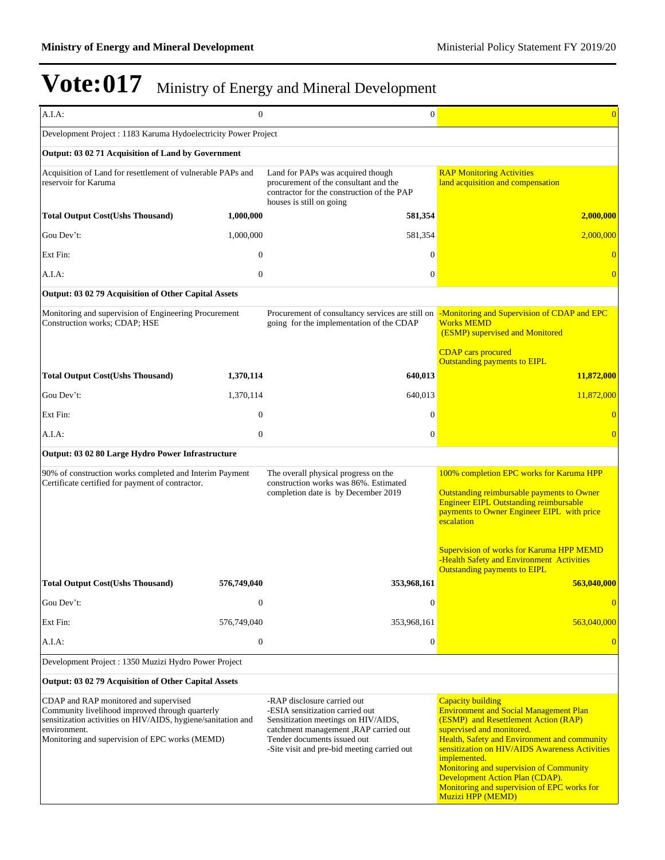| A.I.A:                                                                                                                                                                                                                     | $\boldsymbol{0}$ | $\mathbf{0}$                                                                                                                                                                                                                  | $\overline{0}$                                                                                                                                                                                                                                                                                                                                                                                                     |
|----------------------------------------------------------------------------------------------------------------------------------------------------------------------------------------------------------------------------|------------------|-------------------------------------------------------------------------------------------------------------------------------------------------------------------------------------------------------------------------------|--------------------------------------------------------------------------------------------------------------------------------------------------------------------------------------------------------------------------------------------------------------------------------------------------------------------------------------------------------------------------------------------------------------------|
| Development Project : 1183 Karuma Hydoelectricity Power Project                                                                                                                                                            |                  |                                                                                                                                                                                                                               |                                                                                                                                                                                                                                                                                                                                                                                                                    |
| Output: 03 02 71 Acquisition of Land by Government                                                                                                                                                                         |                  |                                                                                                                                                                                                                               |                                                                                                                                                                                                                                                                                                                                                                                                                    |
| Acquisition of Land for resettlement of vulnerable PAPs and<br>reservoir for Karuma                                                                                                                                        |                  | Land for PAPs was acquired though<br>procurement of the consultant and the<br>contractor for the construction of the PAP<br>houses is still on going                                                                          | <b>RAP Monitoring Activities</b><br>land acquisition and compensation                                                                                                                                                                                                                                                                                                                                              |
| <b>Total Output Cost(Ushs Thousand)</b>                                                                                                                                                                                    | 1,000,000        | 581,354                                                                                                                                                                                                                       | 2,000,000                                                                                                                                                                                                                                                                                                                                                                                                          |
| Gou Dev't:                                                                                                                                                                                                                 | 1,000,000        | 581,354                                                                                                                                                                                                                       | 2,000,000                                                                                                                                                                                                                                                                                                                                                                                                          |
| Ext Fin:                                                                                                                                                                                                                   | $\theta$         | $\Omega$                                                                                                                                                                                                                      |                                                                                                                                                                                                                                                                                                                                                                                                                    |
| A.I.A:                                                                                                                                                                                                                     | $\boldsymbol{0}$ | $\overline{0}$                                                                                                                                                                                                                |                                                                                                                                                                                                                                                                                                                                                                                                                    |
| Output: 03 02 79 Acquisition of Other Capital Assets                                                                                                                                                                       |                  |                                                                                                                                                                                                                               |                                                                                                                                                                                                                                                                                                                                                                                                                    |
| Monitoring and supervision of Engineering Procurement<br>Construction works; CDAP; HSE                                                                                                                                     |                  | Procurement of consultancy services are still on<br>going for the implementation of the CDAP                                                                                                                                  | -Monitoring and Supervision of CDAP and EPC<br><b>Works MEMD</b><br>(ESMP) supervised and Monitored                                                                                                                                                                                                                                                                                                                |
|                                                                                                                                                                                                                            |                  |                                                                                                                                                                                                                               | <b>CDAP</b> cars procured<br><b>Outstanding payments to EIPL</b>                                                                                                                                                                                                                                                                                                                                                   |
| <b>Total Output Cost(Ushs Thousand)</b>                                                                                                                                                                                    | 1,370,114        | 640,013                                                                                                                                                                                                                       | 11,872,000                                                                                                                                                                                                                                                                                                                                                                                                         |
| Gou Dev't:                                                                                                                                                                                                                 | 1,370,114        | 640,013                                                                                                                                                                                                                       | 11,872,000                                                                                                                                                                                                                                                                                                                                                                                                         |
| Ext Fin:                                                                                                                                                                                                                   | $\boldsymbol{0}$ | $\overline{0}$                                                                                                                                                                                                                |                                                                                                                                                                                                                                                                                                                                                                                                                    |
| A.I.A:                                                                                                                                                                                                                     | $\boldsymbol{0}$ | $\mathbf{0}$                                                                                                                                                                                                                  | $\overline{0}$                                                                                                                                                                                                                                                                                                                                                                                                     |
| Output: 03 02 80 Large Hydro Power Infrastructure                                                                                                                                                                          |                  |                                                                                                                                                                                                                               |                                                                                                                                                                                                                                                                                                                                                                                                                    |
| 90% of construction works completed and Interim Payment<br>Certificate certified for payment of contractor.                                                                                                                |                  | The overall physical progress on the<br>construction works was 86%. Estimated<br>completion date is by December 2019                                                                                                          | 100% completion EPC works for Karuma HPP<br>Outstanding reimbursable payments to Owner<br><b>Engineer EIPL Outstanding reimbursable</b><br>payments to Owner Engineer EIPL with price<br>escalation<br><b>Supervision of works for Karuma HPP MEMD</b>                                                                                                                                                             |
|                                                                                                                                                                                                                            |                  |                                                                                                                                                                                                                               | -Health Safety and Environment Activities<br><b>Outstanding payments to EIPL</b>                                                                                                                                                                                                                                                                                                                                   |
| <b>Total Output Cost(Ushs Thousand)</b>                                                                                                                                                                                    | 576,749,040      | 353,968,161                                                                                                                                                                                                                   | 563,040,000                                                                                                                                                                                                                                                                                                                                                                                                        |
| Gou Dev't:                                                                                                                                                                                                                 | $\mathbf{0}$     | $\boldsymbol{0}$                                                                                                                                                                                                              | $\overline{0}$                                                                                                                                                                                                                                                                                                                                                                                                     |
| Ext Fin:                                                                                                                                                                                                                   | 576,749,040      | 353,968,161                                                                                                                                                                                                                   | 563,040,000                                                                                                                                                                                                                                                                                                                                                                                                        |
| A.I.A:                                                                                                                                                                                                                     | $\boldsymbol{0}$ | $\boldsymbol{0}$                                                                                                                                                                                                              |                                                                                                                                                                                                                                                                                                                                                                                                                    |
| Development Project : 1350 Muzizi Hydro Power Project                                                                                                                                                                      |                  |                                                                                                                                                                                                                               |                                                                                                                                                                                                                                                                                                                                                                                                                    |
| Output: 03 02 79 Acquisition of Other Capital Assets                                                                                                                                                                       |                  |                                                                                                                                                                                                                               |                                                                                                                                                                                                                                                                                                                                                                                                                    |
| CDAP and RAP monitored and supervised<br>Community livelihood improved through quarterly<br>sensitization activities on HIV/AIDS, hygiene/sanitation and<br>environment.<br>Monitoring and supervision of EPC works (MEMD) |                  | -RAP disclosure carried out<br>-ESIA sensitization carried out<br>Sensitization meetings on HIV/AIDS,<br>catchment management , RAP carried out<br>Tender documents issued out<br>-Site visit and pre-bid meeting carried out | <b>Capacity building</b><br><b>Environment and Social Management Plan</b><br>(ESMP) and Resettlement Action (RAP)<br>supervised and monitored.<br>Health, Safety and Environment and community<br>sensitization on HIV/AIDS Awareness Activities<br>implemented.<br>Monitoring and supervision of Community<br>Development Action Plan (CDAP).<br>Monitoring and supervision of EPC works for<br>Muzizi HPP (MEMD) |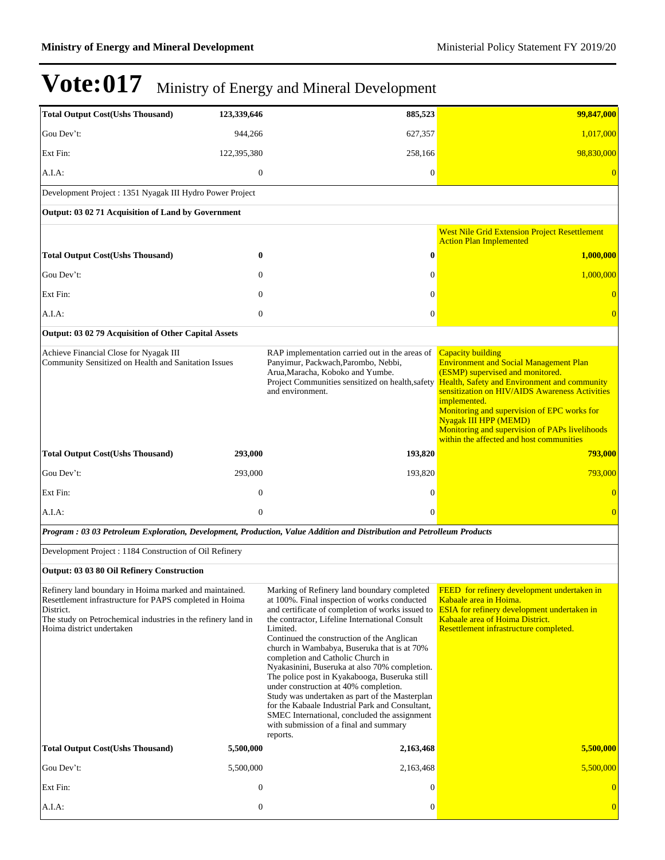| <b>Total Output Cost(Ushs Thousand)</b>                                                                                                                                                                                      | 123,339,646      | 885,523                                                                                                                                                                                                                                                                                                                                                                                                                                                                                                                                                                                                                                                                                               | 99,847,000                                                                                                                                                                                                                                                                                                                                                                                                   |
|------------------------------------------------------------------------------------------------------------------------------------------------------------------------------------------------------------------------------|------------------|-------------------------------------------------------------------------------------------------------------------------------------------------------------------------------------------------------------------------------------------------------------------------------------------------------------------------------------------------------------------------------------------------------------------------------------------------------------------------------------------------------------------------------------------------------------------------------------------------------------------------------------------------------------------------------------------------------|--------------------------------------------------------------------------------------------------------------------------------------------------------------------------------------------------------------------------------------------------------------------------------------------------------------------------------------------------------------------------------------------------------------|
| Gou Dev't:                                                                                                                                                                                                                   | 944.266          | 627,357                                                                                                                                                                                                                                                                                                                                                                                                                                                                                                                                                                                                                                                                                               | 1,017,000                                                                                                                                                                                                                                                                                                                                                                                                    |
| Ext Fin:                                                                                                                                                                                                                     | 122,395,380      | 258,166                                                                                                                                                                                                                                                                                                                                                                                                                                                                                                                                                                                                                                                                                               | 98,830,000                                                                                                                                                                                                                                                                                                                                                                                                   |
| A.I.A:                                                                                                                                                                                                                       | $\mathbf{0}$     | 0                                                                                                                                                                                                                                                                                                                                                                                                                                                                                                                                                                                                                                                                                                     | $\Omega$                                                                                                                                                                                                                                                                                                                                                                                                     |
| Development Project : 1351 Nyagak III Hydro Power Project                                                                                                                                                                    |                  |                                                                                                                                                                                                                                                                                                                                                                                                                                                                                                                                                                                                                                                                                                       |                                                                                                                                                                                                                                                                                                                                                                                                              |
| Output: 03 02 71 Acquisition of Land by Government                                                                                                                                                                           |                  |                                                                                                                                                                                                                                                                                                                                                                                                                                                                                                                                                                                                                                                                                                       |                                                                                                                                                                                                                                                                                                                                                                                                              |
|                                                                                                                                                                                                                              |                  |                                                                                                                                                                                                                                                                                                                                                                                                                                                                                                                                                                                                                                                                                                       | <b>West Nile Grid Extension Project Resettlement</b>                                                                                                                                                                                                                                                                                                                                                         |
| <b>Total Output Cost(Ushs Thousand)</b>                                                                                                                                                                                      | 0                | 0                                                                                                                                                                                                                                                                                                                                                                                                                                                                                                                                                                                                                                                                                                     | <b>Action Plan Implemented</b><br>1,000,000                                                                                                                                                                                                                                                                                                                                                                  |
| Gou Dev't:                                                                                                                                                                                                                   | $\Omega$         | 0                                                                                                                                                                                                                                                                                                                                                                                                                                                                                                                                                                                                                                                                                                     | 1,000,000                                                                                                                                                                                                                                                                                                                                                                                                    |
| Ext Fin:                                                                                                                                                                                                                     | $\Omega$         | $\Omega$                                                                                                                                                                                                                                                                                                                                                                                                                                                                                                                                                                                                                                                                                              |                                                                                                                                                                                                                                                                                                                                                                                                              |
| $A.I.A$ :                                                                                                                                                                                                                    | $\mathbf{0}$     | $\theta$                                                                                                                                                                                                                                                                                                                                                                                                                                                                                                                                                                                                                                                                                              |                                                                                                                                                                                                                                                                                                                                                                                                              |
| Output: 03 02 79 Acquisition of Other Capital Assets                                                                                                                                                                         |                  |                                                                                                                                                                                                                                                                                                                                                                                                                                                                                                                                                                                                                                                                                                       |                                                                                                                                                                                                                                                                                                                                                                                                              |
| Achieve Financial Close for Nyagak III<br>Community Sensitized on Health and Sanitation Issues                                                                                                                               |                  | RAP implementation carried out in the areas of<br>Panyimur, Packwach, Parombo, Nebbi,<br>Arua, Maracha, Koboko and Yumbe.<br>Project Communities sensitized on health, safety<br>and environment.                                                                                                                                                                                                                                                                                                                                                                                                                                                                                                     | <b>Capacity building</b><br><b>Environment and Social Management Plan</b><br>(ESMP) supervised and monitored.<br><b>Health, Safety and Environment and community</b><br>sensitization on HIV/AIDS Awareness Activities<br>implemented.<br>Monitoring and supervision of EPC works for<br>Nyagak III HPP (MEMD)<br>Monitoring and supervision of PAPs livelihoods<br>within the affected and host communities |
| <b>Total Output Cost(Ushs Thousand)</b>                                                                                                                                                                                      | 293,000          | 193,820                                                                                                                                                                                                                                                                                                                                                                                                                                                                                                                                                                                                                                                                                               | 793,000                                                                                                                                                                                                                                                                                                                                                                                                      |
| Gou Dev't:                                                                                                                                                                                                                   | 293,000          | 193,820                                                                                                                                                                                                                                                                                                                                                                                                                                                                                                                                                                                                                                                                                               | 793,000                                                                                                                                                                                                                                                                                                                                                                                                      |
| Ext Fin:                                                                                                                                                                                                                     | $\mathbf{0}$     | 0                                                                                                                                                                                                                                                                                                                                                                                                                                                                                                                                                                                                                                                                                                     | $\overline{0}$                                                                                                                                                                                                                                                                                                                                                                                               |
| A.I.A:                                                                                                                                                                                                                       | $\mathbf{0}$     | $\Omega$                                                                                                                                                                                                                                                                                                                                                                                                                                                                                                                                                                                                                                                                                              | $\overline{0}$                                                                                                                                                                                                                                                                                                                                                                                               |
|                                                                                                                                                                                                                              |                  | Program: 03 03 Petroleum Exploration, Development, Production, Value Addition and Distribution and Petrolleum Products                                                                                                                                                                                                                                                                                                                                                                                                                                                                                                                                                                                |                                                                                                                                                                                                                                                                                                                                                                                                              |
| Development Project : 1184 Construction of Oil Refinery                                                                                                                                                                      |                  |                                                                                                                                                                                                                                                                                                                                                                                                                                                                                                                                                                                                                                                                                                       |                                                                                                                                                                                                                                                                                                                                                                                                              |
| Output: 03 03 80 Oil Refinery Construction                                                                                                                                                                                   |                  |                                                                                                                                                                                                                                                                                                                                                                                                                                                                                                                                                                                                                                                                                                       |                                                                                                                                                                                                                                                                                                                                                                                                              |
| Refinery land boundary in Hoima marked and maintained.<br>Resettlement infrastructure for PAPS completed in Hoima<br>District.<br>The study on Petrochemical industries in the refinery land in<br>Hoima district undertaken |                  | Marking of Refinery land boundary completed<br>at 100%. Final inspection of works conducted<br>and certificate of completion of works issued to<br>the contractor, Lifeline International Consult<br>Limited.<br>Continued the construction of the Anglican<br>church in Wambabya, Buseruka that is at 70%<br>completion and Catholic Church in<br>Nyakasinini, Buseruka at also 70% completion.<br>The police post in Kyakabooga, Buseruka still<br>under construction at 40% completion.<br>Study was undertaken as part of the Masterplan<br>for the Kabaale Industrial Park and Consultant,<br>SMEC International, concluded the assignment<br>with submission of a final and summary<br>reports. | FEED for refinery development undertaken in<br>Kabaale area in Hoima.<br>ESIA for refinery development undertaken in<br>Kabaale area of Hoima District.<br>Resettlement infrastructure completed.                                                                                                                                                                                                            |
| <b>Total Output Cost(Ushs Thousand)</b>                                                                                                                                                                                      | 5,500,000        | 2,163,468                                                                                                                                                                                                                                                                                                                                                                                                                                                                                                                                                                                                                                                                                             | 5,500,000                                                                                                                                                                                                                                                                                                                                                                                                    |
| Gou Dev't:                                                                                                                                                                                                                   | 5,500,000        | 2,163,468                                                                                                                                                                                                                                                                                                                                                                                                                                                                                                                                                                                                                                                                                             | 5,500,000                                                                                                                                                                                                                                                                                                                                                                                                    |
| Ext Fin:                                                                                                                                                                                                                     | $\boldsymbol{0}$ | 0                                                                                                                                                                                                                                                                                                                                                                                                                                                                                                                                                                                                                                                                                                     | $\overline{0}$                                                                                                                                                                                                                                                                                                                                                                                               |
| A.I.A:                                                                                                                                                                                                                       | $\boldsymbol{0}$ | 0                                                                                                                                                                                                                                                                                                                                                                                                                                                                                                                                                                                                                                                                                                     | $\overline{0}$                                                                                                                                                                                                                                                                                                                                                                                               |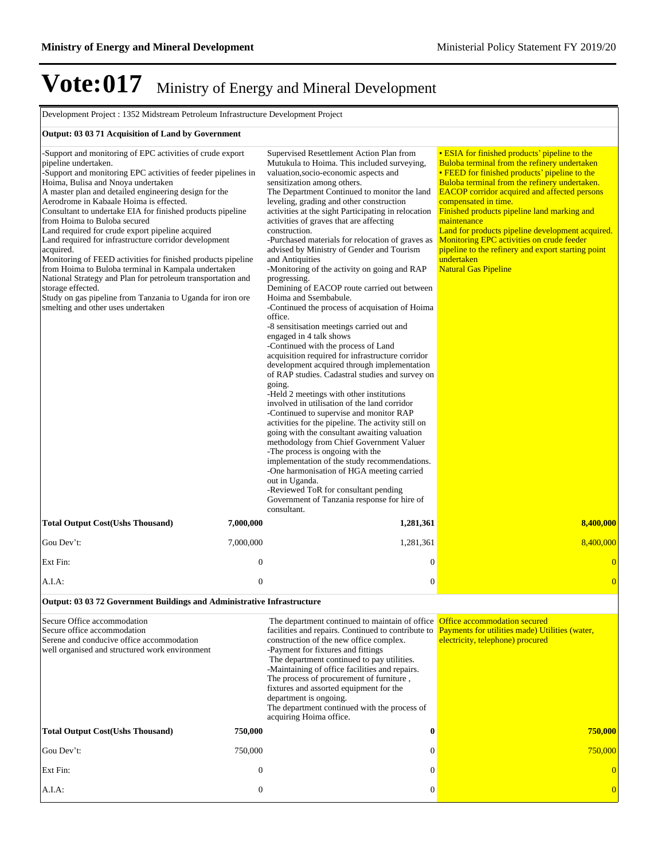| Development Project : 1352 Midstream Petroleum Infrastructure Development Project                                                                                                                                                                                                                                                                                                                                                                                                                                                                                                                                                                                                                                                                                                                                                   |                  |                                                                                                                                                                                                                                                                                                                                                                                                                                                                                                                                                                                                                                                                                                                                                                                                                                                                                                                                                                                                                                                                                                                                                                                                                                                                                                                                                                                                                                                                                                                                          |                                                                                                                                                                                                                                                                                                                                                                                                                                                                                                                                                  |  |
|-------------------------------------------------------------------------------------------------------------------------------------------------------------------------------------------------------------------------------------------------------------------------------------------------------------------------------------------------------------------------------------------------------------------------------------------------------------------------------------------------------------------------------------------------------------------------------------------------------------------------------------------------------------------------------------------------------------------------------------------------------------------------------------------------------------------------------------|------------------|------------------------------------------------------------------------------------------------------------------------------------------------------------------------------------------------------------------------------------------------------------------------------------------------------------------------------------------------------------------------------------------------------------------------------------------------------------------------------------------------------------------------------------------------------------------------------------------------------------------------------------------------------------------------------------------------------------------------------------------------------------------------------------------------------------------------------------------------------------------------------------------------------------------------------------------------------------------------------------------------------------------------------------------------------------------------------------------------------------------------------------------------------------------------------------------------------------------------------------------------------------------------------------------------------------------------------------------------------------------------------------------------------------------------------------------------------------------------------------------------------------------------------------------|--------------------------------------------------------------------------------------------------------------------------------------------------------------------------------------------------------------------------------------------------------------------------------------------------------------------------------------------------------------------------------------------------------------------------------------------------------------------------------------------------------------------------------------------------|--|
| Output: 03 03 71 Acquisition of Land by Government                                                                                                                                                                                                                                                                                                                                                                                                                                                                                                                                                                                                                                                                                                                                                                                  |                  |                                                                                                                                                                                                                                                                                                                                                                                                                                                                                                                                                                                                                                                                                                                                                                                                                                                                                                                                                                                                                                                                                                                                                                                                                                                                                                                                                                                                                                                                                                                                          |                                                                                                                                                                                                                                                                                                                                                                                                                                                                                                                                                  |  |
| -Support and monitoring of EPC activities of crude export<br>pipeline undertaken.<br>-Support and monitoring EPC activities of feeder pipelines in<br>Hoima, Bulisa and Nnoya undertaken<br>A master plan and detailed engineering design for the<br>Aerodrome in Kabaale Hoima is effected.<br>Consultant to undertake EIA for finished products pipeline<br>from Hoima to Buloba secured<br>Land required for crude export pipeline acquired<br>Land required for infrastructure corridor development<br>acquired.<br>Monitoring of FEED activities for finished products pipeline<br>from Hoima to Buloba terminal in Kampala undertaken<br>National Strategy and Plan for petroleum transportation and<br>storage effected.<br>Study on gas pipeline from Tanzania to Uganda for iron ore<br>smelting and other uses undertaken |                  | Supervised Resettlement Action Plan from<br>Mutukula to Hoima. This included surveying,<br>valuation, socio-economic aspects and<br>sensitization among others.<br>The Department Continued to monitor the land<br>leveling, grading and other construction<br>activities at the sight Participating in relocation<br>activities of graves that are affecting<br>construction.<br>-Purchased materials for relocation of graves as<br>advised by Ministry of Gender and Tourism<br>and Antiquities<br>-Monitoring of the activity on going and RAP<br>progressing.<br>Demining of EACOP route carried out between<br>Hoima and Ssembabule.<br>-Continued the process of acquisation of Hoima<br>office.<br>-8 sensitisation meetings carried out and<br>engaged in 4 talk shows<br>-Continued with the process of Land<br>acquisition required for infrastructure corridor<br>development acquired through implementation<br>of RAP studies. Cadastral studies and survey on<br>going.<br>-Held 2 meetings with other institutions<br>involved in utilisation of the land corridor<br>-Continued to supervise and monitor RAP<br>activities for the pipeline. The activity still on<br>going with the consultant awaiting valuation<br>methodology from Chief Government Valuer<br>-The process is ongoing with the<br>implementation of the study recommendations.<br>-One harmonisation of HGA meeting carried<br>out in Uganda.<br>-Reviewed ToR for consultant pending<br>Government of Tanzania response for hire of<br>consultant. | • ESIA for finished products' pipeline to the<br>Buloba terminal from the refinery undertaken<br>• FEED for finished products' pipeline to the<br>Buloba terminal from the refinery undertaken.<br><b>EACOP</b> corridor acquired and affected persons<br>compensated in time.<br>Finished products pipeline land marking and<br>maintenance<br>Land for products pipeline development acquired.<br>Monitoring EPC activities on crude feeder<br>pipeline to the refinery and export starting point<br>undertaken<br><b>Natural Gas Pipeline</b> |  |
| <b>Total Output Cost(Ushs Thousand)</b>                                                                                                                                                                                                                                                                                                                                                                                                                                                                                                                                                                                                                                                                                                                                                                                             | 7,000,000        | 1,281,361                                                                                                                                                                                                                                                                                                                                                                                                                                                                                                                                                                                                                                                                                                                                                                                                                                                                                                                                                                                                                                                                                                                                                                                                                                                                                                                                                                                                                                                                                                                                | 8,400,000                                                                                                                                                                                                                                                                                                                                                                                                                                                                                                                                        |  |
| Gou Dev't:                                                                                                                                                                                                                                                                                                                                                                                                                                                                                                                                                                                                                                                                                                                                                                                                                          | 7,000,000        | 1,281,361                                                                                                                                                                                                                                                                                                                                                                                                                                                                                                                                                                                                                                                                                                                                                                                                                                                                                                                                                                                                                                                                                                                                                                                                                                                                                                                                                                                                                                                                                                                                | 8,400,000                                                                                                                                                                                                                                                                                                                                                                                                                                                                                                                                        |  |
| Ext Fin:                                                                                                                                                                                                                                                                                                                                                                                                                                                                                                                                                                                                                                                                                                                                                                                                                            | $\boldsymbol{0}$ | $\boldsymbol{0}$                                                                                                                                                                                                                                                                                                                                                                                                                                                                                                                                                                                                                                                                                                                                                                                                                                                                                                                                                                                                                                                                                                                                                                                                                                                                                                                                                                                                                                                                                                                         | $\overline{0}$                                                                                                                                                                                                                                                                                                                                                                                                                                                                                                                                   |  |
| A.I.A:                                                                                                                                                                                                                                                                                                                                                                                                                                                                                                                                                                                                                                                                                                                                                                                                                              | $\boldsymbol{0}$ | $\mathbf{0}$                                                                                                                                                                                                                                                                                                                                                                                                                                                                                                                                                                                                                                                                                                                                                                                                                                                                                                                                                                                                                                                                                                                                                                                                                                                                                                                                                                                                                                                                                                                             | $\overline{0}$                                                                                                                                                                                                                                                                                                                                                                                                                                                                                                                                   |  |
| Output: 03 03 72 Government Buildings and Administrative Infrastructure                                                                                                                                                                                                                                                                                                                                                                                                                                                                                                                                                                                                                                                                                                                                                             |                  |                                                                                                                                                                                                                                                                                                                                                                                                                                                                                                                                                                                                                                                                                                                                                                                                                                                                                                                                                                                                                                                                                                                                                                                                                                                                                                                                                                                                                                                                                                                                          |                                                                                                                                                                                                                                                                                                                                                                                                                                                                                                                                                  |  |
| Secure Office accommodation<br>Secure office accommodation<br>Serene and conducive office accommodation<br>well organised and structured work environment                                                                                                                                                                                                                                                                                                                                                                                                                                                                                                                                                                                                                                                                           |                  | The department continued to maintain of office<br>facilities and repairs. Continued to contribute to<br>construction of the new office complex.<br>-Payment for fixtures and fittings<br>The department continued to pay utilities.<br>-Maintaining of office facilities and repairs.<br>The process of procurement of furniture,<br>fixtures and assorted equipment for the<br>department is ongoing.<br>The department continued with the process of<br>acquiring Hoima office.                                                                                                                                                                                                                                                                                                                                                                                                                                                                                                                                                                                                                                                                                                                                                                                                                                                                                                                                                                                                                                                        | Office accommodation secured<br>Payments for utilities made) Utilities (water,<br>electricity, telephone) procured                                                                                                                                                                                                                                                                                                                                                                                                                               |  |
| <b>Total Output Cost(Ushs Thousand)</b>                                                                                                                                                                                                                                                                                                                                                                                                                                                                                                                                                                                                                                                                                                                                                                                             | 750,000          | $\bf{0}$                                                                                                                                                                                                                                                                                                                                                                                                                                                                                                                                                                                                                                                                                                                                                                                                                                                                                                                                                                                                                                                                                                                                                                                                                                                                                                                                                                                                                                                                                                                                 | 750,000                                                                                                                                                                                                                                                                                                                                                                                                                                                                                                                                          |  |
| Gou Dev't:                                                                                                                                                                                                                                                                                                                                                                                                                                                                                                                                                                                                                                                                                                                                                                                                                          | 750,000          | $\mathbf{0}$                                                                                                                                                                                                                                                                                                                                                                                                                                                                                                                                                                                                                                                                                                                                                                                                                                                                                                                                                                                                                                                                                                                                                                                                                                                                                                                                                                                                                                                                                                                             | 750,000                                                                                                                                                                                                                                                                                                                                                                                                                                                                                                                                          |  |
| Ext Fin:                                                                                                                                                                                                                                                                                                                                                                                                                                                                                                                                                                                                                                                                                                                                                                                                                            | $\boldsymbol{0}$ | $\boldsymbol{0}$                                                                                                                                                                                                                                                                                                                                                                                                                                                                                                                                                                                                                                                                                                                                                                                                                                                                                                                                                                                                                                                                                                                                                                                                                                                                                                                                                                                                                                                                                                                         | $\overline{0}$                                                                                                                                                                                                                                                                                                                                                                                                                                                                                                                                   |  |
| A.I.A:                                                                                                                                                                                                                                                                                                                                                                                                                                                                                                                                                                                                                                                                                                                                                                                                                              | $\mathbf{0}$     | $\mathbf{0}$                                                                                                                                                                                                                                                                                                                                                                                                                                                                                                                                                                                                                                                                                                                                                                                                                                                                                                                                                                                                                                                                                                                                                                                                                                                                                                                                                                                                                                                                                                                             | $\overline{0}$                                                                                                                                                                                                                                                                                                                                                                                                                                                                                                                                   |  |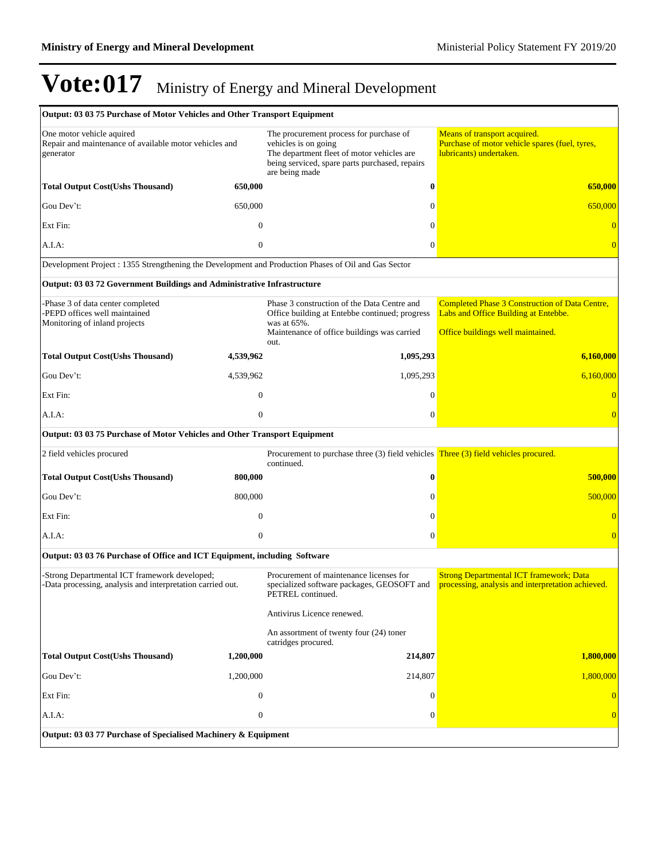| <b>Output: 03 03 75 Purchase of Motor Vehicles and Other Transport Equipment</b>                            |                  |                                                                                                                                                                                   |                                                                                                           |
|-------------------------------------------------------------------------------------------------------------|------------------|-----------------------------------------------------------------------------------------------------------------------------------------------------------------------------------|-----------------------------------------------------------------------------------------------------------|
| One motor vehicle aquired<br>Repair and maintenance of available motor vehicles and<br>generator            |                  | The procurement process for purchase of<br>vehicles is on going<br>The department fleet of motor vehicles are<br>being serviced, spare parts purchased, repairs<br>are being made | Means of transport acquired.<br>Purchase of motor vehicle spares (fuel, tyres,<br>lubricants) undertaken. |
| <b>Total Output Cost(Ushs Thousand)</b>                                                                     | 650,000          | $\bf{0}$                                                                                                                                                                          | 650,000                                                                                                   |
| Gou Dev't:                                                                                                  | 650,000          | $\Omega$                                                                                                                                                                          | 650,000                                                                                                   |
| Ext Fin:                                                                                                    | $\mathbf{0}$     | $\Omega$                                                                                                                                                                          | $\overline{0}$                                                                                            |
| A.I.A:                                                                                                      | $\overline{0}$   | $\theta$                                                                                                                                                                          | $\overline{0}$                                                                                            |
| Development Project : 1355 Strengthening the Development and Production Phases of Oil and Gas Sector        |                  |                                                                                                                                                                                   |                                                                                                           |
| Output: 03 03 72 Government Buildings and Administrative Infrastructure                                     |                  |                                                                                                                                                                                   |                                                                                                           |
| Phase 3 of data center completed<br>-PEPD offices well maintained<br>Monitoring of inland projects          |                  | Phase 3 construction of the Data Centre and<br>Office building at Entebbe continued; progress<br>was at 65%.                                                                      | <b>Completed Phase 3 Construction of Data Centre,</b><br>Labs and Office Building at Entebbe.             |
|                                                                                                             |                  | Maintenance of office buildings was carried<br>out.                                                                                                                               | Office buildings well maintained.                                                                         |
| <b>Total Output Cost(Ushs Thousand)</b>                                                                     | 4,539,962        | 1,095,293                                                                                                                                                                         | 6,160,000                                                                                                 |
| Gou Dev't:                                                                                                  | 4,539,962        | 1,095,293                                                                                                                                                                         | 6,160,000                                                                                                 |
| Ext Fin:                                                                                                    | $\mathbf{0}$     | $\Omega$                                                                                                                                                                          |                                                                                                           |
| A.I.A:                                                                                                      | $\overline{0}$   | $\theta$                                                                                                                                                                          | $\overline{0}$                                                                                            |
| Output: 03 03 75 Purchase of Motor Vehicles and Other Transport Equipment                                   |                  |                                                                                                                                                                                   |                                                                                                           |
| 2 field vehicles procured                                                                                   |                  | Procurement to purchase three (3) field vehicles Three (3) field vehicles procured.<br>continued.                                                                                 |                                                                                                           |
| <b>Total Output Cost(Ushs Thousand)</b>                                                                     | 800,000          | $\bf{0}$                                                                                                                                                                          | 500,000                                                                                                   |
| Gou Dev't:                                                                                                  | 800,000          | $\Omega$                                                                                                                                                                          | 500,000                                                                                                   |
| Ext Fin:                                                                                                    | $\mathbf{0}$     | $\theta$                                                                                                                                                                          | $\Omega$                                                                                                  |
| A.I.A:                                                                                                      | $\overline{0}$   | $\mathbf{0}$                                                                                                                                                                      | $\overline{0}$                                                                                            |
| Output: 03 03 76 Purchase of Office and ICT Equipment, including Software                                   |                  |                                                                                                                                                                                   |                                                                                                           |
| -Strong Departmental ICT framework developed;<br>-Data processing, analysis and interpretation carried out. |                  | Procurement of maintenance licenses for<br>specialized software packages, GEOSOFT and<br>PETREL continued.                                                                        | <b>Strong Departmental ICT framework; Data</b><br>processing, analysis and interpretation achieved.       |
|                                                                                                             |                  | Antivirus Licence renewed.                                                                                                                                                        |                                                                                                           |
|                                                                                                             |                  | An assortment of twenty four (24) toner<br>catridges procured.                                                                                                                    |                                                                                                           |
| <b>Total Output Cost(Ushs Thousand)</b>                                                                     | 1,200,000        | 214,807                                                                                                                                                                           | 1,800,000                                                                                                 |
| Gou Dev't:                                                                                                  | 1,200,000        | 214,807                                                                                                                                                                           | 1,800,000                                                                                                 |
| Ext Fin:                                                                                                    | $\overline{0}$   | $\theta$                                                                                                                                                                          |                                                                                                           |
| A.I.A:                                                                                                      | $\boldsymbol{0}$ | $\theta$                                                                                                                                                                          | $\overline{0}$                                                                                            |
| Output: 03 03 77 Purchase of Specialised Machinery & Equipment                                              |                  |                                                                                                                                                                                   |                                                                                                           |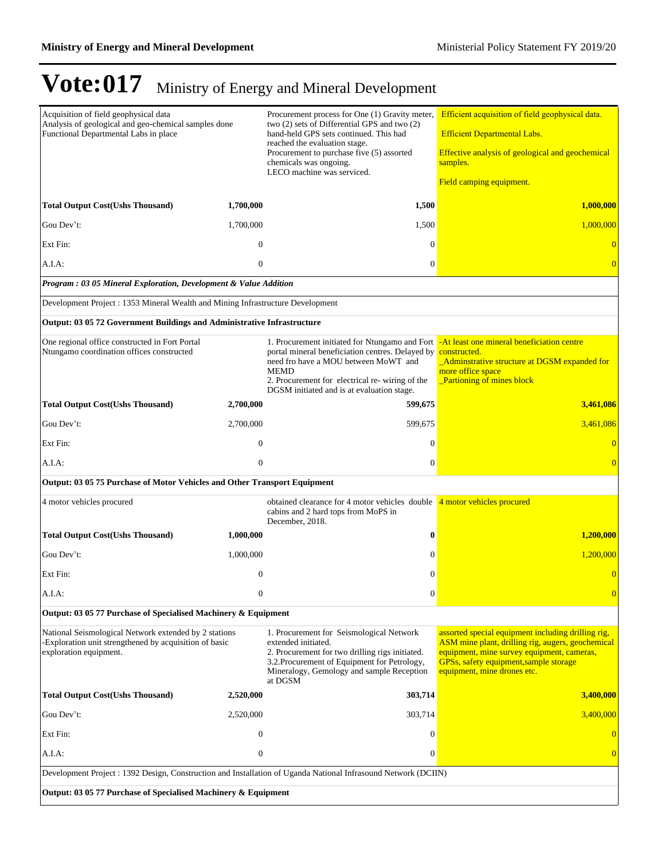| Acquisition of field geophysical data<br>Analysis of geological and geo-chemical samples done<br>Functional Departmental Labs in place   |                  | Procurement process for One (1) Gravity meter,<br>two (2) sets of Differential GPS and two (2)<br>hand-held GPS sets continued. This had<br>reached the evaluation stage.<br>Procurement to purchase five (5) assorted<br>chemicals was ongoing.<br>LECO machine was serviced. | Efficient acquisition of field geophysical data.<br><b>Efficient Departmental Labs.</b><br>Effective analysis of geological and geochemical<br>samples.<br>Field camping equipment.                                            |  |
|------------------------------------------------------------------------------------------------------------------------------------------|------------------|--------------------------------------------------------------------------------------------------------------------------------------------------------------------------------------------------------------------------------------------------------------------------------|--------------------------------------------------------------------------------------------------------------------------------------------------------------------------------------------------------------------------------|--|
| <b>Total Output Cost(Ushs Thousand)</b>                                                                                                  | 1,700,000        | 1,500                                                                                                                                                                                                                                                                          | 1,000,000                                                                                                                                                                                                                      |  |
| Gou Dev't:                                                                                                                               | 1,700,000        | 1,500                                                                                                                                                                                                                                                                          | 1,000,000                                                                                                                                                                                                                      |  |
| Ext Fin:                                                                                                                                 | $\overline{0}$   | $\Omega$                                                                                                                                                                                                                                                                       | $\overline{0}$                                                                                                                                                                                                                 |  |
| A.I.A:                                                                                                                                   | $\overline{0}$   | $\mathbf{0}$                                                                                                                                                                                                                                                                   | $\overline{0}$                                                                                                                                                                                                                 |  |
| Program : 03 05 Mineral Exploration, Development & Value Addition                                                                        |                  |                                                                                                                                                                                                                                                                                |                                                                                                                                                                                                                                |  |
| Development Project : 1353 Mineral Wealth and Mining Infrastructure Development                                                          |                  |                                                                                                                                                                                                                                                                                |                                                                                                                                                                                                                                |  |
| Output: 03 05 72 Government Buildings and Administrative Infrastructure                                                                  |                  |                                                                                                                                                                                                                                                                                |                                                                                                                                                                                                                                |  |
| One regional office constructed in Fort Portal<br>Ntungamo coordination offices constructed                                              |                  | 1. Procurement initiated for Ntungamo and Fort<br>portal mineral beneficiation centres. Delayed by<br>need fro have a MOU between MoWT and<br><b>MEMD</b><br>2. Procurement for electrical re- wiring of the<br>DGSM initiated and is at evaluation stage.                     | -At least one mineral beneficiation centre<br>constructed.<br>_Adminstrative structure at DGSM expanded for<br>more office space<br><b>Partioning of mines block</b>                                                           |  |
| <b>Total Output Cost(Ushs Thousand)</b>                                                                                                  | 2,700,000        | 599,675                                                                                                                                                                                                                                                                        | 3,461,086                                                                                                                                                                                                                      |  |
| Gou Dev't:                                                                                                                               | 2,700,000        | 599,675                                                                                                                                                                                                                                                                        | 3,461,086                                                                                                                                                                                                                      |  |
| Ext Fin:                                                                                                                                 | $\mathbf{0}$     | $\Omega$                                                                                                                                                                                                                                                                       | $\theta$                                                                                                                                                                                                                       |  |
| A.I.A:                                                                                                                                   | $\overline{0}$   | $\Omega$                                                                                                                                                                                                                                                                       | $\Omega$                                                                                                                                                                                                                       |  |
| Output: 03 05 75 Purchase of Motor Vehicles and Other Transport Equipment                                                                |                  |                                                                                                                                                                                                                                                                                |                                                                                                                                                                                                                                |  |
| 4 motor vehicles procured                                                                                                                |                  | obtained clearance for 4 motor vehicles double<br>cabins and 2 hard tops from MoPS in<br>December, 2018.                                                                                                                                                                       | 4 motor vehicles procured                                                                                                                                                                                                      |  |
| <b>Total Output Cost(Ushs Thousand)</b>                                                                                                  | 1,000,000        | $\bf{0}$                                                                                                                                                                                                                                                                       | 1,200,000                                                                                                                                                                                                                      |  |
| Gou Dev't:                                                                                                                               | 1,000,000        | $\mathbf{0}$                                                                                                                                                                                                                                                                   | 1.200,000                                                                                                                                                                                                                      |  |
| Ext Fin:                                                                                                                                 | $\mathbf{0}$     | $\Omega$                                                                                                                                                                                                                                                                       | $\overline{0}$                                                                                                                                                                                                                 |  |
| A.I.A:                                                                                                                                   | $\boldsymbol{0}$ | $\boldsymbol{0}$                                                                                                                                                                                                                                                               | $\overline{0}$                                                                                                                                                                                                                 |  |
| Output: 03 05 77 Purchase of Specialised Machinery & Equipment                                                                           |                  |                                                                                                                                                                                                                                                                                |                                                                                                                                                                                                                                |  |
| National Seismological Network extended by 2 stations<br>Exploration unit strengthened by acquisition of basic<br>exploration equipment. |                  | 1. Procurement for Seismological Network<br>extended initiated.<br>2. Procurement for two drilling rigs initiated.<br>3.2. Procurement of Equipment for Petrology,<br>Mineralogy, Gemology and sample Reception<br>at DGSM                                                     | assorted special equipment including drilling rig,<br>ASM mine plant, drilling rig, augers, geochemical<br>equipment, mine survey equipment, cameras,<br>GPSs, safety equipment, sample storage<br>equipment, mine drones etc. |  |
| <b>Total Output Cost(Ushs Thousand)</b>                                                                                                  | 2,520,000        | 303,714                                                                                                                                                                                                                                                                        | 3,400,000                                                                                                                                                                                                                      |  |
| Gou Dev't:                                                                                                                               | 2,520,000        | 303,714                                                                                                                                                                                                                                                                        | 3,400,000                                                                                                                                                                                                                      |  |
| Ext Fin:                                                                                                                                 | $\boldsymbol{0}$ | $\mathbf{0}$                                                                                                                                                                                                                                                                   | $\bf{0}$                                                                                                                                                                                                                       |  |
| A.I.A:                                                                                                                                   | $\boldsymbol{0}$ | $\boldsymbol{0}$                                                                                                                                                                                                                                                               | $\overline{0}$                                                                                                                                                                                                                 |  |
| Development Project : 1392 Design, Construction and Installation of Uganda National Infrasound Network (DCIIN)                           |                  |                                                                                                                                                                                                                                                                                |                                                                                                                                                                                                                                |  |
| Output: 03 05 77 Purchase of Specialised Machinery & Equipment                                                                           |                  |                                                                                                                                                                                                                                                                                |                                                                                                                                                                                                                                |  |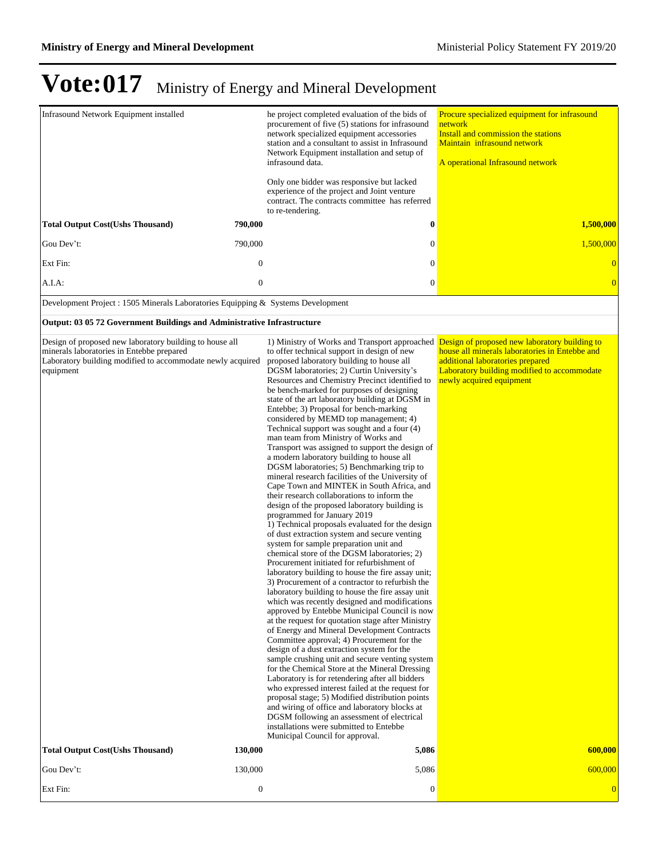| <b>Infrasound Network Equipment installed</b>                                                                                                                                   |                  | he project completed evaluation of the bids of<br>procurement of five (5) stations for infrasound                                                                                                                                                                                                                                                                                                                                                                                                                                                                                                                                                                                                                                                                                                                                                                                                                                                                                                                                                                                                                                                                                                                                                                                                                                                                                                                                                                                                                                                                                                                                                                                                                                                                                                                                                                                                                                                                                                                                                                                               | Procure specialized equipment for infrasound<br>network                                                                                                       |
|---------------------------------------------------------------------------------------------------------------------------------------------------------------------------------|------------------|-------------------------------------------------------------------------------------------------------------------------------------------------------------------------------------------------------------------------------------------------------------------------------------------------------------------------------------------------------------------------------------------------------------------------------------------------------------------------------------------------------------------------------------------------------------------------------------------------------------------------------------------------------------------------------------------------------------------------------------------------------------------------------------------------------------------------------------------------------------------------------------------------------------------------------------------------------------------------------------------------------------------------------------------------------------------------------------------------------------------------------------------------------------------------------------------------------------------------------------------------------------------------------------------------------------------------------------------------------------------------------------------------------------------------------------------------------------------------------------------------------------------------------------------------------------------------------------------------------------------------------------------------------------------------------------------------------------------------------------------------------------------------------------------------------------------------------------------------------------------------------------------------------------------------------------------------------------------------------------------------------------------------------------------------------------------------------------------------|---------------------------------------------------------------------------------------------------------------------------------------------------------------|
|                                                                                                                                                                                 |                  | network specialized equipment accessories<br>station and a consultant to assist in Infrasound                                                                                                                                                                                                                                                                                                                                                                                                                                                                                                                                                                                                                                                                                                                                                                                                                                                                                                                                                                                                                                                                                                                                                                                                                                                                                                                                                                                                                                                                                                                                                                                                                                                                                                                                                                                                                                                                                                                                                                                                   | Install and commission the stations<br>Maintain infrasound network                                                                                            |
|                                                                                                                                                                                 |                  | Network Equipment installation and setup of<br>infrasound data.                                                                                                                                                                                                                                                                                                                                                                                                                                                                                                                                                                                                                                                                                                                                                                                                                                                                                                                                                                                                                                                                                                                                                                                                                                                                                                                                                                                                                                                                                                                                                                                                                                                                                                                                                                                                                                                                                                                                                                                                                                 | A operational Infrasound network                                                                                                                              |
|                                                                                                                                                                                 |                  | Only one bidder was responsive but lacked<br>experience of the project and Joint venture<br>contract. The contracts committee has referred<br>to re-tendering.                                                                                                                                                                                                                                                                                                                                                                                                                                                                                                                                                                                                                                                                                                                                                                                                                                                                                                                                                                                                                                                                                                                                                                                                                                                                                                                                                                                                                                                                                                                                                                                                                                                                                                                                                                                                                                                                                                                                  |                                                                                                                                                               |
| <b>Total Output Cost(Ushs Thousand)</b>                                                                                                                                         | 790,000          | $\bf{0}$                                                                                                                                                                                                                                                                                                                                                                                                                                                                                                                                                                                                                                                                                                                                                                                                                                                                                                                                                                                                                                                                                                                                                                                                                                                                                                                                                                                                                                                                                                                                                                                                                                                                                                                                                                                                                                                                                                                                                                                                                                                                                        | 1,500,000                                                                                                                                                     |
| Gou Dev't:                                                                                                                                                                      | 790,000          | $\mathbf{0}$                                                                                                                                                                                                                                                                                                                                                                                                                                                                                                                                                                                                                                                                                                                                                                                                                                                                                                                                                                                                                                                                                                                                                                                                                                                                                                                                                                                                                                                                                                                                                                                                                                                                                                                                                                                                                                                                                                                                                                                                                                                                                    | 1,500,000                                                                                                                                                     |
| Ext Fin:                                                                                                                                                                        | $\boldsymbol{0}$ | $\mathbf{0}$                                                                                                                                                                                                                                                                                                                                                                                                                                                                                                                                                                                                                                                                                                                                                                                                                                                                                                                                                                                                                                                                                                                                                                                                                                                                                                                                                                                                                                                                                                                                                                                                                                                                                                                                                                                                                                                                                                                                                                                                                                                                                    | $\overline{0}$                                                                                                                                                |
| $A.I.A$ :                                                                                                                                                                       | $\mathbf{0}$     | $\boldsymbol{0}$                                                                                                                                                                                                                                                                                                                                                                                                                                                                                                                                                                                                                                                                                                                                                                                                                                                                                                                                                                                                                                                                                                                                                                                                                                                                                                                                                                                                                                                                                                                                                                                                                                                                                                                                                                                                                                                                                                                                                                                                                                                                                | $\overline{0}$                                                                                                                                                |
| Development Project : 1505 Minerals Laboratories Equipping & Systems Development                                                                                                |                  |                                                                                                                                                                                                                                                                                                                                                                                                                                                                                                                                                                                                                                                                                                                                                                                                                                                                                                                                                                                                                                                                                                                                                                                                                                                                                                                                                                                                                                                                                                                                                                                                                                                                                                                                                                                                                                                                                                                                                                                                                                                                                                 |                                                                                                                                                               |
| Output: 03 05 72 Government Buildings and Administrative Infrastructure                                                                                                         |                  |                                                                                                                                                                                                                                                                                                                                                                                                                                                                                                                                                                                                                                                                                                                                                                                                                                                                                                                                                                                                                                                                                                                                                                                                                                                                                                                                                                                                                                                                                                                                                                                                                                                                                                                                                                                                                                                                                                                                                                                                                                                                                                 |                                                                                                                                                               |
| Design of proposed new laboratory building to house all<br>minerals laboratories in Entebbe prepared<br>Laboratory building modified to accommodate newly acquired<br>equipment |                  | 1) Ministry of Works and Transport approached Design of proposed new laboratory building to<br>to offer technical support in design of new<br>proposed laboratory building to house all<br>DGSM laboratories; 2) Curtin University's<br>Resources and Chemistry Precinct identified to<br>be bench-marked for purposes of designing<br>state of the art laboratory building at DGSM in<br>Entebbe; 3) Proposal for bench-marking<br>considered by MEMD top management; 4)<br>Technical support was sought and a four (4)<br>man team from Ministry of Works and<br>Transport was assigned to support the design of<br>a modern laboratory building to house all<br>DGSM laboratories; 5) Benchmarking trip to<br>mineral research facilities of the University of<br>Cape Town and MINTEK in South Africa, and<br>their research collaborations to inform the<br>design of the proposed laboratory building is<br>programmed for January 2019<br>1) Technical proposals evaluated for the design<br>of dust extraction system and secure venting<br>system for sample preparation unit and<br>chemical store of the DGSM laboratories; 2)<br>Procurement initiated for refurbishment of<br>laboratory building to house the fire assay unit;<br>3) Procurement of a contractor to refurbish the<br>laboratory building to house the fire assay unit<br>which was recently designed and modifications<br>approved by Entebbe Municipal Council is now<br>at the request for quotation stage after Ministry<br>of Energy and Mineral Development Contracts<br>Committee approval; 4) Procurement for the<br>design of a dust extraction system for the<br>sample crushing unit and secure venting system<br>for the Chemical Store at the Mineral Dressing<br>Laboratory is for retendering after all bidders<br>who expressed interest failed at the request for<br>proposal stage; 5) Modified distribution points<br>and wiring of office and laboratory blocks at<br>DGSM following an assessment of electrical<br>installations were submitted to Entebbe<br>Municipal Council for approval. | house all minerals laboratories in Entebbe and<br>additional laboratories prepared<br>Laboratory building modified to accommodate<br>newly acquired equipment |
| <b>Total Output Cost(Ushs Thousand)</b>                                                                                                                                         | 130,000          | 5,086                                                                                                                                                                                                                                                                                                                                                                                                                                                                                                                                                                                                                                                                                                                                                                                                                                                                                                                                                                                                                                                                                                                                                                                                                                                                                                                                                                                                                                                                                                                                                                                                                                                                                                                                                                                                                                                                                                                                                                                                                                                                                           | 600,000                                                                                                                                                       |
| Gou Dev't:                                                                                                                                                                      | 130,000          | 5,086                                                                                                                                                                                                                                                                                                                                                                                                                                                                                                                                                                                                                                                                                                                                                                                                                                                                                                                                                                                                                                                                                                                                                                                                                                                                                                                                                                                                                                                                                                                                                                                                                                                                                                                                                                                                                                                                                                                                                                                                                                                                                           | 600,000                                                                                                                                                       |
| Ext Fin:                                                                                                                                                                        | $\boldsymbol{0}$ | $\boldsymbol{0}$                                                                                                                                                                                                                                                                                                                                                                                                                                                                                                                                                                                                                                                                                                                                                                                                                                                                                                                                                                                                                                                                                                                                                                                                                                                                                                                                                                                                                                                                                                                                                                                                                                                                                                                                                                                                                                                                                                                                                                                                                                                                                | $\overline{0}$                                                                                                                                                |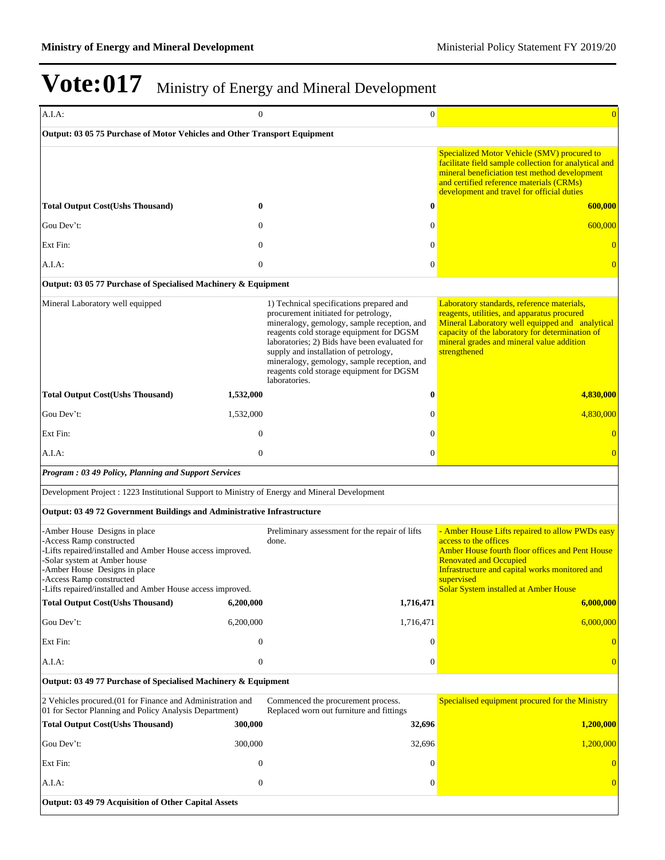| A.I.A.                                                                                                                                                                                                                                                                            | $\mathbf{0}$     | $\mathbf{0}$                                                                                                                                                                                                                                                                                                                                                                      | $\overline{0}$                                                                                                                                                                                                                                                               |
|-----------------------------------------------------------------------------------------------------------------------------------------------------------------------------------------------------------------------------------------------------------------------------------|------------------|-----------------------------------------------------------------------------------------------------------------------------------------------------------------------------------------------------------------------------------------------------------------------------------------------------------------------------------------------------------------------------------|------------------------------------------------------------------------------------------------------------------------------------------------------------------------------------------------------------------------------------------------------------------------------|
| Output: 03 05 75 Purchase of Motor Vehicles and Other Transport Equipment                                                                                                                                                                                                         |                  |                                                                                                                                                                                                                                                                                                                                                                                   |                                                                                                                                                                                                                                                                              |
|                                                                                                                                                                                                                                                                                   |                  |                                                                                                                                                                                                                                                                                                                                                                                   | Specialized Motor Vehicle (SMV) procured to<br>facilitate field sample collection for analytical and<br>mineral beneficiation test method development<br>and certified reference materials (CRMs)<br>development and travel for official duties                              |
| <b>Total Output Cost(Ushs Thousand)</b>                                                                                                                                                                                                                                           | $\bf{0}$         | $\bf{0}$                                                                                                                                                                                                                                                                                                                                                                          | 600,000                                                                                                                                                                                                                                                                      |
| Gou Dev't:                                                                                                                                                                                                                                                                        | $\mathbf{0}$     | $\theta$                                                                                                                                                                                                                                                                                                                                                                          | 600,000                                                                                                                                                                                                                                                                      |
| Ext Fin:                                                                                                                                                                                                                                                                          | $\mathbf{0}$     | $\theta$                                                                                                                                                                                                                                                                                                                                                                          | $\overline{0}$                                                                                                                                                                                                                                                               |
| A.I.A:                                                                                                                                                                                                                                                                            | $\boldsymbol{0}$ | $\mathbf{0}$                                                                                                                                                                                                                                                                                                                                                                      | $\overline{0}$                                                                                                                                                                                                                                                               |
| Output: 03 05 77 Purchase of Specialised Machinery & Equipment                                                                                                                                                                                                                    |                  |                                                                                                                                                                                                                                                                                                                                                                                   |                                                                                                                                                                                                                                                                              |
| Mineral Laboratory well equipped                                                                                                                                                                                                                                                  |                  | 1) Technical specifications prepared and<br>procurement initiated for petrology,<br>mineralogy, gemology, sample reception, and<br>reagents cold storage equipment for DGSM<br>laboratories; 2) Bids have been evaluated for<br>supply and installation of petrology,<br>mineralogy, gemology, sample reception, and<br>reagents cold storage equipment for DGSM<br>laboratories. | Laboratory standards, reference materials,<br>reagents, utilities, and apparatus procured<br>Mineral Laboratory well equipped and analytical<br>capacity of the laboratory for determination of<br>mineral grades and mineral value addition<br>strengthened                 |
| <b>Total Output Cost(Ushs Thousand)</b>                                                                                                                                                                                                                                           | 1,532,000        | $\bf{0}$                                                                                                                                                                                                                                                                                                                                                                          | 4,830,000                                                                                                                                                                                                                                                                    |
| Gou Dev't:                                                                                                                                                                                                                                                                        | 1,532,000        | $\mathbf{0}$                                                                                                                                                                                                                                                                                                                                                                      | 4.830.000                                                                                                                                                                                                                                                                    |
| Ext Fin:                                                                                                                                                                                                                                                                          | $\theta$         | $\Omega$                                                                                                                                                                                                                                                                                                                                                                          | $\overline{0}$                                                                                                                                                                                                                                                               |
| $A.I.A$ :                                                                                                                                                                                                                                                                         | $\overline{0}$   | $\mathbf{0}$                                                                                                                                                                                                                                                                                                                                                                      | $\overline{0}$                                                                                                                                                                                                                                                               |
| Program: 03 49 Policy, Planning and Support Services                                                                                                                                                                                                                              |                  |                                                                                                                                                                                                                                                                                                                                                                                   |                                                                                                                                                                                                                                                                              |
| Development Project : 1223 Institutional Support to Ministry of Energy and Mineral Development                                                                                                                                                                                    |                  |                                                                                                                                                                                                                                                                                                                                                                                   |                                                                                                                                                                                                                                                                              |
| Output: 03 49 72 Government Buildings and Administrative Infrastructure                                                                                                                                                                                                           |                  |                                                                                                                                                                                                                                                                                                                                                                                   |                                                                                                                                                                                                                                                                              |
| -Amber House Designs in place<br>-Access Ramp constructed<br>-Lifts repaired/installed and Amber House access improved.<br>-Solar system at Amber house<br>-Amber House Designs in place<br>-Access Ramp constructed<br>-Lifts repaired/installed and Amber House access improved |                  | Preliminary assessment for the repair of lifts<br>done.                                                                                                                                                                                                                                                                                                                           | - Amber House Lifts repaired to allow PWDs easy<br>access to the offices<br>Amber House fourth floor offices and Pent House<br><b>Renovated and Occupied</b><br>Infrastructure and capital works monitored and<br>supervised<br><b>Solar System installed at Amber House</b> |
| <b>Total Output Cost(Ushs Thousand)</b>                                                                                                                                                                                                                                           | 6.200.000        | 1,716,471                                                                                                                                                                                                                                                                                                                                                                         | 6,000,000                                                                                                                                                                                                                                                                    |
| Gou Dev't:                                                                                                                                                                                                                                                                        | 6,200,000        | 1,716,471                                                                                                                                                                                                                                                                                                                                                                         | 6,000,000                                                                                                                                                                                                                                                                    |
| Ext Fin:                                                                                                                                                                                                                                                                          | $\mathbf{0}$     | $\Omega$                                                                                                                                                                                                                                                                                                                                                                          |                                                                                                                                                                                                                                                                              |
| A.I.A:                                                                                                                                                                                                                                                                            | $\boldsymbol{0}$ | $\mathbf{0}$                                                                                                                                                                                                                                                                                                                                                                      | $\Omega$                                                                                                                                                                                                                                                                     |
| Output: 03 49 77 Purchase of Specialised Machinery & Equipment                                                                                                                                                                                                                    |                  |                                                                                                                                                                                                                                                                                                                                                                                   |                                                                                                                                                                                                                                                                              |
| 2 Vehicles procured.(01 for Finance and Administration and<br>01 for Sector Planning and Policy Analysis Department)                                                                                                                                                              |                  | Commenced the procurement process.<br>Replaced worn out furniture and fittings                                                                                                                                                                                                                                                                                                    | Specialised equipment procured for the Ministry                                                                                                                                                                                                                              |
| <b>Total Output Cost(Ushs Thousand)</b>                                                                                                                                                                                                                                           | 300,000          | 32,696                                                                                                                                                                                                                                                                                                                                                                            | 1,200,000                                                                                                                                                                                                                                                                    |
| Gou Dev't:                                                                                                                                                                                                                                                                        | 300,000          | 32,696                                                                                                                                                                                                                                                                                                                                                                            | 1,200,000                                                                                                                                                                                                                                                                    |
| Ext Fin:                                                                                                                                                                                                                                                                          | $\theta$         | $\Omega$                                                                                                                                                                                                                                                                                                                                                                          |                                                                                                                                                                                                                                                                              |
| A.I.A.                                                                                                                                                                                                                                                                            | $\theta$         | $\theta$                                                                                                                                                                                                                                                                                                                                                                          |                                                                                                                                                                                                                                                                              |
| Output: 03 49 79 Acquisition of Other Capital Assets                                                                                                                                                                                                                              |                  |                                                                                                                                                                                                                                                                                                                                                                                   |                                                                                                                                                                                                                                                                              |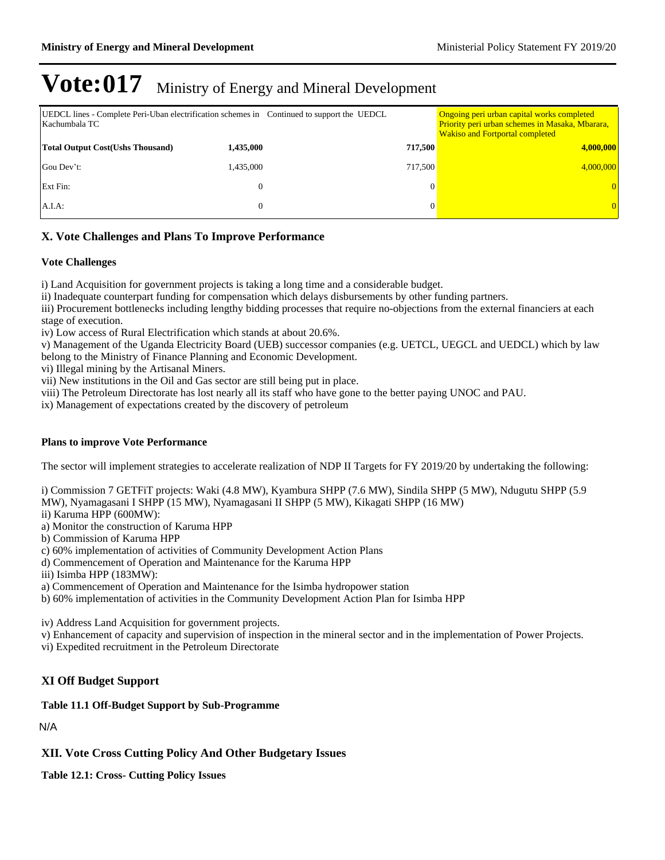| UEDCL lines - Complete Peri-Uban electrification schemes in Continued to support the UEDCL<br>Kachumbala TC |              |         | Ongoing peri urban capital works completed<br>Priority peri urban schemes in Masaka, Mbarara,<br><b>Wakiso and Fortportal completed</b> |
|-------------------------------------------------------------------------------------------------------------|--------------|---------|-----------------------------------------------------------------------------------------------------------------------------------------|
| <b>Total Output Cost (Ushs Thousand)</b>                                                                    | 1,435,000    | 717,500 | 4,000,000                                                                                                                               |
| Gou Dev't:                                                                                                  | 1,435,000    | 717.500 | 4,000,000                                                                                                                               |
| Ext Fin:                                                                                                    |              |         |                                                                                                                                         |
| A.I.A:                                                                                                      | $\mathbf{0}$ |         |                                                                                                                                         |

### **X. Vote Challenges and Plans To Improve Performance**

### **Vote Challenges**

i) Land Acquisition for government projects is taking a long time and a considerable budget.

ii) Inadequate counterpart funding for compensation which delays disbursements by other funding partners.

iii) Procurement bottlenecks including lengthy bidding processes that require no-objections from the external financiers at each stage of execution.

iv) Low access of Rural Electrification which stands at about 20.6%.

v) Management of the Uganda Electricity Board (UEB) successor companies (e.g. UETCL, UEGCL and UEDCL) which by law belong to the Ministry of Finance Planning and Economic Development.

vi) Illegal mining by the Artisanal Miners.

vii) New institutions in the Oil and Gas sector are still being put in place.

viii) The Petroleum Directorate has lost nearly all its staff who have gone to the better paying UNOC and PAU.

ix) Management of expectations created by the discovery of petroleum

### **Plans to improve Vote Performance**

The sector will implement strategies to accelerate realization of NDP II Targets for FY 2019/20 by undertaking the following:

i) Commission 7 GETFiT projects: Waki (4.8 MW), Kyambura SHPP (7.6 MW), Sindila SHPP (5 MW), Ndugutu SHPP (5.9 MW), Nyamagasani I SHPP (15 MW), Nyamagasani II SHPP (5 MW), Kikagati SHPP (16 MW)

- ii) Karuma HPP (600MW):
- a) Monitor the construction of Karuma HPP
- b) Commission of Karuma HPP

c) 60% implementation of activities of Community Development Action Plans

d) Commencement of Operation and Maintenance for the Karuma HPP

iii) Isimba HPP (183MW):

a) Commencement of Operation and Maintenance for the Isimba hydropower station

b) 60% implementation of activities in the Community Development Action Plan for Isimba HPP

iv) Address Land Acquisition for government projects.

v) Enhancement of capacity and supervision of inspection in the mineral sector and in the implementation of Power Projects.

vi) Expedited recruitment in the Petroleum Directorate

### **XI Off Budget Support**

### **Table 11.1 Off-Budget Support by Sub-Programme**

N/A

**XII. Vote Cross Cutting Policy And Other Budgetary Issues**

**Table 12.1: Cross- Cutting Policy Issues**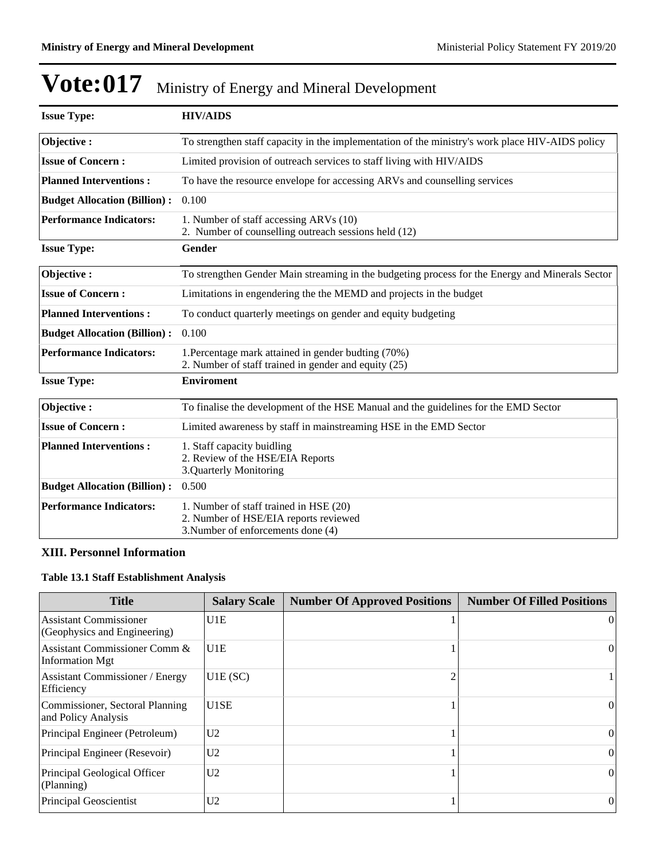| <b>Issue Type:</b>                  | <b>HIV/AIDS</b>                                                                                                       |
|-------------------------------------|-----------------------------------------------------------------------------------------------------------------------|
| Objective:                          | To strengthen staff capacity in the implementation of the ministry's work place HIV-AIDS policy                       |
| <b>Issue of Concern:</b>            | Limited provision of outreach services to staff living with HIV/AIDS                                                  |
| <b>Planned Interventions:</b>       | To have the resource envelope for accessing ARVs and counselling services                                             |
| <b>Budget Allocation (Billion):</b> | 0.100                                                                                                                 |
| <b>Performance Indicators:</b>      | 1. Number of staff accessing ARVs (10)<br>2. Number of counselling outreach sessions held (12)                        |
| <b>Issue Type:</b>                  | Gender                                                                                                                |
| Objective:                          | To strengthen Gender Main streaming in the budgeting process for the Energy and Minerals Sector                       |
| <b>Issue of Concern:</b>            | Limitations in engendering the the MEMD and projects in the budget                                                    |
| <b>Planned Interventions:</b>       | To conduct quarterly meetings on gender and equity budgeting                                                          |
| <b>Budget Allocation (Billion):</b> | 0.100                                                                                                                 |
| <b>Performance Indicators:</b>      | 1. Percentage mark attained in gender budting (70%)<br>2. Number of staff trained in gender and equity (25)           |
| <b>Issue Type:</b>                  | <b>Enviroment</b>                                                                                                     |
| Objective:                          | To finalise the development of the HSE Manual and the guidelines for the EMD Sector                                   |
| <b>Issue of Concern:</b>            | Limited awareness by staff in mainstreaming HSE in the EMD Sector                                                     |
| <b>Planned Interventions:</b>       | 1. Staff capacity buidling<br>2. Review of the HSE/EIA Reports<br>3.Quarterly Monitoring                              |
| <b>Budget Allocation (Billion):</b> | 0.500                                                                                                                 |
| <b>Performance Indicators:</b>      | 1. Number of staff trained in HSE (20)<br>2. Number of HSE/EIA reports reviewed<br>3. Number of enforcements done (4) |

### **XIII. Personnel Information**

## **Table 13.1 Staff Establishment Analysis**

| <b>Title</b>                                                  | <b>Salary Scale</b> | <b>Number Of Approved Positions</b> | <b>Number Of Filled Positions</b> |
|---------------------------------------------------------------|---------------------|-------------------------------------|-----------------------------------|
| <b>Assistant Commissioner</b><br>(Geophysics and Engineering) | U <sub>1E</sub>     |                                     | $\Omega$                          |
| Assistant Commissioner Comm &<br><b>Information Mgt</b>       | U <sub>1E</sub>     |                                     | $\bf{0}$                          |
| <b>Assistant Commissioner / Energy</b><br>Efficiency          | U1E(SC)             |                                     |                                   |
| Commissioner, Sectoral Planning<br>and Policy Analysis        | U <sub>1</sub> SE   |                                     | $\Omega$                          |
| Principal Engineer (Petroleum)                                | U <sub>2</sub>      |                                     | $\Omega$                          |
| Principal Engineer (Resevoir)                                 | U <sub>2</sub>      |                                     | $\mathbf{0}$                      |
| Principal Geological Officer<br>(Planning)                    | U <sub>2</sub>      |                                     | $\mathbf{0}$                      |
| Principal Geoscientist                                        | U <sub>2</sub>      |                                     | $\theta$                          |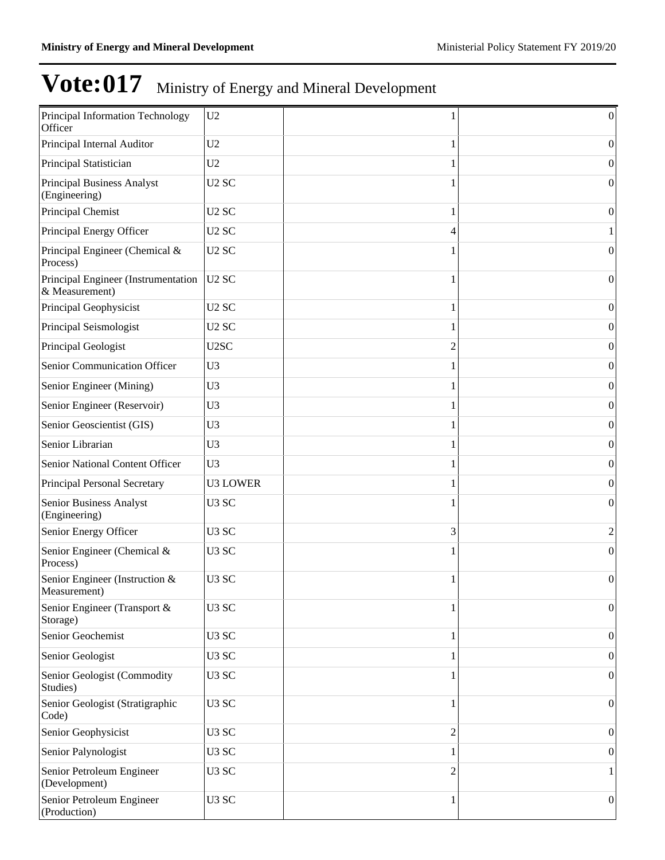| Principal Information Technology<br>Officer           | U <sub>2</sub>    | 1              | $\vert 0 \vert$  |
|-------------------------------------------------------|-------------------|----------------|------------------|
| Principal Internal Auditor                            | U <sub>2</sub>    | 1              | 0                |
| Principal Statistician                                | U <sub>2</sub>    |                | 0                |
| Principal Business Analyst<br>(Engineering)           | U <sub>2</sub> SC |                | $\vert 0 \vert$  |
| Principal Chemist                                     | U <sub>2</sub> SC | 1              | $\overline{0}$   |
| Principal Energy Officer                              | U <sub>2</sub> SC | 4              |                  |
| Principal Engineer (Chemical &<br>Process)            | U <sub>2</sub> SC | 1              | $\overline{0}$   |
| Principal Engineer (Instrumentation<br>& Measurement) | U <sub>2</sub> SC | 1              | $\overline{0}$   |
| Principal Geophysicist                                | U <sub>2</sub> SC | 1              | $\vert 0 \vert$  |
| Principal Seismologist                                | U <sub>2</sub> SC | 1              | $\vert 0 \vert$  |
| Principal Geologist                                   | U2SC              | $\overline{2}$ | $\vert 0 \vert$  |
| Senior Communication Officer                          | U <sub>3</sub>    | 1              | $\vert 0 \vert$  |
| Senior Engineer (Mining)                              | U <sub>3</sub>    | 1              | $\vert 0 \vert$  |
| Senior Engineer (Reservoir)                           | U <sub>3</sub>    | 1              | $\vert 0 \vert$  |
| Senior Geoscientist (GIS)                             | U <sub>3</sub>    | 1              | $\vert 0 \vert$  |
| Senior Librarian                                      | U <sub>3</sub>    | 1              | $\vert 0 \vert$  |
| Senior National Content Officer                       | U <sub>3</sub>    | 1              | $\vert 0 \vert$  |
| Principal Personal Secretary                          | <b>U3 LOWER</b>   | 1              | 0                |
| Senior Business Analyst<br>(Engineering)              | U <sub>3</sub> SC |                | $\overline{0}$   |
| Senior Energy Officer                                 | U <sub>3</sub> SC | 3              | 2                |
| Senior Engineer (Chemical &<br>Process)               | U <sub>3</sub> SC |                | $\overline{0}$   |
| Senior Engineer (Instruction &<br>Measurement)        | U <sub>3</sub> SC | 1              | $\theta$         |
| Senior Engineer (Transport &<br>Storage)              | U <sub>3</sub> SC | 1              | $\boldsymbol{0}$ |
| Senior Geochemist                                     | U3 SC             | 1              | $\boldsymbol{0}$ |
| Senior Geologist                                      | U <sub>3</sub> SC |                | $\boldsymbol{0}$ |
| Senior Geologist (Commodity<br>Studies)               | U <sub>3</sub> SC | 1              | 0                |
| Senior Geologist (Stratigraphic<br>Code)              | U <sub>3</sub> SC | 1              | $\boldsymbol{0}$ |
| Senior Geophysicist                                   | U <sub>3</sub> SC | 2              | $\overline{0}$   |
| Senior Palynologist                                   | U <sub>3</sub> SC | 1              | $\theta$         |
| Senior Petroleum Engineer<br>(Development)            | U <sub>3</sub> SC | 2              |                  |
| Senior Petroleum Engineer<br>(Production)             | U <sub>3</sub> SC | 1              | 0                |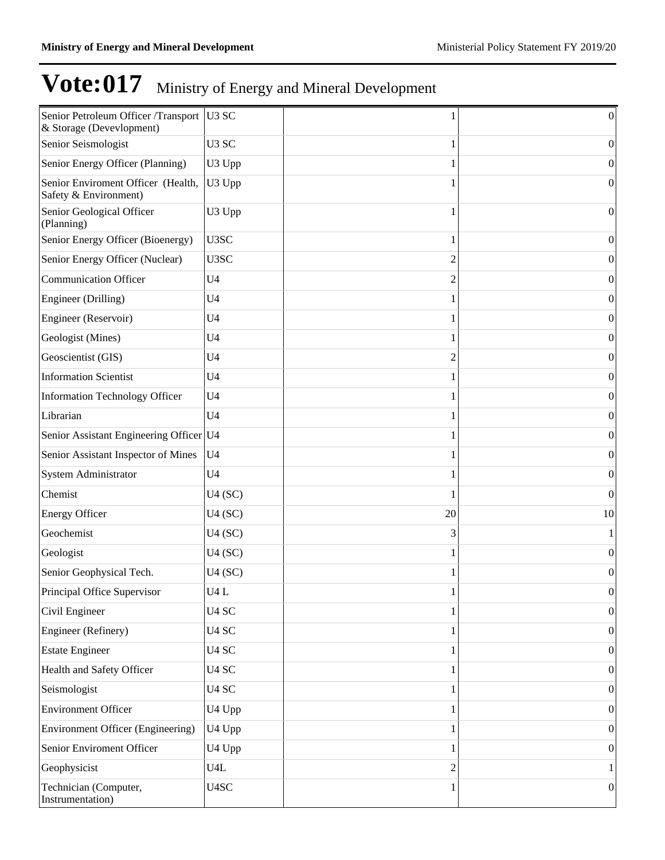| Senior Petroleum Officer /Transport<br>& Storage (Devevlopment) | U3 SC             |    | $\boldsymbol{0}$ |
|-----------------------------------------------------------------|-------------------|----|------------------|
| Senior Seismologist                                             | U <sub>3</sub> SC |    | $\boldsymbol{0}$ |
| Senior Energy Officer (Planning)                                | U3 Upp            |    | $\boldsymbol{0}$ |
| Senior Enviroment Officer (Health,<br>Safety & Environment)     | U3 Upp            |    | $\boldsymbol{0}$ |
| Senior Geological Officer<br>(Planning)                         | U3 Upp            |    | $\mathbf{0}$     |
| Senior Energy Officer (Bioenergy)                               | U3SC              |    | $\boldsymbol{0}$ |
| Senior Energy Officer (Nuclear)                                 | U3SC              | 2  | $\boldsymbol{0}$ |
| Communication Officer                                           | U <sub>4</sub>    | 2  | $\boldsymbol{0}$ |
| Engineer (Drilling)                                             | U <sub>4</sub>    |    | $\boldsymbol{0}$ |
| Engineer (Reservoir)                                            | U <sub>4</sub>    |    | $\boldsymbol{0}$ |
| Geologist (Mines)                                               | U <sub>4</sub>    |    | $\boldsymbol{0}$ |
| Geoscientist (GIS)                                              | U <sub>4</sub>    | 2  | $\boldsymbol{0}$ |
| <b>Information Scientist</b>                                    | U <sub>4</sub>    |    | $\boldsymbol{0}$ |
| Information Technology Officer                                  | U <sub>4</sub>    |    | $\boldsymbol{0}$ |
| Librarian                                                       | U <sub>4</sub>    |    | $\boldsymbol{0}$ |
| Senior Assistant Engineering Officer U4                         |                   |    | $\boldsymbol{0}$ |
| Senior Assistant Inspector of Mines                             | U <sub>4</sub>    |    | $\boldsymbol{0}$ |
| System Administrator                                            | U <sub>4</sub>    |    | $\boldsymbol{0}$ |
| Chemist                                                         | U4(SC)            |    | $\mathbf{0}$     |
| <b>Energy Officer</b>                                           | U4(SC)            | 20 | 10               |
| Geochemist                                                      | U4(SC)            | 3  | 1                |
| Geologist                                                       | U4(SC)            |    | $\boldsymbol{0}$ |
| Senior Geophysical Tech.                                        | U4(SC)            |    | $\boldsymbol{0}$ |
| Principal Office Supervisor                                     | U4L               |    | 0                |
| Civil Engineer                                                  | U <sub>4</sub> SC |    | $\boldsymbol{0}$ |
| Engineer (Refinery)                                             | U <sub>4</sub> SC |    | $\boldsymbol{0}$ |
| <b>Estate Engineer</b>                                          | U <sub>4</sub> SC |    | $\boldsymbol{0}$ |
| Health and Safety Officer                                       | U <sub>4</sub> SC |    | 0                |
| Seismologist                                                    | U <sub>4</sub> SC |    | 0                |
| Environment Officer                                             | U4 Upp            |    | $\boldsymbol{0}$ |
| Environment Officer (Engineering)                               | U4 Upp            |    | 0                |
| Senior Enviroment Officer                                       | U4 Upp            |    | $\boldsymbol{0}$ |
| Geophysicist                                                    | U4L               |    | 1                |
| Technician (Computer,<br>Instrumentation)                       | U4SC              |    | $\boldsymbol{0}$ |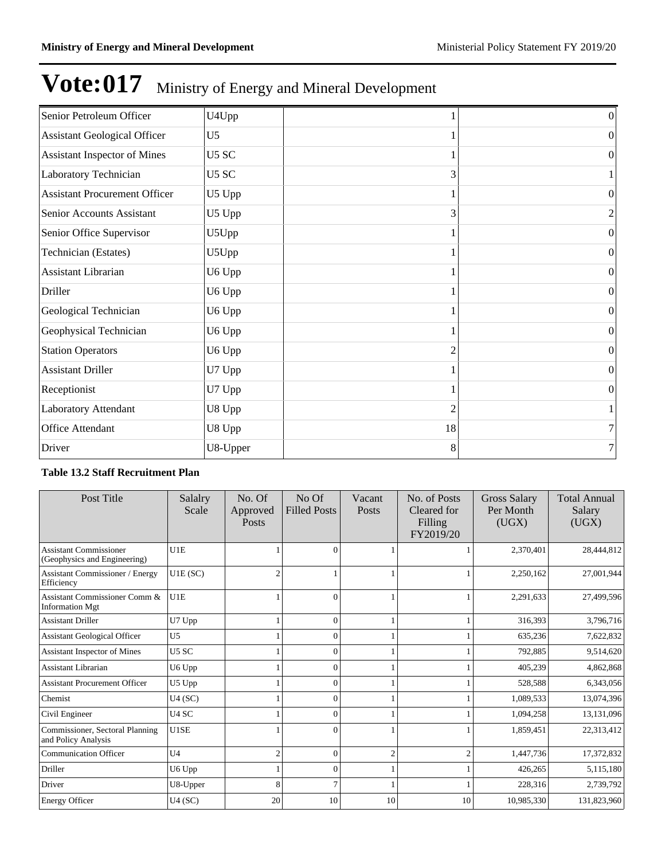| Senior Petroleum Officer             | U4Upp          |    | $\boldsymbol{0}$ |
|--------------------------------------|----------------|----|------------------|
| <b>Assistant Geological Officer</b>  | U <sub>5</sub> |    | $\mathbf{0}$     |
| Assistant Inspector of Mines         | U5 SC          |    | $\mathbf{0}$     |
| Laboratory Technician                | U5 SC          | 3  | 1                |
| <b>Assistant Procurement Officer</b> | U5 Upp         |    | $\boldsymbol{0}$ |
| Senior Accounts Assistant            | U5 Upp         | 3  | $\overline{c}$   |
| Senior Office Supervisor             | U5Upp          |    | $\boldsymbol{0}$ |
| Technician (Estates)                 | U5Upp          |    | $\mathbf{0}$     |
| Assistant Librarian                  | U6 Upp         |    | $\Omega$         |
| Driller                              | U6 Upp         |    | $\mathbf{0}$     |
| Geological Technician                | U6 Upp         |    | $\mathbf{0}$     |
| Geophysical Technician               | U6 Upp         |    | $\mathbf{0}$     |
| <b>Station Operators</b>             | U6 Upp         | 2  | $\boldsymbol{0}$ |
| <b>Assistant Driller</b>             | U7 Upp         |    | $\boldsymbol{0}$ |
| Receptionist                         | U7 Upp         |    | $\boldsymbol{0}$ |
| Laboratory Attendant                 | U8 Upp         | 2  | 1                |
| Office Attendant                     | U8 Upp         | 18 | 7                |
| Driver                               | U8-Upper       | 8  | 7                |

### **Table 13.2 Staff Recruitment Plan**

| Post Title                                                    | Salalry<br>Scale  | No. Of<br>Approved<br>Posts | No <sub>Of</sub><br><b>Filled Posts</b> | Vacant<br><b>Posts</b> | No. of Posts<br>Cleared for<br>Filling<br>FY2019/20 | <b>Gross Salary</b><br>Per Month<br>(UGX) | <b>Total Annual</b><br>Salary<br>(UGX) |
|---------------------------------------------------------------|-------------------|-----------------------------|-----------------------------------------|------------------------|-----------------------------------------------------|-------------------------------------------|----------------------------------------|
| <b>Assistant Commissioner</b><br>(Geophysics and Engineering) | U1E               |                             | $\theta$                                |                        |                                                     | 2,370,401                                 | 28,444,812                             |
| <b>Assistant Commissioner / Energy</b><br>Efficiency          | U1E(SC)           | $\overline{c}$              |                                         |                        |                                                     | 2,250,162                                 | 27,001,944                             |
| Assistant Commissioner Comm &<br><b>Information Mgt</b>       | U1E               |                             | $\Omega$                                |                        |                                                     | 2,291,633                                 | 27,499,596                             |
| <b>Assistant Driller</b>                                      | U7 Upp            |                             | $\theta$                                |                        |                                                     | 316,393                                   | 3,796,716                              |
| <b>Assistant Geological Officer</b>                           | U <sub>5</sub>    |                             | $\theta$                                |                        |                                                     | 635,236                                   | 7,622,832                              |
| Assistant Inspector of Mines                                  | U <sub>5</sub> SC |                             | $\Omega$                                |                        |                                                     | 792,885                                   | 9,514,620                              |
| <b>Assistant Librarian</b>                                    | U6 Upp            |                             | $\theta$                                |                        |                                                     | 405,239                                   | 4,862,868                              |
| <b>Assistant Procurement Officer</b>                          | U5 Upp            |                             |                                         |                        |                                                     | 528,588                                   | 6,343,056                              |
| Chemist                                                       | U4(SC)            |                             | $\Omega$                                |                        |                                                     | 1,089,533                                 | 13,074,396                             |
| Civil Engineer                                                | U <sub>4</sub> SC |                             | $\Omega$                                |                        |                                                     | 1,094,258                                 | 13,131,096                             |
| Commissioner, Sectoral Planning<br>and Policy Analysis        | U1SE              |                             | $\Omega$                                |                        |                                                     | 1,859,451                                 | 22,313,412                             |
| <b>Communication Officer</b>                                  | U <sub>4</sub>    | $\overline{2}$              | $\mathbf{0}$                            | 2                      | $\mathfrak{D}$                                      | 1,447,736                                 | 17,372,832                             |
| Driller                                                       | U6 Upp            |                             | $\Omega$                                |                        |                                                     | 426,265                                   | 5,115,180                              |
| Driver                                                        | U8-Upper          | 8                           |                                         |                        |                                                     | 228,316                                   | 2,739,792                              |
| <b>Energy Officer</b>                                         | U4(SC)            | 20                          | 10                                      | 10                     | 10                                                  | 10,985,330                                | 131,823,960                            |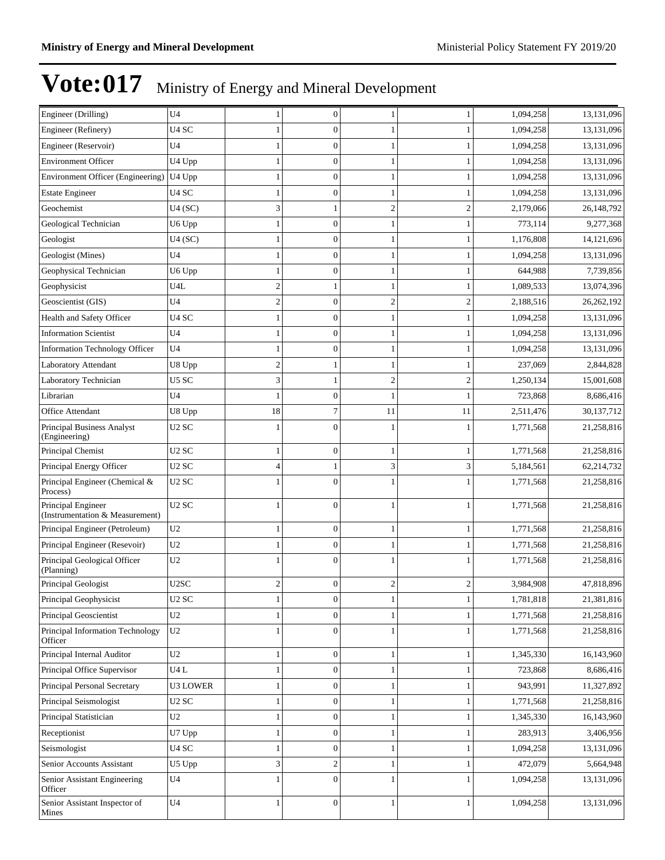| Engineer (Drilling)                                   | U <sub>4</sub>    | 1              | $\boldsymbol{0}$ | 1              |                | 1,094,258 | 13,131,096 |
|-------------------------------------------------------|-------------------|----------------|------------------|----------------|----------------|-----------|------------|
| Engineer (Refinery)                                   | U <sub>4</sub> SC | 1              | $\mathbf{0}$     |                |                | 1,094,258 | 13,131,096 |
| Engineer (Reservoir)                                  | U <sub>4</sub>    | 1              | $\boldsymbol{0}$ |                |                | 1,094,258 | 13,131,096 |
| <b>Environment Officer</b>                            | U4 Upp            | 1              | $\mathbf{0}$     |                |                | 1,094,258 | 13,131,096 |
| <b>Environment Officer (Engineering)</b>              | U4 Upp            | 1              | $\boldsymbol{0}$ | 1              |                | 1,094,258 | 13,131,096 |
| <b>Estate Engineer</b>                                | U4 SC             | $\mathbf{1}$   | $\boldsymbol{0}$ | 1              |                | 1,094,258 | 13,131,096 |
| Geochemist                                            | U4(SC)            | 3              |                  | $\overline{2}$ | $\overline{2}$ | 2,179,066 | 26,148,792 |
| Geological Technician                                 | U6 Upp            | 1              | $\boldsymbol{0}$ |                |                | 773,114   | 9,277,368  |
| Geologist                                             | U4(SC)            | 1              | $\mathbf{0}$     |                |                | 1,176,808 | 14,121,696 |
| Geologist (Mines)                                     | U4                | 1              | $\boldsymbol{0}$ | 1              |                | 1,094,258 | 13,131,096 |
| Geophysical Technician                                | U6 Upp            | $\mathbf{1}$   | $\mathbf{0}$     | 1              |                | 644,988   | 7,739,856  |
| Geophysicist                                          | U4L               | $\overline{c}$ |                  |                |                | 1,089,533 | 13,074,396 |
| Geoscientist (GIS)                                    | U4                | $\overline{c}$ | $\boldsymbol{0}$ | $\overline{c}$ | $\mathfrak{2}$ | 2,188,516 | 26,262,192 |
| Health and Safety Officer                             | U4 SC             | 1              | $\mathbf{0}$     |                |                | 1,094,258 | 13,131,096 |
| <b>Information Scientist</b>                          | U4                | 1              | $\boldsymbol{0}$ | 1              | 1              | 1,094,258 | 13,131,096 |
| <b>Information Technology Officer</b>                 | U <sub>4</sub>    | $\mathbf{1}$   | $\mathbf{0}$     | 1              |                | 1,094,258 | 13,131,096 |
| Laboratory Attendant                                  | U8 Upp            | $\overline{c}$ |                  |                |                | 237,069   | 2,844,828  |
| Laboratory Technician                                 | U5 SC             | 3              |                  | $\overline{2}$ | $\mathfrak{2}$ | 1,250,134 | 15,001,608 |
| Librarian                                             | U4                | 1              | $\mathbf{0}$     |                |                | 723,868   | 8,686,416  |
| Office Attendant                                      | U8 Upp            | 18             | 7                | 11             | 11             | 2,511,476 | 30,137,712 |
| Principal Business Analyst<br>(Engineering)           | U <sub>2</sub> SC | 1              | $\Omega$         |                |                | 1,771,568 | 21,258,816 |
| Principal Chemist                                     | U <sub>2</sub> SC | 1              | $\mathbf{0}$     | 1              |                | 1,771,568 | 21,258,816 |
| Principal Energy Officer                              | U <sub>2</sub> SC | 4              | -1               | 3              | 3              | 5,184,561 | 62,214,732 |
| Principal Engineer (Chemical &<br>Process)            | U <sub>2</sub> SC | 1              | $\mathbf{0}$     |                |                | 1,771,568 | 21,258,816 |
| Principal Engineer<br>(Instrumentation & Measurement) | U <sub>2</sub> SC | 1              | $\Omega$         | 1              |                | 1,771,568 | 21,258,816 |
| Principal Engineer (Petroleum)                        | U2                | 1              | $\boldsymbol{0}$ | 1              |                | 1,771,568 | 21,258,816 |
| Principal Engineer (Resevoir)                         | U <sub>2</sub>    | 1              | $\boldsymbol{0}$ |                |                | 1,771,568 | 21,258,816 |
| Principal Geological Officer<br>(Planning)            | U <sub>2</sub>    | 1              | $\mathbf{0}$     |                |                | 1,771,568 | 21,258,816 |
| Principal Geologist                                   | U2SC              | $\overline{c}$ | $\boldsymbol{0}$ | $\overline{c}$ | 2              | 3,984,908 | 47,818,896 |
| Principal Geophysicist                                | U <sub>2</sub> SC | 1              | $\boldsymbol{0}$ | $\mathbf{1}$   | 1              | 1,781,818 | 21,381,816 |
| Principal Geoscientist                                | U <sub>2</sub>    | 1              | $\boldsymbol{0}$ | 1              |                | 1,771,568 | 21,258,816 |
| Principal Information Technology<br>Officer           | U2                | $\mathbf{1}$   | $\mathbf{0}$     | 1              |                | 1,771,568 | 21,258,816 |
| Principal Internal Auditor                            | U <sub>2</sub>    | 1              | $\boldsymbol{0}$ | $\mathbf{1}$   |                | 1,345,330 | 16,143,960 |
| Principal Office Supervisor                           | U4L               | 1              | $\boldsymbol{0}$ |                |                | 723,868   | 8,686,416  |
| Principal Personal Secretary                          | U3 LOWER          | 1              | $\boldsymbol{0}$ |                |                | 943,991   | 11,327,892 |
| Principal Seismologist                                | U <sub>2</sub> SC | 1              | $\boldsymbol{0}$ | 1              |                | 1,771,568 | 21,258,816 |
| Principal Statistician                                | U <sub>2</sub>    | $\mathbf{1}$   | $\boldsymbol{0}$ | 1              | 1              | 1,345,330 | 16,143,960 |
| Receptionist                                          | U7 Upp            | 1              | $\boldsymbol{0}$ | 1              |                | 283,913   | 3,406,956  |
| Seismologist                                          | U4 SC             | 1              | $\boldsymbol{0}$ |                |                | 1,094,258 | 13,131,096 |
| Senior Accounts Assistant                             | U5 Upp            | 3              | $\mathbf{2}$     |                |                | 472,079   | 5,664,948  |
| Senior Assistant Engineering<br>Officer               | U4                | 1              | $\mathbf{0}$     |                |                | 1,094,258 | 13,131,096 |
| Senior Assistant Inspector of<br>Mines                | U <sub>4</sub>    | 1              | $\boldsymbol{0}$ | 1              |                | 1,094,258 | 13,131,096 |